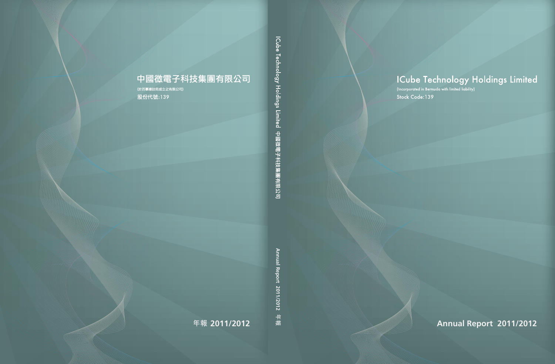# ICube Technology Holdings Limited<br>(Incorporated in Bermuda with limited liability)

Stock Code:139

**COMMUNISTICATION** 

**年報 2011/2012 Annual Report 2011/2012 Annual Report 2011/2012 年報**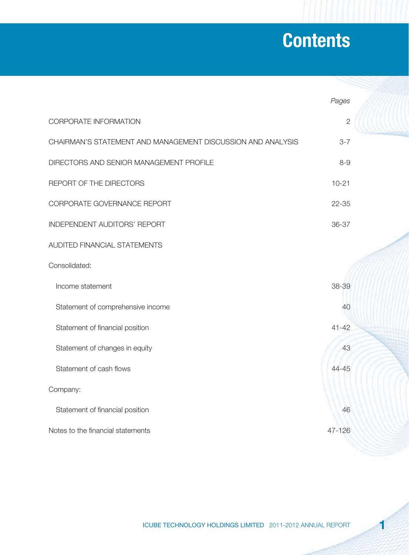# **Contents**

|                                                             | Pages          |  |
|-------------------------------------------------------------|----------------|--|
| CORPORATE INFORMATION                                       | $\overline{2}$ |  |
| CHAIRMAN'S STATEMENT AND MANAGEMENT DISCUSSION AND ANALYSIS | $3 - 7$        |  |
| DIRECTORS AND SENIOR MANAGEMENT PROFILE                     | $8 - 9$        |  |
| REPORT OF THE DIRECTORS                                     | $10 - 21$      |  |
| CORPORATE GOVERNANCE REPORT                                 | $22 - 35$      |  |
| INDEPENDENT AUDITORS' REPORT                                | 36-37          |  |
| AUDITED FINANCIAL STATEMENTS                                |                |  |
| Consolidated:                                               |                |  |
| Income statement                                            | 38-39          |  |
| Statement of comprehensive income                           | 40             |  |
| Statement of financial position                             | $41 - 42$      |  |
| Statement of changes in equity                              | 43             |  |
| Statement of cash flows                                     | 44-45          |  |
| Company:                                                    |                |  |
| Statement of financial position                             | 46             |  |
| Notes to the financial statements                           | 47-126         |  |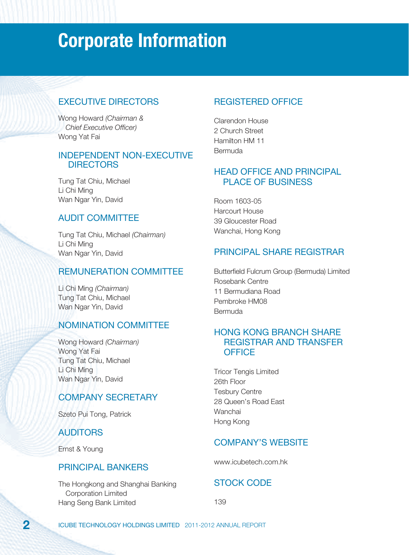# **Corporate Information**

### EXECUTIVE DIRECTORS

Wong Howard (Chairman & Chief Executive Officer) Wong Yat Fai

#### INDEPENDENT NON-EXECUTIVE **DIRECTORS**

Tung Tat Chiu, Michael Li Chi Ming Wan Ngar Yin, David

### AUDIT COMMITTEE

Tung Tat Chiu, Michael (Chairman) Li Chi Ming Wan Ngar Yin, David

### REMUNERATION COMMITTEE

Li Chi Ming (Chairman) Tung Tat Chiu, Michael Wan Ngar Yin, David

### NOMINATION COMMITTEE

Wong Howard (Chairman) Wong Yat Fai Tung Tat Chiu, Michael Li Chi Ming Wan Ngar Yin, David

### COMPANY SECRETARY

Szeto Pui Tong, Patrick

### AUDITORS

Ernst & Young

#### PRINCIPAL BANKERS

The Hongkong and Shanghai Banking Corporation Limited Hang Seng Bank Limited

### REGISTERED OFFICE

Clarendon House 2 Church Street Hamilton HM 11 Bermuda

#### HEAD OFFICE AND PRINCIPAL PLACE OF BUSINESS

Room 1603-05 Harcourt House 39 Gloucester Road Wanchai, Hong Kong

### PRINCIPAL SHARE REGISTRAR

Butterfield Fulcrum Group (Bermuda) Limited Rosebank Centre 11 Bermudiana Road Pembroke HM08 **Bermuda** 

#### HONG KONG BRANCH SHARE REGISTRAR AND TRANSFER **OFFICE**

Tricor Tengis Limited 26th Floor Tesbury Centre 28 Queen's Road East **Wanchai** Hong Kong

### COMPANY'S WEBSITE

www.icubetech.com.hk

### STOCK CODE

139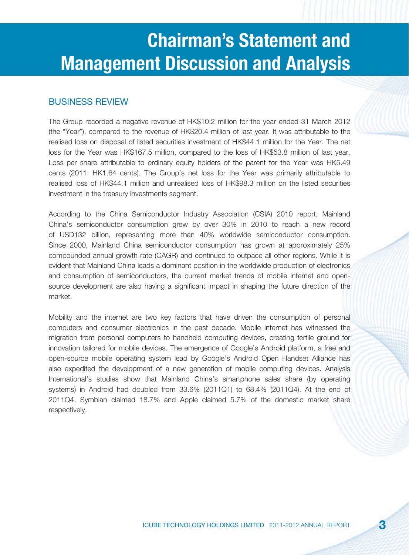#### BUSINESS REVIEW

The Group recorded a negative revenue of HK\$10.2 million for the year ended 31 March 2012 (the "Year"), compared to the revenue of HK\$20.4 million of last year. It was attributable to the realised loss on disposal of listed securities investment of HK\$44.1 million for the Year. The net loss for the Year was HK\$167.5 million, compared to the loss of HK\$53.8 million of last year. Loss per share attributable to ordinary equity holders of the parent for the Year was HK5.49 cents (2011: HK1.64 cents). The Group's net loss for the Year was primarily attributable to realised loss of HK\$44.1 million and unrealised loss of HK\$98.3 million on the listed securities investment in the treasury investments segment.

According to the China Semiconductor Industry Association (CSIA) 2010 report, Mainland China's semiconductor consumption grew by over 30% in 2010 to reach a new record of USD132 billion, representing more than 40% worldwide semiconductor consumption. Since 2000, Mainland China semiconductor consumption has grown at approximately 25% compounded annual growth rate (CAGR) and continued to outpace all other regions. While it is evident that Mainland China leads a dominant position in the worldwide production of electronics and consumption of semiconductors, the current market trends of mobile internet and opensource development are also having a significant impact in shaping the future direction of the market.

Mobility and the internet are two key factors that have driven the consumption of personal computers and consumer electronics in the past decade. Mobile internet has witnessed the migration from personal computers to handheld computing devices, creating fertile ground for innovation tailored for mobile devices. The emergence of Google's Android platform, a free and open-source mobile operating system lead by Google's Android Open Handset Alliance has also expedited the development of a new generation of mobile computing devices. Analysis International's studies show that Mainland China's smartphone sales share (by operating systems) in Android had doubled from 33.6% (2011Q1) to 68.4% (2011Q4). At the end of 2011Q4, Symbian claimed 18.7% and Apple claimed 5.7% of the domestic market share respectively.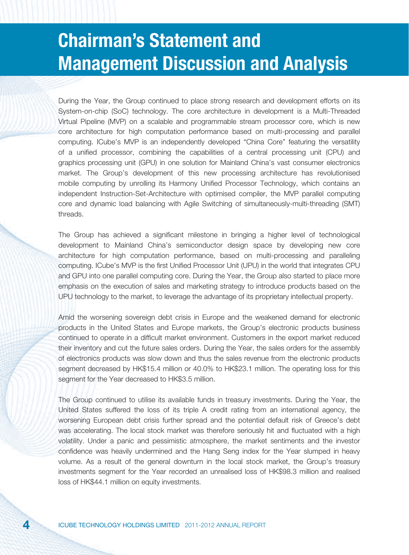During the Year, the Group continued to place strong research and development efforts on its System-on-chip (SoC) technology. The core architecture in development is a Multi-Threaded Virtual Pipeline (MVP) on a scalable and programmable stream processor core, which is new core architecture for high computation performance based on multi-processing and parallel computing. ICube's MVP is an independently developed "China Core" featuring the versatility of a unified processor, combining the capabilities of a central processing unit (CPU) and graphics processing unit (GPU) in one solution for Mainland China's vast consumer electronics market. The Group's development of this new processing architecture has revolutionised mobile computing by unrolling its Harmony Unified Processor Technology, which contains an independent Instruction-Set-Architecture with optimised compiler, the MVP parallel computing core and dynamic load balancing with Agile Switching of simultaneously-multi-threading (SMT) threads.

The Group has achieved a significant milestone in bringing a higher level of technological development to Mainland China's semiconductor design space by developing new core architecture for high computation performance, based on multi-processing and paralleling computing. ICube's MVP is the first Unified Processor Unit (UPU) in the world that integrates CPU and GPU into one parallel computing core. During the Year, the Group also started to place more emphasis on the execution of sales and marketing strategy to introduce products based on the UPU technology to the market, to leverage the advantage of its proprietary intellectual property.

Amid the worsening sovereign debt crisis in Europe and the weakened demand for electronic products in the United States and Europe markets, the Group's electronic products business continued to operate in a difficult market environment. Customers in the export market reduced their inventory and cut the future sales orders. During the Year, the sales orders for the assembly of electronics products was slow down and thus the sales revenue from the electronic products segment decreased by HK\$15.4 million or 40.0% to HK\$23.1 million. The operating loss for this segment for the Year decreased to HK\$3.5 million.

The Group continued to utilise its available funds in treasury investments. During the Year, the United States suffered the loss of its triple A credit rating from an international agency, the worsening European debt crisis further spread and the potential default risk of Greece's debt was accelerating. The local stock market was therefore seriously hit and fluctuated with a high volatility. Under a panic and pessimistic atmosphere, the market sentiments and the investor confidence was heavily undermined and the Hang Seng index for the Year slumped in heavy volume. As a result of the general downturn in the local stock market, the Group's treasury investments segment for the Year recorded an unrealised loss of HK\$98.3 million and realised loss of HK\$44.1 million on equity investments.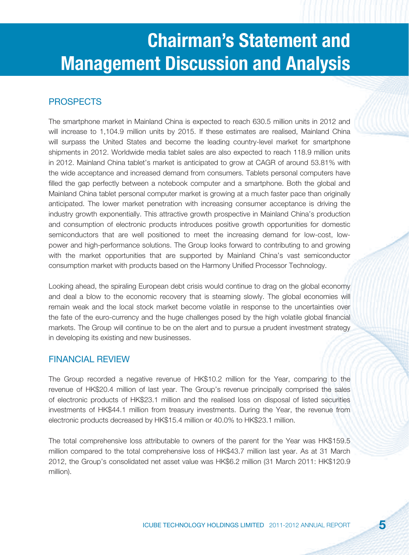### PROSPECTS

The smartphone market in Mainland China is expected to reach 630.5 million units in 2012 and will increase to 1,104.9 million units by 2015. If these estimates are realised, Mainland China will surpass the United States and become the leading country-level market for smartphone shipments in 2012. Worldwide media tablet sales are also expected to reach 118.9 million units in 2012. Mainland China tablet's market is anticipated to grow at CAGR of around 53.81% with the wide acceptance and increased demand from consumers. Tablets personal computers have filled the gap perfectly between a notebook computer and a smartphone. Both the global and Mainland China tablet personal computer market is growing at a much faster pace than originally anticipated. The lower market penetration with increasing consumer acceptance is driving the industry growth exponentially. This attractive growth prospective in Mainland China's production and consumption of electronic products introduces positive growth opportunities for domestic semiconductors that are well positioned to meet the increasing demand for low-cost, lowpower and high-performance solutions. The Group looks forward to contributing to and growing with the market opportunities that are supported by Mainland China's vast semiconductor consumption market with products based on the Harmony Unified Processor Technology.

Looking ahead, the spiraling European debt crisis would continue to drag on the global economy and deal a blow to the economic recovery that is steaming slowly. The global economies will remain weak and the local stock market become volatile in response to the uncertainties over the fate of the euro-currency and the huge challenges posed by the high volatile global financial markets. The Group will continue to be on the alert and to pursue a prudent investment strategy in developing its existing and new businesses.

#### FINANCIAL REVIEW

The Group recorded a negative revenue of HK\$10.2 million for the Year, comparing to the revenue of HK\$20.4 million of last year. The Group's revenue principally comprised the sales of electronic products of HK\$23.1 million and the realised loss on disposal of listed securities investments of HK\$44.1 million from treasury investments. During the Year, the revenue from electronic products decreased by HK\$15.4 million or 40.0% to HK\$23.1 million.

The total comprehensive loss attributable to owners of the parent for the Year was HK\$159.5 million compared to the total comprehensive loss of HK\$43.7 million last year. As at 31 March 2012, the Group's consolidated net asset value was HK\$6.2 million (31 March 2011: HK\$120.9 million).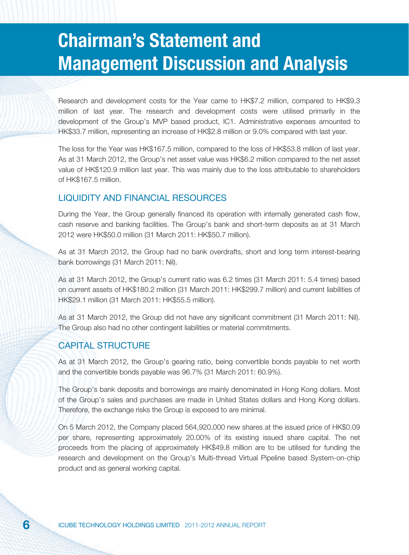Research and development costs for the Year came to HK\$7.2 million, compared to HK\$9.3 million of last year. The research and development costs were utilised primarily in the development of the Group's MVP based product, IC1. Administrative expenses amounted to HK\$33.7 million, representing an increase of HK\$2.8 million or 9.0% compared with last year.

The loss for the Year was HK\$167.5 million, compared to the loss of HK\$53.8 million of last year. As at 31 March 2012, the Group's net asset value was HK\$6.2 million compared to the net asset value of HK\$120.9 million last year. This was mainly due to the loss attributable to shareholders of HK\$167.5 million.

#### LIQUIDITY AND FINANCIAL RESOURCES

During the Year, the Group generally financed its operation with internally generated cash flow, cash reserve and banking facilities. The Group's bank and short-term deposits as at 31 March 2012 were HK\$50.0 million (31 March 2011: HK\$50.7 million).

As at 31 March 2012, the Group had no bank overdrafts, short and long term interest-bearing bank borrowings (31 March 2011: Nil).

As at 31 March 2012, the Group's current ratio was 6.2 times (31 March 2011: 5.4 times) based on current assets of HK\$180.2 million (31 March 2011: HK\$299.7 million) and current liabilities of HK\$29.1 million (31 March 2011: HK\$55.5 million).

As at 31 March 2012, the Group did not have any significant commitment (31 March 2011: Nil). The Group also had no other contingent liabilities or material commitments.

#### CAPITAL STRUCTURE

As at 31 March 2012, the Group's gearing ratio, being convertible bonds payable to net worth and the convertible bonds payable was 96.7% (31 March 2011: 60.9%).

The Group's bank deposits and borrowings are mainly denominated in Hong Kong dollars. Most of the Group's sales and purchases are made in United States dollars and Hong Kong dollars. Therefore, the exchange risks the Group is exposed to are minimal.

On 5 March 2012, the Company placed 564,920,000 new shares at the issued price of HK\$0.09 per share, representing approximately 20.00% of its existing issued share capital. The net proceeds from the placing of approximately HK\$49.8 million are to be utilised for funding the research and development on the Group's Multi-thread Virtual Pipeline based System-on-chip product and as general working capital.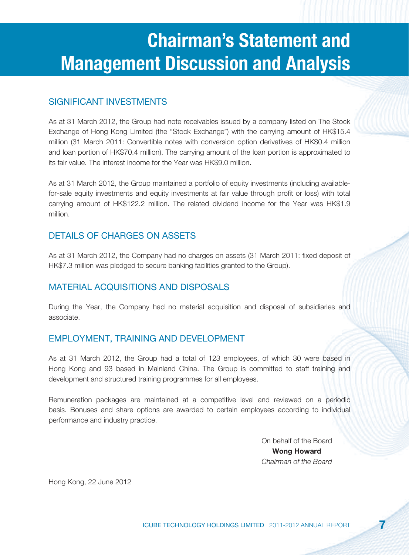### SIGNIFICANT INVESTMENTS

As at 31 March 2012, the Group had note receivables issued by a company listed on The Stock Exchange of Hong Kong Limited (the "Stock Exchange") with the carrying amount of HK\$15.4 million (31 March 2011: Convertible notes with conversion option derivatives of HK\$0.4 million and loan portion of HK\$70.4 million). The carrying amount of the loan portion is approximated to its fair value. The interest income for the Year was HK\$9.0 million.

As at 31 March 2012, the Group maintained a portfolio of equity investments (including availablefor-sale equity investments and equity investments at fair value through profit or loss) with total carrying amount of HK\$122.2 million. The related dividend income for the Year was HK\$1.9 million.

### DETAILS OF CHARGES ON ASSETS

As at 31 March 2012, the Company had no charges on assets (31 March 2011: fixed deposit of HK\$7.3 million was pledged to secure banking facilities granted to the Group).

### MATERIAL ACQUISITIONS AND DISPOSALS

During the Year, the Company had no material acquisition and disposal of subsidiaries and associate.

#### EMPLOYMENT, TRAINING AND DEVELOPMENT

As at 31 March 2012, the Group had a total of 123 employees, of which 30 were based in Hong Kong and 93 based in Mainland China. The Group is committed to staff training and development and structured training programmes for all employees.

Remuneration packages are maintained at a competitive level and reviewed on a periodic basis. Bonuses and share options are awarded to certain employees according to individual performance and industry practice.

> On behalf of the Board **Wong Howard** Chairman of the Board

Hong Kong, 22 June 2012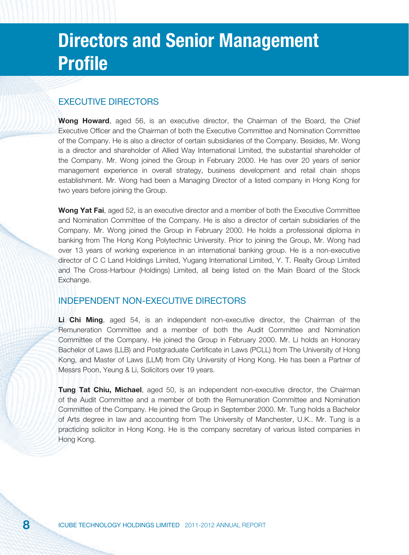# **Directors and Senior Management Profile**

#### EXECUTIVE DIRECTORS

**Wong Howard**, aged 56, is an executive director, the Chairman of the Board, the Chief Executive Officer and the Chairman of both the Executive Committee and Nomination Committee of the Company. He is also a director of certain subsidiaries of the Company. Besides, Mr. Wong is a director and shareholder of Allied Way International Limited, the substantial shareholder of the Company. Mr. Wong joined the Group in February 2000. He has over 20 years of senior management experience in overall strategy, business development and retail chain shops establishment. Mr. Wong had been a Managing Director of a listed company in Hong Kong for two years before joining the Group.

**Wong Yat Fai**, aged 52, is an executive director and a member of both the Executive Committee and Nomination Committee of the Company. He is also a director of certain subsidiaries of the Company. Mr. Wong joined the Group in February 2000. He holds a professional diploma in banking from The Hong Kong Polytechnic University. Prior to joining the Group, Mr. Wong had over 13 years of working experience in an international banking group. He is a non-executive director of C C Land Holdings Limited, Yugang International Limited, Y. T. Realty Group Limited and The Cross-Harbour (Holdings) Limited, all being listed on the Main Board of the Stock Exchange.

#### INDEPENDENT NON-EXECUTIVE DIRECTORS

**Li Chi Ming**, aged 54, is an independent non-executive director, the Chairman of the Remuneration Committee and a member of both the Audit Committee and Nomination Committee of the Company. He joined the Group in February 2000. Mr. Li holds an Honorary Bachelor of Laws (LLB) and Postgraduate Certificate in Laws (PCLL) from The University of Hong Kong, and Master of Laws (LLM) from City University of Hong Kong. He has been a Partner of Messrs Poon, Yeung & Li, Solicitors over 19 years.

**Tung Tat Chiu, Michael**, aged 50, is an independent non-executive director, the Chairman of the Audit Committee and a member of both the Remuneration Committee and Nomination Committee of the Company. He joined the Group in September 2000. Mr. Tung holds a Bachelor of Arts degree in law and accounting from The University of Manchester, U.K.. Mr. Tung is a practicing solicitor in Hong Kong. He is the company secretary of various listed companies in Hong Kong.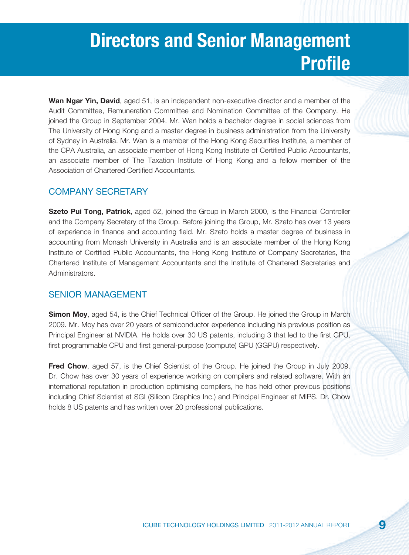# **Directors and Senior Management Profile**

**Wan Ngar Yin, David**, aged 51, is an independent non-executive director and a member of the Audit Committee, Remuneration Committee and Nomination Committee of the Company. He joined the Group in September 2004. Mr. Wan holds a bachelor degree in social sciences from The University of Hong Kong and a master degree in business administration from the University of Sydney in Australia. Mr. Wan is a member of the Hong Kong Securities Institute, a member of the CPA Australia, an associate member of Hong Kong Institute of Certified Public Accountants, an associate member of The Taxation Institute of Hong Kong and a fellow member of the Association of Chartered Certified Accountants

#### COMPANY SECRETARY

**Szeto Pui Tong, Patrick**, aged 52, joined the Group in March 2000, is the Financial Controller and the Company Secretary of the Group. Before joining the Group, Mr. Szeto has over 13 years of experience in finance and accounting field. Mr. Szeto holds a master degree of business in accounting from Monash University in Australia and is an associate member of the Hong Kong Institute of Certified Public Accountants, the Hong Kong Institute of Company Secretaries, the Chartered Institute of Management Accountants and the Institute of Chartered Secretaries and Administrators.

#### SENIOR MANAGEMENT

**Simon Moy**, aged 54, is the Chief Technical Officer of the Group. He joined the Group in March 2009. Mr. Moy has over 20 years of semiconductor experience including his previous position as Principal Engineer at NVIDIA. He holds over 30 US patents, including 3 that led to the first GPU, first programmable CPU and first general-purpose (compute) GPU (GGPU) respectively.

**Fred Chow**, aged 57, is the Chief Scientist of the Group. He joined the Group in July 2009. Dr. Chow has over 30 years of experience working on compilers and related software. With an international reputation in production optimising compilers, he has held other previous positions including Chief Scientist at SGI (Silicon Graphics Inc.) and Principal Engineer at MIPS. Dr. Chow holds 8 US patents and has written over 20 professional publications.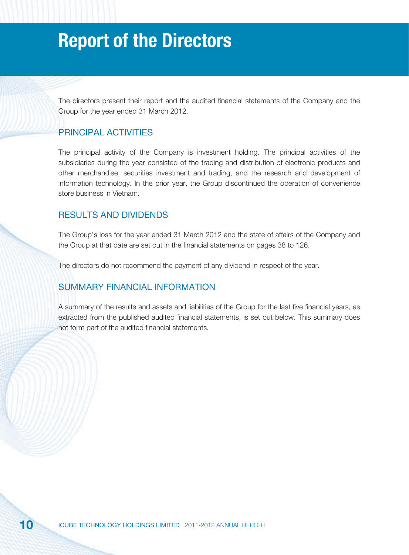The directors present their report and the audited financial statements of the Company and the Group for the year ended 31 March 2012.

#### PRINCIPAL ACTIVITIES

The principal activity of the Company is investment holding. The principal activities of the subsidiaries during the year consisted of the trading and distribution of electronic products and other merchandise, securities investment and trading, and the research and development of information technology. In the prior year, the Group discontinued the operation of convenience store business in Vietnam.

#### RESULTS AND DIVIDENDS

The Group's loss for the year ended 31 March 2012 and the state of affairs of the Company and the Group at that date are set out in the financial statements on pages 38 to 126.

The directors do not recommend the payment of any dividend in respect of the year.

#### SUMMARY FINANCIAL INFORMATION

A summary of the results and assets and liabilities of the Group for the last five financial years, as extracted from the published audited financial statements, is set out below. This summary does not form part of the audited financial statements.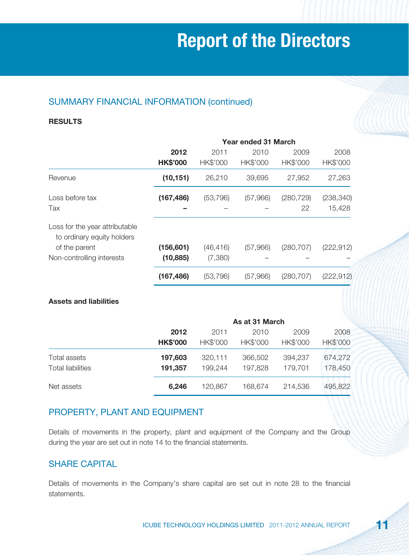### SUMMARY FINANCIAL INFORMATION (continued)

#### **RESULTS**

|                                                              | <b>Year ended 31 March</b> |           |          |            |            |
|--------------------------------------------------------------|----------------------------|-----------|----------|------------|------------|
|                                                              | 2012                       | 2011      | 2010     | 2009       | 2008       |
|                                                              | <b>HK\$'000</b>            | HK\$'000  | HK\$'000 | HK\$'000   | HK\$'000   |
| Revenue                                                      | (10, 151)                  | 26,210    | 39,695   | 27,952     | 27,263     |
| Loss before tax                                              | (167, 486)                 | (53, 796) | (57,966) | (280, 729) | (238, 340) |
| Tax                                                          |                            |           |          | 22         | 15,428     |
| Loss for the year attributable<br>to ordinary equity holders |                            |           |          |            |            |
| of the parent                                                | (156, 601)                 | (46, 416) | (57,966) | (280, 707) | (222, 912) |
| Non-controlling interests                                    | (10, 885)                  | (7,380)   |          |            |            |
|                                                              | (167, 486)                 | (53, 796) | (57,966) | (280, 707) | (222, 912) |

#### **Assets and liabilities**

|                          |                 | As at 31 March |          |          |          |
|--------------------------|-----------------|----------------|----------|----------|----------|
|                          | 2012            | 2011           | 2010     | 2009     | 2008     |
|                          | <b>HK\$'000</b> | HK\$'000       | HK\$'000 | HK\$'000 | HK\$'000 |
| Total assets             | 197,603         | 320,111        | 366,502  | 394,237  | 674,272  |
| <b>Total liabilities</b> | 191,357         | 199,244        | 197,828  | 179,701  | 178,450  |
| Net assets               | 6,246           | 120,867        | 168,674  | 214,536  | 495,822  |

### PROPERTY, PLANT AND EQUIPMENT

Details of movements in the property, plant and equipment of the Company and the Group during the year are set out in note 14 to the financial statements.

#### SHARE CAPITAL

Details of movements in the Company's share capital are set out in note 28 to the financial statements.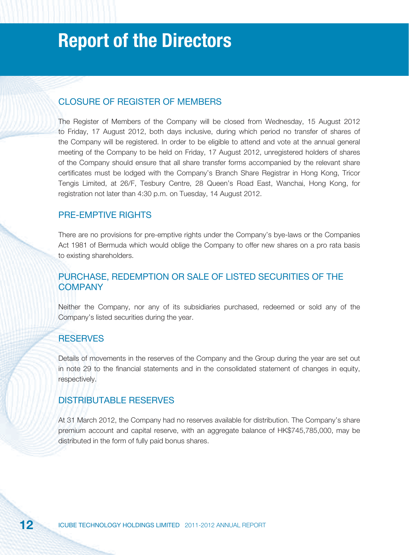#### CLOSURE OF REGISTER OF MEMBERS

The Register of Members of the Company will be closed from Wednesday, 15 August 2012 to Friday, 17 August 2012, both days inclusive, during which period no transfer of shares of the Company will be registered. In order to be eligible to attend and vote at the annual general meeting of the Company to be held on Friday, 17 August 2012, unregistered holders of shares of the Company should ensure that all share transfer forms accompanied by the relevant share certificates must be lodged with the Company's Branch Share Registrar in Hong Kong, Tricor Tengis Limited, at 26/F, Tesbury Centre, 28 Queen's Road East, Wanchai, Hong Kong, for registration not later than 4:30 p.m. on Tuesday, 14 August 2012.

#### PRE-EMPTIVE RIGHTS

There are no provisions for pre-emptive rights under the Company's bye-laws or the Companies Act 1981 of Bermuda which would oblige the Company to offer new shares on a pro rata basis to existing shareholders.

#### PURCHASE, REDEMPTION OR SALE OF LISTED SECURITIES OF THE **COMPANY**

Neither the Company, nor any of its subsidiaries purchased, redeemed or sold any of the Company's listed securities during the year.

#### **RESERVES**

Details of movements in the reserves of the Company and the Group during the year are set out in note 29 to the financial statements and in the consolidated statement of changes in equity, respectively.

#### DISTRIBUTABLE RESERVES

At 31 March 2012, the Company had no reserves available for distribution. The Company's share premium account and capital reserve, with an aggregate balance of HK\$745,785,000, may be distributed in the form of fully paid bonus shares.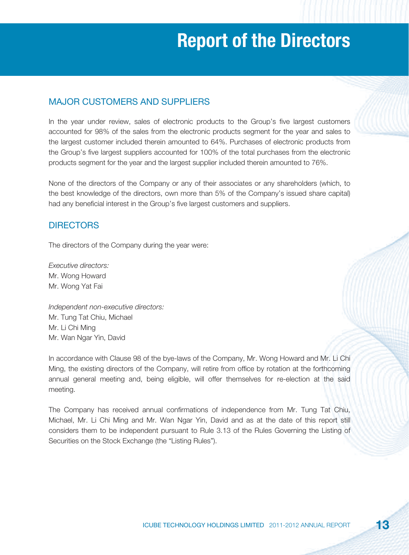#### MAJOR CUSTOMERS AND SUPPLIERS

In the year under review, sales of electronic products to the Group's five largest customers accounted for 98% of the sales from the electronic products segment for the year and sales to the largest customer included therein amounted to 64%. Purchases of electronic products from the Group's five largest suppliers accounted for 100% of the total purchases from the electronic products segment for the year and the largest supplier included therein amounted to 76%.

None of the directors of the Company or any of their associates or any shareholders (which, to the best knowledge of the directors, own more than 5% of the Company's issued share capital) had any beneficial interest in the Group's five largest customers and suppliers.

#### **DIRECTORS**

The directors of the Company during the year were:

Executive directors: Mr. Wong Howard Mr. Wong Yat Fai

Independent non-executive directors: Mr. Tung Tat Chiu, Michael Mr. Li Chi Ming Mr. Wan Ngar Yin, David

In accordance with Clause 98 of the bye-laws of the Company, Mr. Wong Howard and Mr. Li Chi Ming, the existing directors of the Company, will retire from office by rotation at the forthcoming annual general meeting and, being eligible, will offer themselves for re-election at the said meeting.

The Company has received annual confirmations of independence from Mr. Tung Tat Chiu, Michael, Mr. Li Chi Ming and Mr. Wan Ngar Yin, David and as at the date of this report still considers them to be independent pursuant to Rule 3.13 of the Rules Governing the Listing of Securities on the Stock Exchange (the "Listing Rules").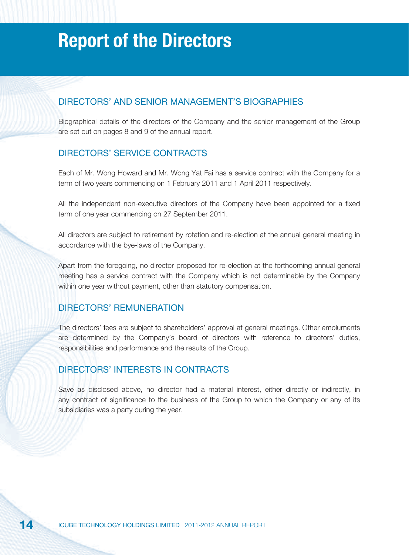#### DIRECTORS' AND SENIOR MANAGEMENT'S BIOGRAPHIES

Biographical details of the directors of the Company and the senior management of the Group are set out on pages 8 and 9 of the annual report.

#### DIRECTORS' SERVICE CONTRACTS

Each of Mr. Wong Howard and Mr. Wong Yat Fai has a service contract with the Company for a term of two years commencing on 1 February 2011 and 1 April 2011 respectively.

All the independent non-executive directors of the Company have been appointed for a fixed term of one year commencing on 27 September 2011.

All directors are subject to retirement by rotation and re-election at the annual general meeting in accordance with the bye-laws of the Company.

Apart from the foregoing, no director proposed for re-election at the forthcoming annual general meeting has a service contract with the Company which is not determinable by the Company within one year without payment, other than statutory compensation.

#### DIRECTORS' REMUNERATION

The directors' fees are subject to shareholders' approval at general meetings. Other emoluments are determined by the Company's board of directors with reference to directors' duties, responsibilities and performance and the results of the Group.

#### DIRECTORS' INTERESTS IN CONTRACTS

Save as disclosed above, no director had a material interest, either directly or indirectly, in any contract of significance to the business of the Group to which the Company or any of its subsidiaries was a party during the year.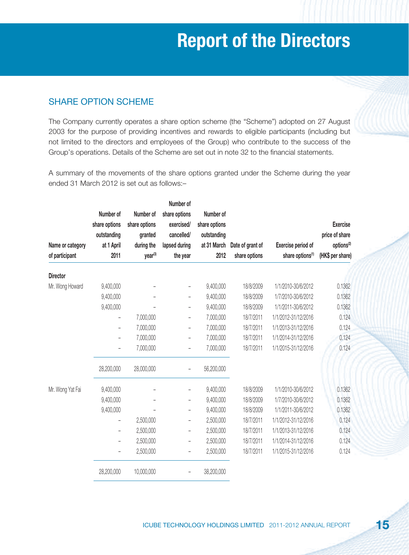#### SHARE OPTION SCHEME

The Company currently operates a share option scheme (the "Scheme") adopted on 27 August 2003 for the purpose of providing incentives and rewards to eligible participants (including but not limited to the directors and employees of the Group) who contribute to the success of the Group's operations. Details of the Scheme are set out in note 32 to the financial statements.

A summary of the movements of the share options granted under the Scheme during the year ended 31 March 2012 is set out as follows:–

|                  |                          |               | Number of                |               |                  |                              |                        |
|------------------|--------------------------|---------------|--------------------------|---------------|------------------|------------------------------|------------------------|
|                  | Number of                | Number of     | share options            | Number of     |                  |                              |                        |
|                  | share options            | share options | exercised/               | share options |                  |                              | <b>Exercise</b>        |
|                  | outstanding              | granted       | cancelled/               | outstanding   |                  |                              | price of share         |
| Name or category | at 1 April               | during the    | lapsed during            | at 31 March   | Date of grant of | Exercise period of           | options <sup>(2)</sup> |
| of participant   | 2011                     | year(3)       | the year                 | 2012          | share options    | share options <sup>(1)</sup> | (HK\$ per share)       |
| <b>Director</b>  |                          |               |                          |               |                  |                              |                        |
| Mr. Wong Howard  | 9,400,000                |               |                          | 9,400,000     | 18/8/2009        | 1/1/2010-30/6/2012           | 0.1362                 |
|                  | 9,400,000                |               | $\overline{\phantom{0}}$ | 9,400,000     | 18/8/2009        | 1/7/2010-30/6/2012           | 0.1362                 |
|                  | 9,400,000                |               | $\overline{\phantom{0}}$ | 9,400,000     | 18/8/2009        | 1/1/2011-30/6/2012           | 0.1362                 |
|                  | $\overline{\phantom{0}}$ | 7,000,000     | $\overline{\phantom{a}}$ | 7,000,000     | 18/7/2011        | 1/1/2012-31/12/2016          | 0.124                  |
|                  | $\overline{\phantom{a}}$ | 7,000,000     | $\overline{\phantom{0}}$ | 7,000,000     | 18/7/2011        | 1/1/2013-31/12/2016          | 0.124                  |
|                  | $\qquad \qquad -$        | 7,000,000     |                          | 7,000,000     | 18/7/2011        | 1/1/2014-31/12/2016          | 0.124                  |
|                  |                          | 7,000,000     |                          | 7,000,000     | 18/7/2011        | 1/1/2015-31/12/2016          | 0.124                  |
|                  | 28,200,000               | 28,000,000    | $\overline{\phantom{0}}$ | 56,200,000    |                  |                              |                        |
| Mr. Wong Yat Fai | 9,400,000                |               |                          | 9,400,000     | 18/8/2009        | 1/1/2010-30/6/2012           | 0.1362                 |
|                  | 9,400,000                |               | $\overline{\phantom{0}}$ | 9,400,000     | 18/8/2009        | 1/7/2010-30/6/2012           | 0.1362                 |
|                  | 9,400,000                |               | $\qquad \qquad -$        | 9,400,000     | 18/8/2009        | 1/1/2011-30/6/2012           | 0.1362                 |
|                  | $\overline{\phantom{0}}$ | 2,500,000     | $\qquad \qquad -$        | 2,500,000     | 18/7/2011        | 1/1/2012-31/12/2016          | 0.124                  |
|                  | $\overline{\phantom{0}}$ | 2,500,000     | $\overline{\phantom{0}}$ | 2,500,000     | 18/7/2011        | 1/1/2013-31/12/2016          | 0.124                  |
|                  | $\overline{\phantom{0}}$ | 2,500,000     |                          | 2,500,000     | 18/7/2011        | 1/1/2014-31/12/2016          | 0.124                  |
|                  | $\qquad \qquad -$        | 2,500,000     | $\overline{\phantom{0}}$ | 2,500,000     | 18/7/2011        | 1/1/2015-31/12/2016          | 0.124                  |
|                  | 28,200,000               | 10,000,000    | $\overline{a}$           | 38,200,000    |                  |                              |                        |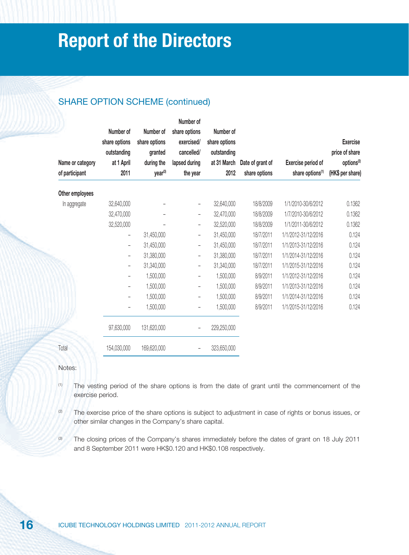### SHARE OPTION SCHEME (continued)

| Name or category<br>of participant | Number of<br>share options<br>outstanding<br>at 1 April<br>2011 | Number of<br>share options<br>granted<br>during the<br>year <sup>(3)</sup> | Number of<br>share options<br>exercised/<br>cancelled/<br>lapsed during<br>the year | Number of<br>share options<br>outstanding<br>at 31 March<br>2012 | Date of grant of<br>share options | Exercise period of<br>share options <sup>(1)</sup> | <b>Exercise</b><br>price of share<br>options <sup>(2)</sup><br>(HK\$ per share) |
|------------------------------------|-----------------------------------------------------------------|----------------------------------------------------------------------------|-------------------------------------------------------------------------------------|------------------------------------------------------------------|-----------------------------------|----------------------------------------------------|---------------------------------------------------------------------------------|
| Other employees                    |                                                                 |                                                                            |                                                                                     |                                                                  |                                   |                                                    |                                                                                 |
| In aggregate                       | 32,640,000                                                      |                                                                            | -                                                                                   | 32,640,000                                                       | 18/8/2009                         | 1/1/2010-30/6/2012                                 | 0.1362                                                                          |
|                                    | 32,470,000                                                      |                                                                            | -                                                                                   | 32,470,000                                                       | 18/8/2009                         | 1/7/2010-30/6/2012                                 | 0.1362                                                                          |
|                                    | 32,520,000                                                      |                                                                            | -                                                                                   | 32,520,000                                                       | 18/8/2009                         | 1/1/2011-30/6/2012                                 | 0.1362                                                                          |
|                                    | $\qquad \qquad -$                                               | 31,450,000                                                                 | -                                                                                   | 31,450,000                                                       | 18/7/2011                         | 1/1/2012-31/12/2016                                | 0.124                                                                           |
|                                    | $\qquad \qquad -$                                               | 31,450,000                                                                 | $\overline{\phantom{0}}$                                                            | 31,450,000                                                       | 18/7/2011                         | 1/1/2013-31/12/2016                                | 0.124                                                                           |
|                                    | $\overline{\phantom{a}}$                                        | 31,380,000                                                                 | $\overline{\phantom{0}}$                                                            | 31,380,000                                                       | 18/7/2011                         | 1/1/2014-31/12/2016                                | 0.124                                                                           |
|                                    | $\overline{\phantom{a}}$                                        | 31,340,000                                                                 | $\overline{\phantom{0}}$                                                            | 31,340,000                                                       | 18/7/2011                         | 1/1/2015-31/12/2016                                | 0.124                                                                           |
|                                    | -                                                               | 1,500,000                                                                  | -                                                                                   | 1,500,000                                                        | 8/9/2011                          | 1/1/2012-31/12/2016                                | 0.124                                                                           |
|                                    | $\overline{\phantom{a}}$                                        | 1,500,000                                                                  | -                                                                                   | 1,500,000                                                        | 8/9/2011                          | 1/1/2013-31/12/2016                                | 0.124                                                                           |
|                                    | $\overline{\phantom{a}}$                                        | 1,500,000                                                                  | $\overline{\phantom{0}}$                                                            | 1,500,000                                                        | 8/9/2011                          | 1/1/2014-31/12/2016                                | 0.124                                                                           |
|                                    | $\qquad \qquad -$                                               | 1,500,000                                                                  | $\overline{\phantom{0}}$                                                            | 1,500,000                                                        | 8/9/2011                          | 1/1/2015-31/12/2016                                | 0.124                                                                           |
|                                    | 97,630,000                                                      | 131,620,000                                                                | -                                                                                   | 229,250,000                                                      |                                   |                                                    |                                                                                 |
| Total                              | 154,030,000                                                     | 169,620,000                                                                |                                                                                     | 323,650,000                                                      |                                   |                                                    |                                                                                 |

Notes:

- (1) The vesting period of the share options is from the date of grant until the commencement of the exercise period.
- <sup>(2)</sup> The exercise price of the share options is subject to adjustment in case of rights or bonus issues, or other similar changes in the Company's share capital.
- <sup>(3)</sup> The closing prices of the Company's shares immediately before the dates of grant on 18 July 2011 and 8 September 2011 were HK\$0.120 and HK\$0.108 respectively.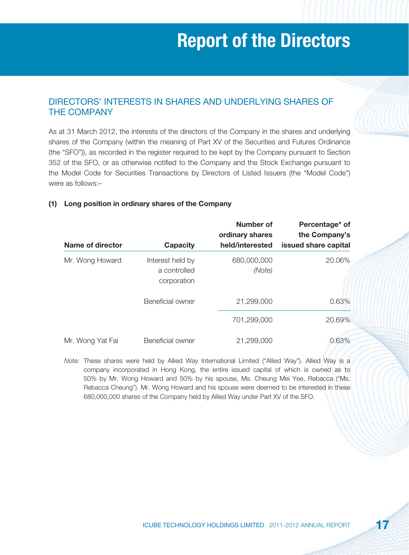#### DIRECTORS' INTERESTS IN SHARES AND UNDERLYING SHARES OF THE COMPANY

As at 31 March 2012, the interests of the directors of the Company in the shares and underlying shares of the Company (within the meaning of Part XV of the Securities and Futures Ordinance (the "SFO")), as recorded in the register required to be kept by the Company pursuant to Section 352 of the SFO, or as otherwise notified to the Company and the Stock Exchange pursuant to the Model Code for Securities Transactions by Directors of Listed Issuers (the "Model Code") were as follows:–

### **Number of Percentage\* of ordinary shares the Company's Name of director Capacity held/interested issued share capital** Mr. Wong Howard Interest held by 680,000,000 20.06% a controlled (Note) corporation Beneficial owner 21,299,000 0.63% 701,299,000 20.69% Mr. Wong Yat Fai Beneficial owner 21,299,000 0.63%

#### **(1) Long position in ordinary shares of the Company**

Note: These shares were held by Allied Way International Limited ("Allied Way"). Allied Way is a company incorporated in Hong Kong, the entire issued capital of which is owned as to 50% by Mr. Wong Howard and 50% by his spouse, Ms. Cheung Mei Yee, Rebacca ("Ms. Rebacca Cheung"). Mr. Wong Howard and his spouse were deemed to be interested in these 680,000,000 shares of the Company held by Allied Way under Part XV of the SFO.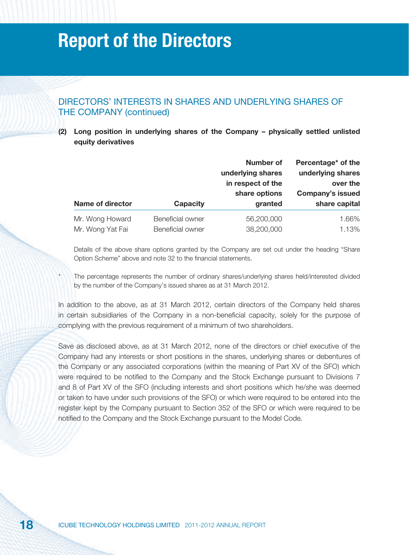#### DIRECTORS' INTERESTS IN SHARES AND UNDERLYING SHARES OF THE COMPANY (continued)

**(2) Long position in underlying shares of the Company – physically settled unlisted equity derivatives**

|                                     |                                      | Number of<br>underlying shares<br>in respect of the<br>share options | Percentage* of the<br>underlying shares<br>over the<br><b>Company's issued</b> |
|-------------------------------------|--------------------------------------|----------------------------------------------------------------------|--------------------------------------------------------------------------------|
| Name of director                    | <b>Capacity</b>                      | granted                                                              | share capital                                                                  |
| Mr. Wong Howard<br>Mr. Wong Yat Fai | Beneficial owner<br>Beneficial owner | 56,200,000<br>38,200,000                                             | 1.66%<br>1.13%                                                                 |

Details of the above share options granted by the Company are set out under the heading "Share Option Scheme" above and note 32 to the financial statements.

The percentage represents the number of ordinary shares/underlying shares held/interested divided by the number of the Company's issued shares as at 31 March 2012.

In addition to the above, as at 31 March 2012, certain directors of the Company held shares in certain subsidiaries of the Company in a non-beneficial capacity, solely for the purpose of complying with the previous requirement of a minimum of two shareholders.

Save as disclosed above, as at 31 March 2012, none of the directors or chief executive of the Company had any interests or short positions in the shares, underlying shares or debentures of the Company or any associated corporations (within the meaning of Part XV of the SFO) which were required to be notified to the Company and the Stock Exchange pursuant to Divisions 7 and 8 of Part XV of the SFO (including interests and short positions which he/she was deemed or taken to have under such provisions of the SFO) or which were required to be entered into the register kept by the Company pursuant to Section 352 of the SFO or which were required to be notified to the Company and the Stock Exchange pursuant to the Model Code.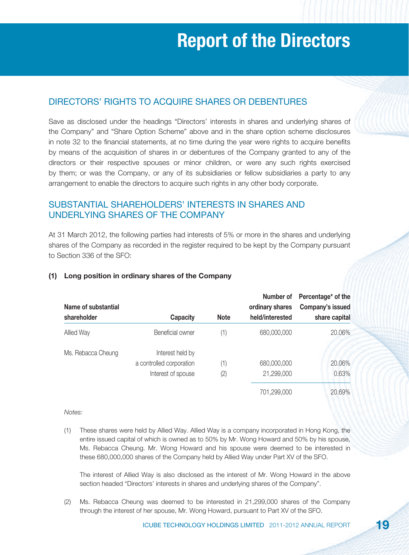### DIRECTORS' RIGHTS TO ACQUIRE SHARES OR DEBENTURES

Save as disclosed under the headings "Directors' interests in shares and underlying shares of the Company" and "Share Option Scheme" above and in the share option scheme disclosures in note 32 to the financial statements, at no time during the year were rights to acquire benefits by means of the acquisition of shares in or debentures of the Company granted to any of the directors or their respective spouses or minor children, or were any such rights exercised by them; or was the Company, or any of its subsidiaries or fellow subsidiaries a party to any arrangement to enable the directors to acquire such rights in any other body corporate.

### SUBSTANTIAL SHAREHOLDERS' INTERESTS IN SHARES AND UNDERLYING SHARES OF THE COMPANY

At 31 March 2012, the following parties had interests of 5% or more in the shares and underlying shares of the Company as recorded in the register required to be kept by the Company pursuant to Section 336 of the SFO:

| Name of substantial<br>shareholder | <b>Capacity</b>                                                    | <b>Note</b> | Number of<br>ordinary shares<br>held/interested | Percentage* of the<br>Company's issued<br>share capital |
|------------------------------------|--------------------------------------------------------------------|-------------|-------------------------------------------------|---------------------------------------------------------|
| Allied Way                         | Beneficial owner                                                   | (1)         | 680,000,000                                     | 20.06%                                                  |
| Ms. Rebacca Cheung                 | Interest held by<br>a controlled corporation<br>Interest of spouse | (1)<br>(2)  | 680,000,000<br>21,299,000                       | 20.06%<br>0.63%                                         |
|                                    |                                                                    |             | 701,299,000                                     | 20.69%                                                  |

#### **(1) Long position in ordinary shares of the Company**

Notes:

(1) These shares were held by Allied Way. Allied Way is a company incorporated in Hong Kong, the entire issued capital of which is owned as to 50% by Mr. Wong Howard and 50% by his spouse, Ms. Rebacca Cheung. Mr. Wong Howard and his spouse were deemed to be interested in these 680,000,000 shares of the Company held by Allied Way under Part XV of the SFO.

 The interest of Allied Way is also disclosed as the interest of Mr. Wong Howard in the above section headed "Directors' interests in shares and underlying shares of the Company".

(2) Ms. Rebacca Cheung was deemed to be interested in 21,299,000 shares of the Company through the interest of her spouse, Mr. Wong Howard, pursuant to Part XV of the SFO.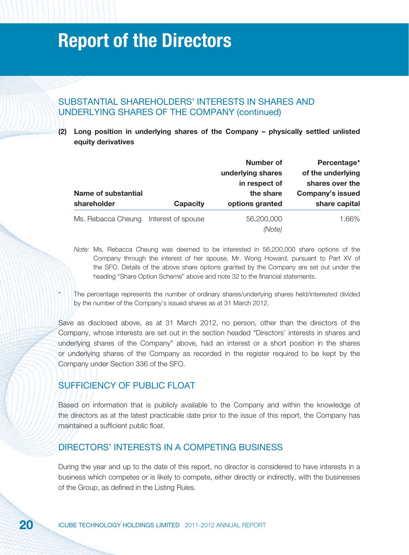#### SUBSTANTIAL SHAREHOLDERS' INTERESTS IN SHARES AND UNDERLYING SHARES OF THE COMPANY (continued)

**(2) Long position in underlying shares of the Company – physically settled unlisted equity derivatives**

| <b>Name of substantial</b><br>shareholder | <b>Capacity</b>    | <b>Number of</b><br>underlying shares<br>in respect of<br>the share<br>options granted | Percentage*<br>of the underlying<br>shares over the<br><b>Company's issued</b><br>share capital |
|-------------------------------------------|--------------------|----------------------------------------------------------------------------------------|-------------------------------------------------------------------------------------------------|
| Ms. Rebacca Cheung                        | Interest of spouse | 56,200,000                                                                             | 1.66%                                                                                           |
|                                           |                    | (Note)                                                                                 |                                                                                                 |

- Note: Ms. Rebacca Cheung was deemed to be interested in 56,200,000 share options of the Company through the interest of her spouse, Mr. Wong Howard, pursuant to Part XV of the SFO. Details of the above share options granted by the Company are set out under the heading "Share Option Scheme" above and note 32 to the financial statements.
- The percentage represents the number of ordinary shares/underlying shares held/interested divided by the number of the Company's issued shares as at 31 March 2012.

Save as disclosed above, as at 31 March 2012, no person, other than the directors of the Company, whose interests are set out in the section headed "Directors' interests in shares and underlying shares of the Company" above, had an interest or a short position in the shares or underlying shares of the Company as recorded in the register required to be kept by the Company under Section 336 of the SFO.

#### SUFFICIENCY OF PUBLIC FLOAT

Based on information that is publicly available to the Company and within the knowledge of the directors as at the latest practicable date prior to the issue of this report, the Company has maintained a sufficient public float.

#### DIRECTORS' INTERESTS IN A COMPETING BUSINESS

During the year and up to the date of this report, no director is considered to have interests in a business which competes or is likely to compete, either directly or indirectly, with the businesses of the Group, as defined in the Listing Rules.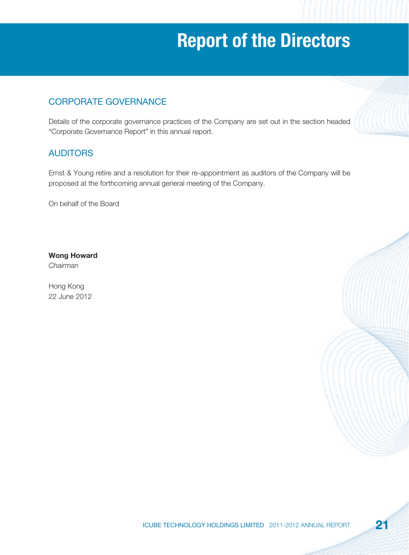### CORPORATE GOVERNANCE

Details of the corporate governance practices of the Company are set out in the section headed "Corporate Governance Report" in this annual report.

### AUDITORS

Ernst & Young retire and a resolution for their re-appointment as auditors of the Company will be proposed at the forthcoming annual general meeting of the Company.

On behalf of the Board

**Wong Howard** Chairman

Hong Kong 22 June 2012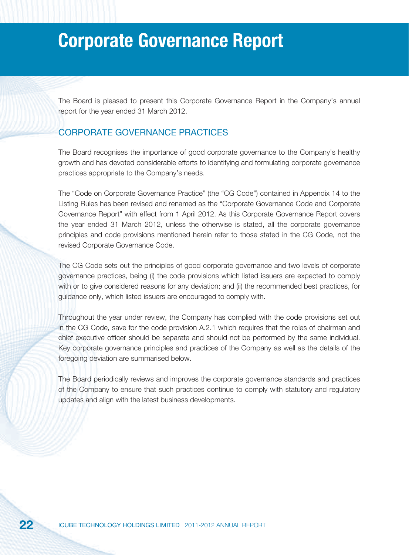The Board is pleased to present this Corporate Governance Report in the Company's annual report for the year ended 31 March 2012.

#### CORPORATE GOVERNANCE PRACTICES

The Board recognises the importance of good corporate governance to the Company's healthy growth and has devoted considerable efforts to identifying and formulating corporate governance practices appropriate to the Company's needs.

The "Code on Corporate Governance Practice" (the "CG Code") contained in Appendix 14 to the Listing Rules has been revised and renamed as the "Corporate Governance Code and Corporate Governance Report" with effect from 1 April 2012. As this Corporate Governance Report covers the year ended 31 March 2012, unless the otherwise is stated, all the corporate governance principles and code provisions mentioned herein refer to those stated in the CG Code, not the revised Corporate Governance Code.

The CG Code sets out the principles of good corporate governance and two levels of corporate governance practices, being (i) the code provisions which listed issuers are expected to comply with or to give considered reasons for any deviation; and (ii) the recommended best practices, for guidance only, which listed issuers are encouraged to comply with.

Throughout the year under review, the Company has complied with the code provisions set out in the CG Code, save for the code provision A.2.1 which requires that the roles of chairman and chief executive officer should be separate and should not be performed by the same individual. Key corporate governance principles and practices of the Company as well as the details of the foregoing deviation are summarised below.

The Board periodically reviews and improves the corporate governance standards and practices of the Company to ensure that such practices continue to comply with statutory and regulatory updates and align with the latest business developments.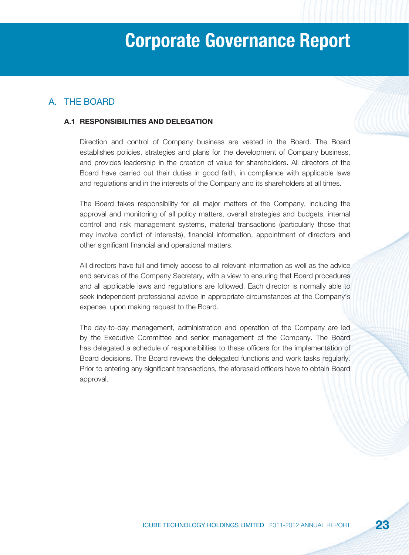### A. THE BOARD

#### **A.1 RESPONSIBILITIES AND DELEGATION**

Direction and control of Company business are vested in the Board. The Board establishes policies, strategies and plans for the development of Company business, and provides leadership in the creation of value for shareholders. All directors of the Board have carried out their duties in good faith, in compliance with applicable laws and regulations and in the interests of the Company and its shareholders at all times.

The Board takes responsibility for all major matters of the Company, including the approval and monitoring of all policy matters, overall strategies and budgets, internal control and risk management systems, material transactions (particularly those that may involve conflict of interests), financial information, appointment of directors and other significant financial and operational matters.

All directors have full and timely access to all relevant information as well as the advice and services of the Company Secretary, with a view to ensuring that Board procedures and all applicable laws and regulations are followed. Each director is normally able to seek independent professional advice in appropriate circumstances at the Company's expense, upon making request to the Board.

The day-to-day management, administration and operation of the Company are led by the Executive Committee and senior management of the Company. The Board has delegated a schedule of responsibilities to these officers for the implementation of Board decisions. The Board reviews the delegated functions and work tasks regularly. Prior to entering any significant transactions, the aforesaid officers have to obtain Board approval.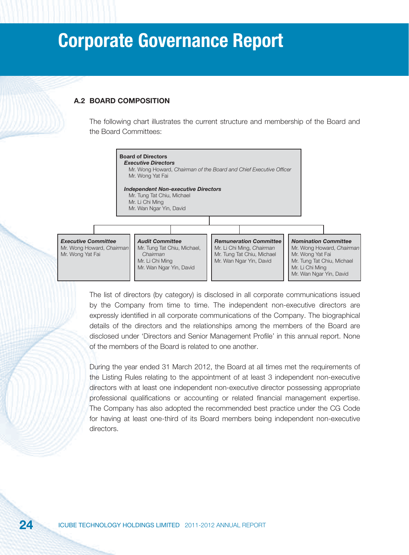#### **A.2 BOARD COMPOSITION**

The following chart illustrates the current structure and membership of the Board and the Board Committees:



The list of directors (by category) is disclosed in all corporate communications issued by the Company from time to time. The independent non-executive directors are expressly identified in all corporate communications of the Company. The biographical details of the directors and the relationships among the members of the Board are disclosed under 'Directors and Senior Management Profile' in this annual report. None of the members of the Board is related to one another.

During the year ended 31 March 2012, the Board at all times met the requirements of the Listing Rules relating to the appointment of at least 3 independent non-executive directors with at least one independent non-executive director possessing appropriate professional qualifications or accounting or related financial management expertise. The Company has also adopted the recommended best practice under the CG Code for having at least one-third of its Board members being independent non-executive directors.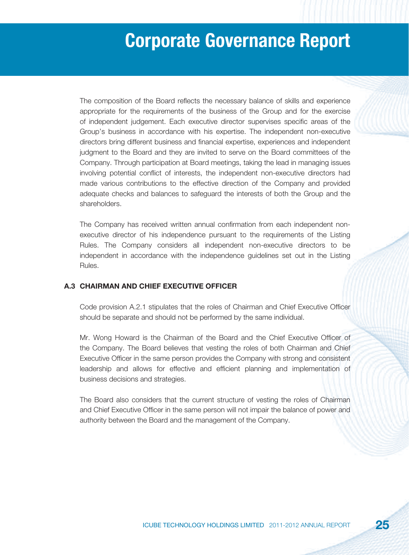The composition of the Board reflects the necessary balance of skills and experience appropriate for the requirements of the business of the Group and for the exercise of independent judgement. Each executive director supervises specific areas of the Group's business in accordance with his expertise. The independent non-executive directors bring different business and financial expertise, experiences and independent judgment to the Board and they are invited to serve on the Board committees of the Company. Through participation at Board meetings, taking the lead in managing issues involving potential conflict of interests, the independent non-executive directors had made various contributions to the effective direction of the Company and provided adequate checks and balances to safeguard the interests of both the Group and the shareholders.

The Company has received written annual confirmation from each independent nonexecutive director of his independence pursuant to the requirements of the Listing Rules. The Company considers all independent non-executive directors to be independent in accordance with the independence guidelines set out in the Listing Rules.

#### **A.3 CHAIRMAN AND CHIEF EXECUTIVE OFFICER**

Code provision A.2.1 stipulates that the roles of Chairman and Chief Executive Officer should be separate and should not be performed by the same individual.

Mr. Wong Howard is the Chairman of the Board and the Chief Executive Officer of the Company. The Board believes that vesting the roles of both Chairman and Chief Executive Officer in the same person provides the Company with strong and consistent leadership and allows for effective and efficient planning and implementation of business decisions and strategies.

The Board also considers that the current structure of vesting the roles of Chairman and Chief Executive Officer in the same person will not impair the balance of power and authority between the Board and the management of the Company.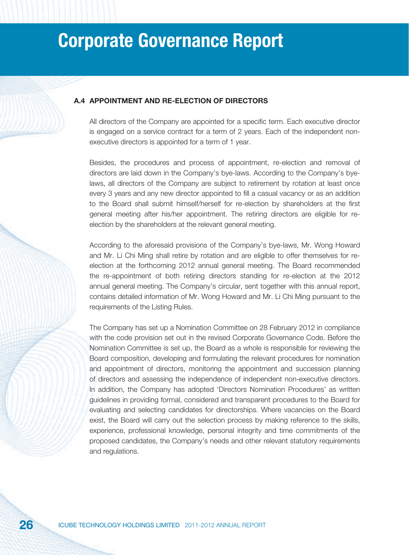#### **A.4 APPOINTMENT AND RE-ELECTION OF DIRECTORS**

All directors of the Company are appointed for a specific term. Each executive director is engaged on a service contract for a term of 2 years. Each of the independent nonexecutive directors is appointed for a term of 1 year.

Besides, the procedures and process of appointment, re-election and removal of directors are laid down in the Company's bye-laws. According to the Company's byelaws, all directors of the Company are subject to retirement by rotation at least once every 3 years and any new director appointed to fill a casual vacancy or as an addition to the Board shall submit himself/herself for re-election by shareholders at the first general meeting after his/her appointment. The retiring directors are eligible for reelection by the shareholders at the relevant general meeting.

According to the aforesaid provisions of the Company's bye-laws, Mr. Wong Howard and Mr. Li Chi Ming shall retire by rotation and are eligible to offer themselves for reelection at the forthcoming 2012 annual general meeting. The Board recommended the re-appointment of both retiring directors standing for re-election at the 2012 annual general meeting. The Company's circular, sent together with this annual report, contains detailed information of Mr. Wong Howard and Mr. Li Chi Ming pursuant to the requirements of the Listing Rules.

The Company has set up a Nomination Committee on 28 February 2012 in compliance with the code provision set out in the revised Corporate Governance Code. Before the Nomination Committee is set up, the Board as a whole is responsible for reviewing the Board composition, developing and formulating the relevant procedures for nomination and appointment of directors, monitoring the appointment and succession planning of directors and assessing the independence of independent non-executive directors. In addition, the Company has adopted 'Directors Nomination Procedures' as written guidelines in providing formal, considered and transparent procedures to the Board for evaluating and selecting candidates for directorships. Where vacancies on the Board exist, the Board will carry out the selection process by making reference to the skills, experience, professional knowledge, personal integrity and time commitments of the proposed candidates, the Company's needs and other relevant statutory requirements and regulations.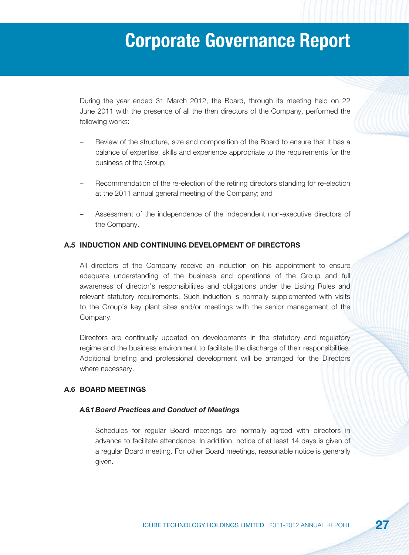During the year ended 31 March 2012, the Board, through its meeting held on 22 June 2011 with the presence of all the then directors of the Company, performed the following works:

- Review of the structure, size and composition of the Board to ensure that it has a balance of expertise, skills and experience appropriate to the requirements for the business of the Group;
- Recommendation of the re-election of the retiring directors standing for re-election at the 2011 annual general meeting of the Company; and
- Assessment of the independence of the independent non-executive directors of the Company.

#### **A.5 INDUCTION AND CONTINUING DEVELOPMENT OF DIRECTORS**

All directors of the Company receive an induction on his appointment to ensure adequate understanding of the business and operations of the Group and full awareness of director's responsibilities and obligations under the Listing Rules and relevant statutory requirements. Such induction is normally supplemented with visits to the Group's key plant sites and/or meetings with the senior management of the Company.

Directors are continually updated on developments in the statutory and regulatory regime and the business environment to facilitate the discharge of their responsibilities. Additional briefing and professional development will be arranged for the Directors where necessary.

#### **A.6 BOARD MEETINGS**

#### *A.6.1 Board Practices and Conduct of Meetings*

Schedules for regular Board meetings are normally agreed with directors in advance to facilitate attendance. In addition, notice of at least 14 days is given of a regular Board meeting. For other Board meetings, reasonable notice is generally given.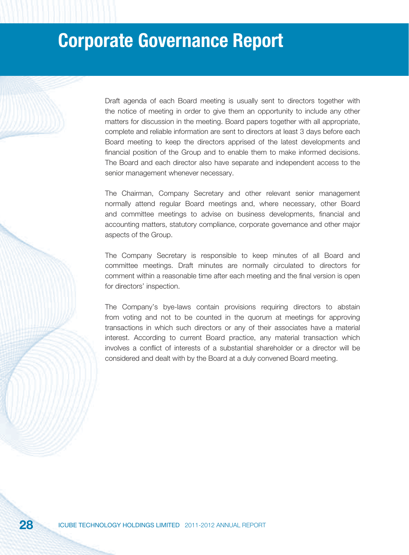Draft agenda of each Board meeting is usually sent to directors together with the notice of meeting in order to give them an opportunity to include any other matters for discussion in the meeting. Board papers together with all appropriate, complete and reliable information are sent to directors at least 3 days before each Board meeting to keep the directors apprised of the latest developments and financial position of the Group and to enable them to make informed decisions. The Board and each director also have separate and independent access to the senior management whenever necessary.

The Chairman, Company Secretary and other relevant senior management normally attend regular Board meetings and, where necessary, other Board and committee meetings to advise on business developments, financial and accounting matters, statutory compliance, corporate governance and other major aspects of the Group.

The Company Secretary is responsible to keep minutes of all Board and committee meetings. Draft minutes are normally circulated to directors for comment within a reasonable time after each meeting and the final version is open for directors' inspection.

The Company's bye-laws contain provisions requiring directors to abstain from voting and not to be counted in the quorum at meetings for approving transactions in which such directors or any of their associates have a material interest. According to current Board practice, any material transaction which involves a conflict of interests of a substantial shareholder or a director will be considered and dealt with by the Board at a duly convened Board meeting.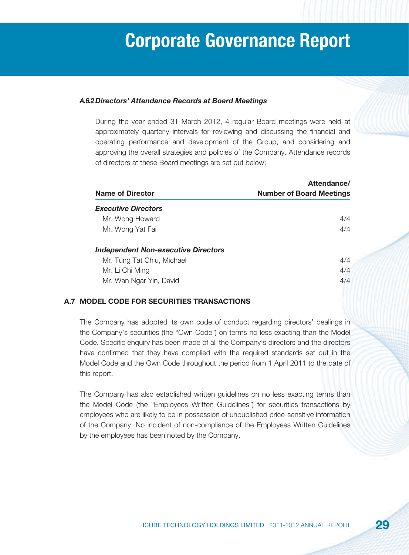#### *A.6.2 Directors' Attendance Records at Board Meetings*

During the year ended 31 March 2012, 4 regular Board meetings were held at approximately quarterly intervals for reviewing and discussing the financial and operating performance and development of the Group, and considering and approving the overall strategies and policies of the Company. Attendance records of directors at these Board meetings are set out below:-

|                                            | Attendance/                     |
|--------------------------------------------|---------------------------------|
| Name of Director                           | <b>Number of Board Meetings</b> |
| <b>Executive Directors</b>                 |                                 |
| Mr. Wong Howard                            | 4/4                             |
| Mr. Wong Yat Fai                           | 4/4                             |
| <b>Independent Non-executive Directors</b> |                                 |
| Mr. Tung Tat Chiu, Michael                 | 4/4                             |
| Mr. Li Chi Ming                            | 4/4                             |
| Mr. Wan Ngar Yin, David                    | 4/4                             |
|                                            |                                 |

#### **A.7 MODEL CODE FOR SECURITIES TRANSACTIONS**

The Company has adopted its own code of conduct regarding directors' dealings in the Company's securities (the "Own Code") on terms no less exacting than the Model Code. Specific enquiry has been made of all the Company's directors and the directors have confirmed that they have complied with the required standards set out in the Model Code and the Own Code throughout the period from 1 April 2011 to the date of this report.

The Company has also established written guidelines on no less exacting terms than the Model Code (the "Employees Written Guidelines") for securities transactions by employees who are likely to be in possession of unpublished price-sensitive information of the Company. No incident of non-compliance of the Employees Written Guidelines by the employees has been noted by the Company.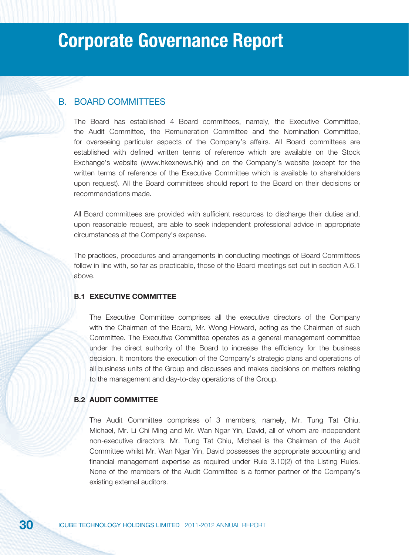#### B. BOARD COMMITTEES

The Board has established 4 Board committees, namely, the Executive Committee, the Audit Committee, the Remuneration Committee and the Nomination Committee, for overseeing particular aspects of the Company's affairs. All Board committees are established with defined written terms of reference which are available on the Stock Exchange's website (www.hkexnews.hk) and on the Company's website (except for the written terms of reference of the Executive Committee which is available to shareholders upon request). All the Board committees should report to the Board on their decisions or recommendations made.

All Board committees are provided with sufficient resources to discharge their duties and, upon reasonable request, are able to seek independent professional advice in appropriate circumstances at the Company's expense.

The practices, procedures and arrangements in conducting meetings of Board Committees follow in line with, so far as practicable, those of the Board meetings set out in section A.6.1 above.

#### **B.1 EXECUTIVE COMMITTEE**

The Executive Committee comprises all the executive directors of the Company with the Chairman of the Board, Mr. Wong Howard, acting as the Chairman of such Committee. The Executive Committee operates as a general management committee under the direct authority of the Board to increase the efficiency for the business decision. It monitors the execution of the Company's strategic plans and operations of all business units of the Group and discusses and makes decisions on matters relating to the management and day-to-day operations of the Group.

#### **B.2 AUDIT COMMITTEE**

The Audit Committee comprises of 3 members, namely, Mr. Tung Tat Chiu, Michael, Mr. Li Chi Ming and Mr. Wan Ngar Yin, David, all of whom are independent non-executive directors. Mr. Tung Tat Chiu, Michael is the Chairman of the Audit Committee whilst Mr. Wan Ngar Yin, David possesses the appropriate accounting and financial management expertise as required under Rule 3.10(2) of the Listing Rules. None of the members of the Audit Committee is a former partner of the Company's existing external auditors.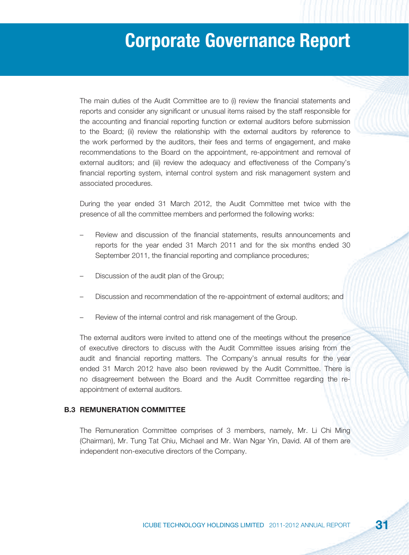The main duties of the Audit Committee are to (i) review the financial statements and reports and consider any significant or unusual items raised by the staff responsible for the accounting and financial reporting function or external auditors before submission to the Board; (ii) review the relationship with the external auditors by reference to the work performed by the auditors, their fees and terms of engagement, and make recommendations to the Board on the appointment, re-appointment and removal of external auditors; and (iii) review the adequacy and effectiveness of the Company's financial reporting system, internal control system and risk management system and associated procedures.

During the year ended 31 March 2012, the Audit Committee met twice with the presence of all the committee members and performed the following works:

- Review and discussion of the fi nancial statements, results announcements and reports for the year ended 31 March 2011 and for the six months ended 30 September 2011, the financial reporting and compliance procedures;
- Discussion of the audit plan of the Group;
- Discussion and recommendation of the re-appointment of external auditors; and
- Review of the internal control and risk management of the Group.

The external auditors were invited to attend one of the meetings without the presence of executive directors to discuss with the Audit Committee issues arising from the audit and financial reporting matters. The Company's annual results for the year ended 31 March 2012 have also been reviewed by the Audit Committee. There is no disagreement between the Board and the Audit Committee regarding the reappointment of external auditors.

#### **B.3 REMUNERATION COMMITTEE**

The Remuneration Committee comprises of 3 members, namely, Mr. Li Chi Ming (Chairman), Mr. Tung Tat Chiu, Michael and Mr. Wan Ngar Yin, David. All of them are independent non-executive directors of the Company.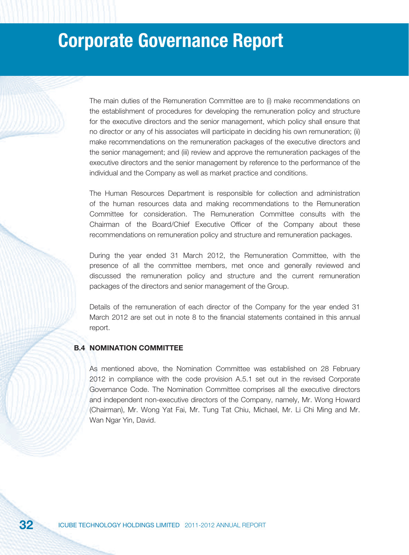The main duties of the Remuneration Committee are to (i) make recommendations on the establishment of procedures for developing the remuneration policy and structure for the executive directors and the senior management, which policy shall ensure that no director or any of his associates will participate in deciding his own remuneration; (ii) make recommendations on the remuneration packages of the executive directors and the senior management; and (iii) review and approve the remuneration packages of the executive directors and the senior management by reference to the performance of the individual and the Company as well as market practice and conditions.

The Human Resources Department is responsible for collection and administration of the human resources data and making recommendations to the Remuneration Committee for consideration. The Remuneration Committee consults with the Chairman of the Board/Chief Executive Officer of the Company about these recommendations on remuneration policy and structure and remuneration packages.

During the year ended 31 March 2012, the Remuneration Committee, with the presence of all the committee members, met once and generally reviewed and discussed the remuneration policy and structure and the current remuneration packages of the directors and senior management of the Group.

Details of the remuneration of each director of the Company for the year ended 31 March 2012 are set out in note 8 to the financial statements contained in this annual report.

#### **B.4 NOMINATION COMMITTEE**

As mentioned above, the Nomination Committee was established on 28 February 2012 in compliance with the code provision A.5.1 set out in the revised Corporate Governance Code. The Nomination Committee comprises all the executive directors and independent non-executive directors of the Company, namely, Mr. Wong Howard (Chairman), Mr. Wong Yat Fai, Mr. Tung Tat Chiu, Michael, Mr. Li Chi Ming and Mr. Wan Ngar Yin, David.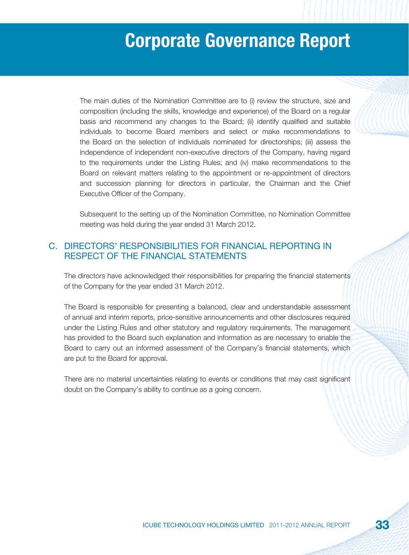The main duties of the Nomination Committee are to (i) review the structure, size and composition (including the skills, knowledge and experience) of the Board on a regular basis and recommend any changes to the Board; (ii) identify qualified and suitable individuals to become Board members and select or make recommendations to the Board on the selection of individuals nominated for directorships; (iii) assess the independence of independent non-executive directors of the Company, having regard to the requirements under the Listing Rules; and (iv) make recommendations to the Board on relevant matters relating to the appointment or re-appointment of directors and succession planning for directors in particular, the Chairman and the Chief Executive Officer of the Company.

Subsequent to the setting up of the Nomination Committee, no Nomination Committee meeting was held during the year ended 31 March 2012.

### C. DIRECTORS' RESPONSIBILITIES FOR FINANCIAL REPORTING IN RESPECT OF THE FINANCIAL STATEMENTS

The directors have acknowledged their responsibilities for preparing the financial statements of the Company for the year ended 31 March 2012.

The Board is responsible for presenting a balanced, clear and understandable assessment of annual and interim reports, price-sensitive announcements and other disclosures required under the Listing Rules and other statutory and regulatory requirements. The management has provided to the Board such explanation and information as are necessary to enable the Board to carry out an informed assessment of the Company's financial statements, which are put to the Board for approval.

There are no material uncertainties relating to events or conditions that may cast significant doubt on the Company's ability to continue as a going concern.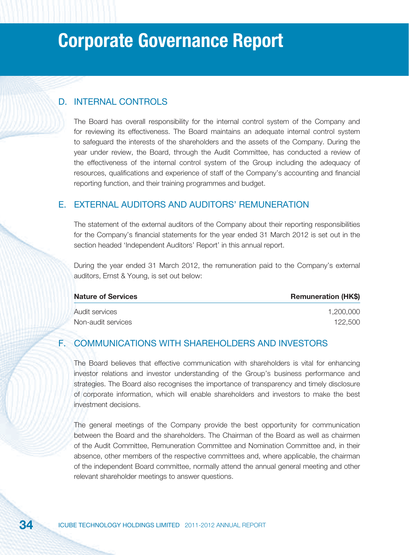#### D. INTERNAL CONTROLS

The Board has overall responsibility for the internal control system of the Company and for reviewing its effectiveness. The Board maintains an adequate internal control system to safeguard the interests of the shareholders and the assets of the Company. During the year under review, the Board, through the Audit Committee, has conducted a review of the effectiveness of the internal control system of the Group including the adequacy of resources, qualifications and experience of staff of the Company's accounting and financial reporting function, and their training programmes and budget.

#### E. EXTERNAL AUDITORS AND AUDITORS' REMUNERATION

The statement of the external auditors of the Company about their reporting responsibilities for the Company's financial statements for the year ended 31 March 2012 is set out in the section headed 'Independent Auditors' Report' in this annual report.

During the year ended 31 March 2012, the remuneration paid to the Company's external auditors, Ernst & Young, is set out below:

| <b>Nature of Services</b> | <b>Remuneration (HK\$)</b> |
|---------------------------|----------------------------|
| Audit services            | 1.200.000                  |
| Non-audit services        | 122.500                    |

#### F. COMMUNICATIONS WITH SHAREHOLDERS AND INVESTORS

The Board believes that effective communication with shareholders is vital for enhancing investor relations and investor understanding of the Group's business performance and strategies. The Board also recognises the importance of transparency and timely disclosure of corporate information, which will enable shareholders and investors to make the best investment decisions.

The general meetings of the Company provide the best opportunity for communication between the Board and the shareholders. The Chairman of the Board as well as chairmen of the Audit Committee, Remuneration Committee and Nomination Committee and, in their absence, other members of the respective committees and, where applicable, the chairman of the independent Board committee, normally attend the annual general meeting and other relevant shareholder meetings to answer questions.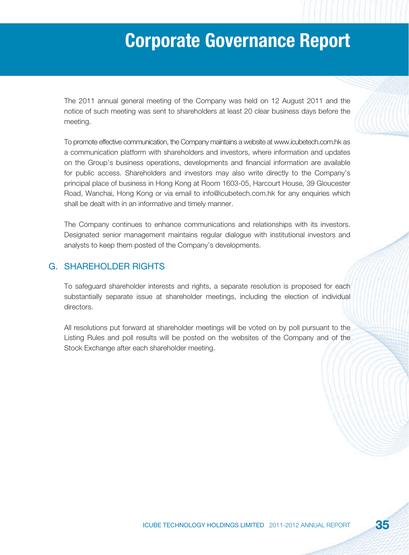The 2011 annual general meeting of the Company was held on 12 August 2011 and the notice of such meeting was sent to shareholders at least 20 clear business days before the meeting.

To promote effective communication, the Company maintains a website at www.icubetech.com.hk as a communication platform with shareholders and investors, where information and updates on the Group's business operations, developments and financial information are available for public access. Shareholders and investors may also write directly to the Company's principal place of business in Hong Kong at Room 1603-05, Harcourt House, 39 Gloucester Road, Wanchai, Hong Kong or via email to info@icubetech.com.hk for any enquiries which shall be dealt with in an informative and timely manner.

The Company continues to enhance communications and relationships with its investors. Designated senior management maintains regular dialogue with institutional investors and analysts to keep them posted of the Company's developments.

#### G. SHAREHOLDER RIGHTS

To safeguard shareholder interests and rights, a separate resolution is proposed for each substantially separate issue at shareholder meetings, including the election of individual directors.

All resolutions put forward at shareholder meetings will be voted on by poll pursuant to the Listing Rules and poll results will be posted on the websites of the Company and of the Stock Exchange after each shareholder meeting.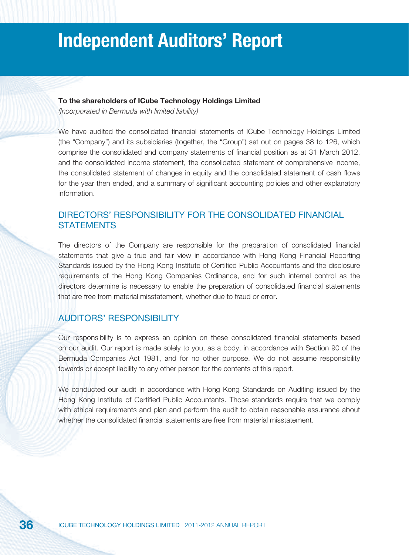## **Independent Auditors' Report**

### **To the shareholders of ICube Technology Holdings Limited**

(Incorporated in Bermuda with limited liability)

We have audited the consolidated financial statements of ICube Technology Holdings Limited (the "Company") and its subsidiaries (together, the "Group") set out on pages 38 to 126, which comprise the consolidated and company statements of financial position as at 31 March 2012, and the consolidated income statement, the consolidated statement of comprehensive income, the consolidated statement of changes in equity and the consolidated statement of cash flows for the year then ended, and a summary of significant accounting policies and other explanatory information.

## DIRECTORS' RESPONSIBILITY FOR THE CONSOLIDATED FINANCIAL **STATEMENTS**

The directors of the Company are responsible for the preparation of consolidated financial statements that give a true and fair view in accordance with Hong Kong Financial Reporting Standards issued by the Hong Kong Institute of Certified Public Accountants and the disclosure requirements of the Hong Kong Companies Ordinance, and for such internal control as the directors determine is necessary to enable the preparation of consolidated financial statements that are free from material misstatement, whether due to fraud or error.

## AUDITORS' RESPONSIBILITY

Our responsibility is to express an opinion on these consolidated financial statements based on our audit. Our report is made solely to you, as a body, in accordance with Section 90 of the Bermuda Companies Act 1981, and for no other purpose. We do not assume responsibility towards or accept liability to any other person for the contents of this report.

We conducted our audit in accordance with Hong Kong Standards on Auditing issued by the Hong Kong Institute of Certified Public Accountants. Those standards require that we comply with ethical requirements and plan and perform the audit to obtain reasonable assurance about whether the consolidated financial statements are free from material misstatement.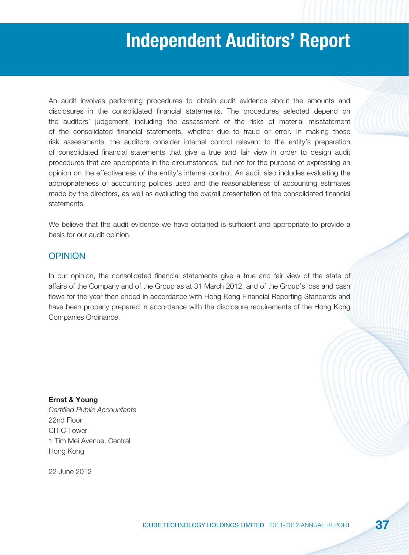## **Independent Auditors' Report**

An audit involves performing procedures to obtain audit evidence about the amounts and disclosures in the consolidated financial statements. The procedures selected depend on the auditors' judgement, including the assessment of the risks of material misstatement of the consolidated financial statements, whether due to fraud or error. In making those risk assessments, the auditors consider internal control relevant to the entity's preparation of consolidated financial statements that give a true and fair view in order to design audit procedures that are appropriate in the circumstances, but not for the purpose of expressing an opinion on the effectiveness of the entity's internal control. An audit also includes evaluating the appropriateness of accounting policies used and the reasonableness of accounting estimates made by the directors, as well as evaluating the overall presentation of the consolidated financial statements.

We believe that the audit evidence we have obtained is sufficient and appropriate to provide a basis for our audit opinion.

## OPINION

In our opinion, the consolidated financial statements give a true and fair view of the state of affairs of the Company and of the Group as at 31 March 2012, and of the Group's loss and cash flows for the year then ended in accordance with Hong Kong Financial Reporting Standards and have been properly prepared in accordance with the disclosure requirements of the Hong Kong Companies Ordinance.

**Ernst & Young** Certified Public Accountants 22nd Floor CITIC Tower 1 Tim Mei Avenue, Central Hong Kong

22 June 2012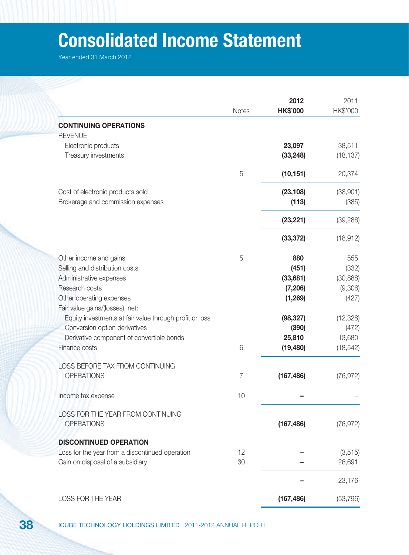# **Consolidated Income Statement**

|                                                         | <b>Notes</b> | 2012<br><b>HK\$'000</b> | 2011<br>HK\$'000    |
|---------------------------------------------------------|--------------|-------------------------|---------------------|
| <b>CONTINUING OPERATIONS</b>                            |              |                         |                     |
| <b>REVENUE</b>                                          |              |                         |                     |
| Electronic products<br>Treasury investments             |              | 23,097<br>(33, 248)     | 38,511<br>(18, 137) |
|                                                         | 5            | (10, 151)               | 20,374              |
| Cost of electronic products sold                        |              | (23, 108)               | (38,901)            |
| Brokerage and commission expenses                       |              | (113)                   | (385)               |
|                                                         |              | (23, 221)               | (39, 286)           |
|                                                         |              | (33, 372)               | (18, 912)           |
| Other income and gains                                  | 5            | 880                     | 555                 |
| Selling and distribution costs                          |              | (451)                   | (332)               |
| Administrative expenses                                 |              | (33, 681)               | (30, 888)           |
| Research costs                                          |              | (7, 206)                | (9,306)             |
| Other operating expenses                                |              | (1,269)                 | (427)               |
| Fair value gains/(losses), net:                         |              |                         |                     |
| Equity investments at fair value through profit or loss |              | (98, 327)               | (12, 328)           |
| Conversion option derivatives                           |              | (390)                   | (472)               |
| Derivative component of convertible bonds               |              | 25,810                  | 13,680              |
| Finance costs                                           | 6            | (19, 480)               | (18, 542)           |
| LOSS BEFORE TAX FROM CONTINUING                         |              |                         |                     |
| <b>OPERATIONS</b>                                       | 7            | (167, 486)              | (76, 972)           |
| Income tax expense                                      | 10           |                         |                     |
| LOSS FOR THE YEAR FROM CONTINUING                       |              |                         |                     |
| <b>OPERATIONS</b>                                       |              | (167, 486)              | (76, 972)           |
| <b>DISCONTINUED OPERATION</b>                           |              |                         |                     |
| Loss for the year from a discontinued operation         | 12           |                         | (3, 515)            |
| Gain on disposal of a subsidiary                        | 30           |                         | 26,691              |
|                                                         |              |                         | 23,176              |
| LOSS FOR THE YEAR                                       |              | (167, 486)              | (53, 796)           |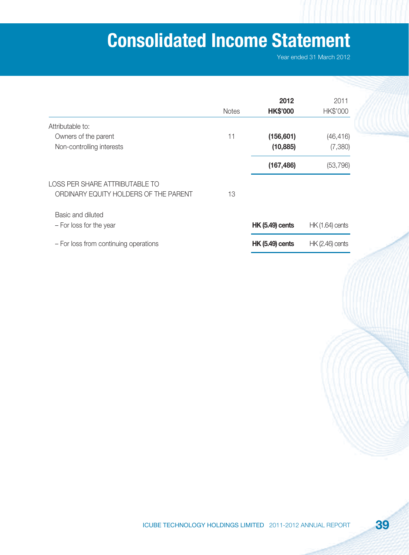# **Consolidated Income Statement**

|                                       | <b>Notes</b> | 2012<br><b>HK\$'000</b> | 2011<br>HK\$'000       |
|---------------------------------------|--------------|-------------------------|------------------------|
| Attributable to:                      |              |                         |                        |
| Owners of the parent                  | 11           | (156, 601)              | (46, 416)              |
| Non-controlling interests             |              | (10, 885)               | (7,380)                |
|                                       |              | (167, 486)              | (53, 796)              |
| LOSS PER SHARE ATTRIBUTABLE TO        |              |                         |                        |
| ORDINARY EQUITY HOLDERS OF THE PARENT | 13           |                         |                        |
| Basic and diluted                     |              |                         |                        |
| - For loss for the year               |              | <b>HK (5.49) cents</b>  | <b>HK (1.64) cents</b> |
| - For loss from continuing operations |              | <b>HK (5.49) cents</b>  | <b>HK (2.46) cents</b> |
|                                       |              |                         |                        |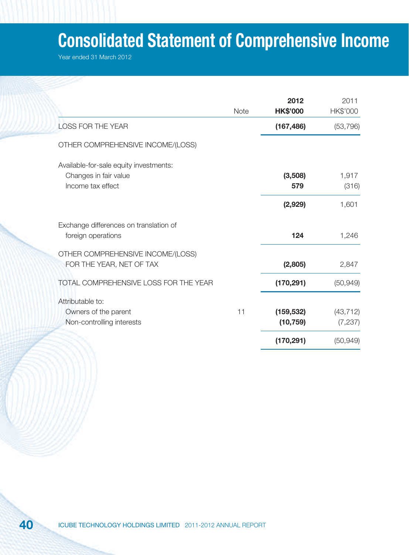# **Consolidated Statement of Comprehensive Income**

|                                        | <b>Note</b> | 2012<br><b>HK\$'000</b> | 2011<br>HK\$'000 |
|----------------------------------------|-------------|-------------------------|------------------|
| <b>LOSS FOR THE YEAR</b>               |             | (167, 486)              | (53, 796)        |
| OTHER COMPREHENSIVE INCOME/(LOSS)      |             |                         |                  |
| Available-for-sale equity investments: |             |                         |                  |
| Changes in fair value                  |             | (3,508)                 | 1,917            |
| Income tax effect                      |             | 579                     | (316)            |
|                                        |             | (2,929)                 | 1,601            |
| Exchange differences on translation of |             |                         |                  |
| foreign operations                     |             | 124                     | 1,246            |
| OTHER COMPREHENSIVE INCOME/(LOSS)      |             |                         |                  |
| FOR THE YEAR, NET OF TAX               |             | (2,805)                 | 2,847            |
| TOTAL COMPREHENSIVE LOSS FOR THE YEAR  |             | (170, 291)              | (50, 949)        |
| Attributable to:                       |             |                         |                  |
| Owners of the parent                   | 11          | (159, 532)              | (43, 712)        |
| Non-controlling interests              |             | (10, 759)               | (7, 237)         |
|                                        |             | (170, 291)              | (50, 949)        |
|                                        |             |                         |                  |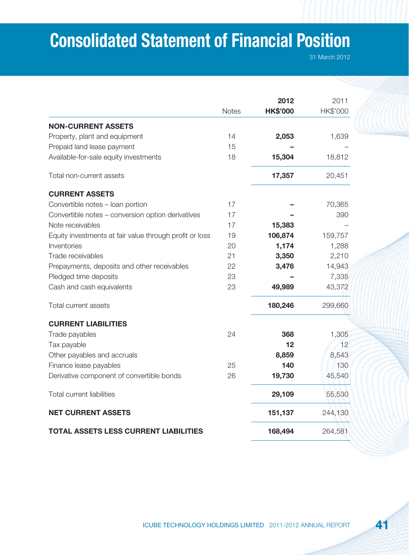# **Consolidated Statement of Financial Position**

31 March 2012

|                                                         |              | 2012            | 2011     |
|---------------------------------------------------------|--------------|-----------------|----------|
|                                                         | <b>Notes</b> | <b>HK\$'000</b> | HK\$'000 |
| <b>NON-CURRENT ASSETS</b>                               |              |                 |          |
| Property, plant and equipment                           | 14           | 2,053           | 1,639    |
| Prepaid land lease payment                              | 15           |                 |          |
| Available-for-sale equity investments                   | 18           | 15,304          | 18,812   |
| Total non-current assets                                |              | 17,357          | 20,451   |
| <b>CURRENT ASSETS</b>                                   |              |                 |          |
| Convertible notes - loan portion                        | 17           |                 | 70,365   |
| Convertible notes - conversion option derivatives       | 17           |                 | 390      |
| Note receivables                                        | 17           | 15,383          |          |
| Equity investments at fair value through profit or loss | 19           | 106,874         | 159,757  |
| Inventories                                             | 20           | 1,174           | 1,288    |
| Trade receivables                                       | 21           | 3,350           | 2,210    |
| Prepayments, deposits and other receivables             | 22           | 3,476           | 14,943   |
| Pledged time deposits                                   | 23           |                 | 7,335    |
| Cash and cash equivalents                               | 23           | 49,989          | 43,372   |
| Total current assets                                    |              | 180,246         | 299,660  |
| <b>CURRENT LIABILITIES</b>                              |              |                 |          |
| Trade payables                                          | 24           | 368             | 1,305    |
| Tax payable                                             |              | $12 \,$         | 12       |
| Other payables and accruals                             |              | 8,859           | 8,543    |
| Finance lease payables                                  | 25           | 140             | 130      |
| Derivative component of convertible bonds               | 26           | 19,730          | 45,540   |
| <b>Total current liabilities</b>                        |              | 29,109          | 55,530   |
| <b>NET CURRENT ASSETS</b>                               |              | 151,137         | 244,130  |
| <b>TOTAL ASSETS LESS CURRENT LIABILITIES</b>            |              | 168,494         | 264,581  |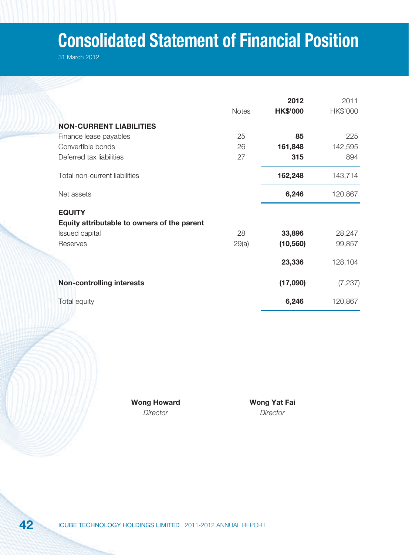# **Consolidated Statement of Financial Position**

31 March 2012

|                                             |              | 2012            | 2011     |
|---------------------------------------------|--------------|-----------------|----------|
|                                             | <b>Notes</b> | <b>HK\$'000</b> | HK\$'000 |
| <b>NON-CURRENT LIABILITIES</b>              |              |                 |          |
| Finance lease payables                      | 25           | 85              | 225      |
| Convertible bonds                           | 26           | 161,848         | 142,595  |
| Deferred tax liabilities                    | 27           | 315             | 894      |
| Total non-current liabilities               |              | 162,248         | 143,714  |
| Net assets                                  |              | 6,246           | 120,867  |
| <b>EQUITY</b>                               |              |                 |          |
| Equity attributable to owners of the parent |              |                 |          |
| Issued capital                              | 28           | 33,896          | 28,247   |
| Reserves                                    | 29(a)        | (10, 560)       | 99,857   |
|                                             |              | 23,336          | 128,104  |
| <b>Non-controlling interests</b>            |              | (17,090)        | (7, 237) |
| Total equity                                |              | 6,246           | 120,867  |
|                                             |              |                 |          |

Wong Howard **Wong Yat Fai** 

Director Director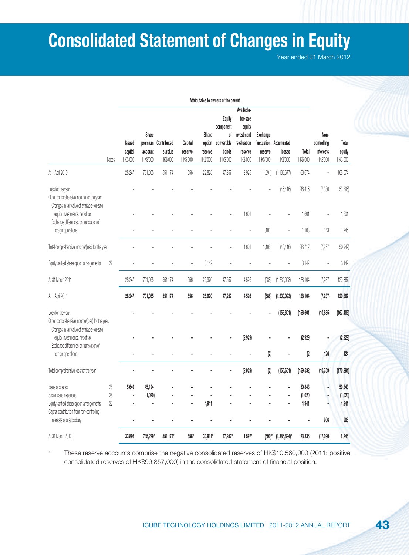# **Consolidated Statement of Changes in Equity**

Year ended 31 March 2012

|                                                                                                                     |                                      |                              |                                            |                                |                                        |                                                         | Attributable to owners of the parent                                                    |                                 |                                               |                   |                                              |                             |            |
|---------------------------------------------------------------------------------------------------------------------|--------------------------------------|------------------------------|--------------------------------------------|--------------------------------|----------------------------------------|---------------------------------------------------------|-----------------------------------------------------------------------------------------|---------------------------------|-----------------------------------------------|-------------------|----------------------------------------------|-----------------------------|------------|
| Notes                                                                                                               | <b>Issued</b><br>capital<br>HK\$'000 | Share<br>account<br>HK\$'000 | premium Contributed<br>surplus<br>HK\$'000 | Capital<br>reserve<br>HK\$'000 | Share<br>option<br>reserve<br>HK\$'000 | Equity<br>component<br>convertible<br>bonds<br>HK\$'000 | Available-<br>for-sale<br>equity<br>of investment<br>revaluation<br>reserve<br>HK\$'000 | Exchange<br>reserve<br>HK\$'000 | fluctuation Accumulated<br>losses<br>HK\$'000 | Total<br>HK\$'000 | Non-<br>controlling<br>interests<br>HK\$'000 | Total<br>equity<br>HK\$'000 |            |
| At 1 April 2010                                                                                                     |                                      | 28,247                       | 701,055                                    | 551,174                        | 556                                    | 22,828                                                  | 47,257                                                                                  | 2,925                           | (1,691)                                       | (1, 183, 677)     | 168,674                                      |                             | 168,674    |
| Loss for the year<br>Other comprehensive income for the year:<br>Changes in fair value of available-for-sale        |                                      |                              |                                            |                                |                                        |                                                         |                                                                                         |                                 |                                               | (46, 416)         | (46, 416)                                    | (7,380)                     | (53, 796)  |
| equity investments, net of tax                                                                                      |                                      |                              |                                            |                                |                                        |                                                         |                                                                                         | 1,601                           |                                               |                   | 1,601                                        |                             | 1,601      |
| Exchange differences on translation of<br>foreign operations                                                        |                                      |                              |                                            |                                |                                        |                                                         |                                                                                         |                                 | 1,103                                         |                   | 1,103                                        | 143                         | 1,246      |
| Total comprehensive income/(loss) for the year                                                                      |                                      |                              |                                            |                                |                                        |                                                         |                                                                                         | 1,601                           | 1,103                                         | (46, 416)         | (43, 712)                                    | (7, 237)                    | (50, 949)  |
| Equity-settled share option arrangements                                                                            | $32\,$                               |                              |                                            |                                |                                        | 3,142                                                   |                                                                                         |                                 |                                               |                   | 3,142                                        | Ĭ.                          | 3,142      |
| At 31 March 2011                                                                                                    |                                      | 28,247                       | 701,055                                    | 551,174                        | 556                                    | 25,970                                                  | 47,257                                                                                  | 4,526                           | (588)                                         | (1, 230, 093)     | 128,104                                      | (7,237)                     | 120,867    |
| At 1 April 2011                                                                                                     |                                      | 28,247                       | 701,055                                    | 551,174                        | 556                                    | 25,970                                                  | 47,257                                                                                  | 4,526                           | (588)                                         | (1, 230, 093)     | 128,104                                      | (7, 237)                    | 120,867    |
| Loss for the year<br>Other comprehensive income/(loss) for the year:<br>Changes in fair value of available-for-sale |                                      |                              |                                            |                                |                                        |                                                         |                                                                                         |                                 |                                               | (156, 601)        | (156, 601)                                   | (10, 885)                   | (167, 486) |
| equity investments, net of tax                                                                                      |                                      |                              |                                            |                                |                                        |                                                         |                                                                                         | (2,929)                         |                                               |                   | (2,929)                                      |                             | (2,929)    |
| Exchange differences on translation of<br>foreign operations                                                        |                                      |                              |                                            |                                |                                        |                                                         |                                                                                         |                                 | $\left( 2\right)$                             |                   | $\left( 2\right)$                            | 126                         | 124        |
| Total comprehensive loss for the year                                                                               |                                      |                              |                                            |                                |                                        |                                                         |                                                                                         | (2,929)                         | (2)                                           | (156, 601)        | (159, 532)                                   | (10, 759)                   | (170, 291) |
| Issue of shares                                                                                                     | 28                                   | 5.649                        | 45,194                                     |                                |                                        |                                                         |                                                                                         |                                 |                                               |                   | 50,843                                       | ٠                           | 50,843     |
| Share issue expenses                                                                                                | 28                                   | ä                            | (1,020)                                    |                                |                                        |                                                         |                                                                                         |                                 |                                               |                   | (1,020)                                      |                             | (1,020)    |
| Equity-settled share option arrangements<br>Capital contribution from non-controlling                               | 32                                   |                              |                                            |                                |                                        | 4,941                                                   |                                                                                         |                                 |                                               |                   | 4,941                                        |                             | 4,941      |
| interests of a subsidiary                                                                                           |                                      | ä,                           |                                            |                                |                                        |                                                         |                                                                                         |                                 |                                               |                   |                                              | 906                         | 906        |
| At 31 March 2012                                                                                                    |                                      | 33,896                       | 745,229*                                   | 551,174*                       | 556*                                   | 30,911*                                                 | 47,257*                                                                                 | $1,597*$                        | $(590)^{*}$                                   | $(1,386,694)$ *   | 23,336                                       | (17,090)                    | 6,246      |

These reserve accounts comprise the negative consolidated reserves of HK\$10,560,000 (2011: positive consolidated reserves of HK\$99,857,000) in the consolidated statement of financial position.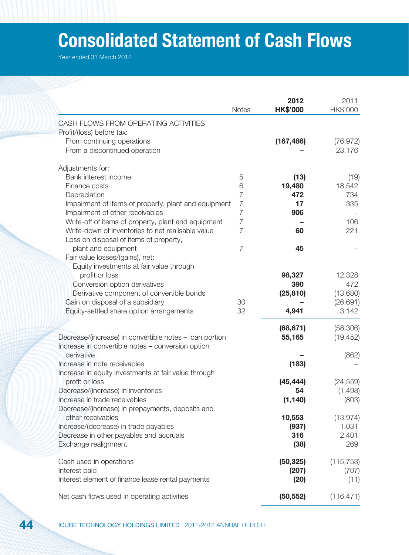# **Consolidated Statement of Cash Flows**

|                                                         | <b>Notes</b>   | 2012<br><b>HK\$'000</b> | 2011<br>HK\$'000 |
|---------------------------------------------------------|----------------|-------------------------|------------------|
| CASH FLOWS FROM OPERATING ACTIVITIES                    |                |                         |                  |
| Profit/(loss) before tax:                               |                |                         |                  |
| From continuing operations                              |                | (167, 486)              | (76, 972)        |
| From a discontinued operation                           |                |                         | 23,176           |
|                                                         |                |                         |                  |
| Adjustments for:                                        |                |                         |                  |
| Bank interest income                                    | 5              | (13)                    | (19)             |
| Finance costs                                           | 6              | 19,480                  | 18,542           |
| Depreciation                                            | $\overline{7}$ | 472                     | 734              |
| Impairment of items of property, plant and equipment    | $\overline{7}$ | 17                      | 335              |
| Impairment of other receivables                         | $\overline{7}$ | 906                     |                  |
| Write-off of items of property, plant and equipment     | $\overline{7}$ |                         | 106              |
| Write-down of inventories to net realisable value       | $\overline{7}$ | 60                      | 221              |
| Loss on disposal of items of property,                  |                |                         |                  |
| plant and equipment                                     | $\overline{7}$ | 45                      |                  |
| Fair value losses/(gains), net:                         |                |                         |                  |
| Equity investments at fair value through                |                |                         |                  |
| profit or loss                                          |                | 98,327                  | 12,328           |
| Conversion option derivatives                           |                | 390                     | 472              |
| Derivative component of convertible bonds               |                | (25, 810)               | (13,680)         |
| Gain on disposal of a subsidiary                        | 30             |                         | (26, 691)        |
| Equity-settled share option arrangements                | 32             | 4,941                   | 3,142            |
|                                                         |                | (68, 671)               | (58, 306)        |
| Decrease/(increase) in convertible notes - loan portion |                | 55,165                  | (19, 452)        |
| Increase in convertible notes - conversion option       |                |                         |                  |
| derivative                                              |                |                         | (862)            |
| Increase in note receivables                            |                | (183)                   |                  |
| Increase in equity investments at fair value through    |                |                         |                  |
| profit or loss                                          |                | (45, 444)               | (24, 559)        |
| Decrease/(increase) in inventories                      |                | 54                      | (1,498)          |
| Increase in trade receivables                           |                | (1, 140)                | (803)            |
| Decrease/(increase) in prepayments, deposits and        |                |                         |                  |
| other receivables                                       |                | 10,553                  | (13, 974)        |
| Increase/(decrease) in trade payables                   |                | (937)                   | 1,031            |
| Decrease in other payables and accruals                 |                | 316                     | 2,401            |
| Exchange realignment                                    |                | (38)                    | 269              |
|                                                         |                |                         |                  |
| Cash used in operations                                 |                | (50, 325)               | (115, 753)       |
| Interest paid                                           |                | (207)                   | (707)            |
| Interest element of finance lease rental payments       |                | (20)                    | (11)             |
|                                                         |                |                         |                  |
| Net cash flows used in operating activities             |                | (50, 552)               | (116, 471)       |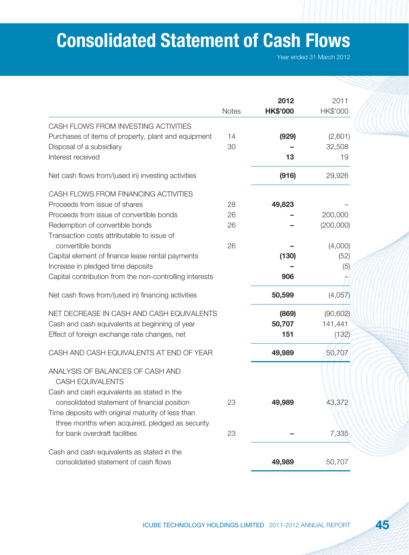# **Consolidated Statement of Cash Flows**

|                                                             |              | 2012            | 2011      |
|-------------------------------------------------------------|--------------|-----------------|-----------|
|                                                             | <b>Notes</b> | <b>HK\$'000</b> | HK\$'000  |
| CASH FLOWS FROM INVESTING ACTIVITIES                        |              |                 |           |
| Purchases of items of property, plant and equipment         | 14           | (929)           | (2,601)   |
| Disposal of a subsidiary                                    | 30           |                 | 32,508    |
| Interest received                                           |              | 13              | 19        |
| Net cash flows from/(used in) investing activities          |              | (916)           | 29,926    |
| CASH FLOWS FROM FINANCING ACTIVITIES                        |              |                 |           |
| Proceeds from issue of shares                               | 28           | 49,823          |           |
| Proceeds from issue of convertible bonds                    | 26           |                 | 200,000   |
| Redemption of convertible bonds                             | 26           |                 | (200,000) |
| Transaction costs attributable to issue of                  |              |                 |           |
| convertible bonds                                           | 26           |                 | (4,000)   |
| Capital element of finance lease rental payments            |              | (130)           | (52)      |
| Increase in pledged time deposits                           |              |                 | (5)       |
| Capital contribution from the non-controlling interests     |              | 906             |           |
| Net cash flows from/(used in) financing activities          |              | 50,599          | (4,057)   |
| NET DECREASE IN CASH AND CASH EQUIVALENTS                   |              | (869)           | (90, 602) |
| Cash and cash equivalents at beginning of year              |              | 50,707          | 141,441   |
| Effect of foreign exchange rate changes, net                |              | 151             | (132)     |
| CASH AND CASH EQUIVALENTS AT END OF YEAR                    |              | 49,989          | 50,707    |
| ANALYSIS OF BALANCES OF CASH AND<br><b>CASH EQUIVALENTS</b> |              |                 |           |
| Cash and cash equivalents as stated in the                  |              |                 |           |
| consolidated statement of financial position                | 23           | 49,989          | 43,372    |
| Time deposits with original maturity of less than           |              |                 |           |
| three months when acquired, pledged as security             |              |                 |           |
| for bank overdraft facilities                               | 23           |                 | 7,335     |
| Cash and cash equivalents as stated in the                  |              |                 |           |
| consolidated statement of cash flows                        |              | 49,989          | 50,707    |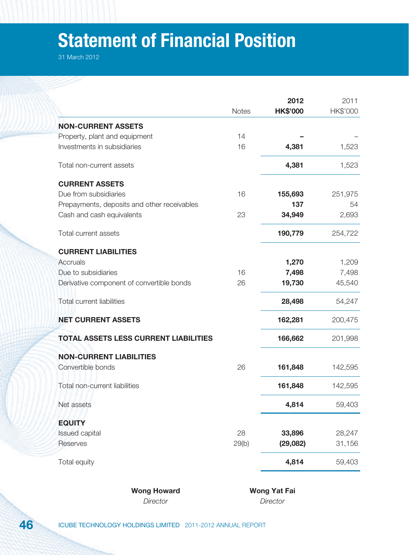# **Statement of Financial Position**

31 March 2012

|               |                                              | <b>Notes</b> | 2012<br><b>HK\$'000</b> | 2011<br>HK\$'000 |
|---------------|----------------------------------------------|--------------|-------------------------|------------------|
|               | <b>NON-CURRENT ASSETS</b>                    |              |                         |                  |
|               | Property, plant and equipment                | 14           |                         |                  |
|               | Investments in subsidiaries                  | 16           | 4,381                   | 1,523            |
|               | Total non-current assets                     |              | 4,381                   | 1,523            |
|               | <b>CURRENT ASSETS</b>                        |              |                         |                  |
|               | Due from subsidiaries                        | 16           | 155,693                 | 251,975          |
|               | Prepayments, deposits and other receivables  |              | 137                     | 54               |
|               | Cash and cash equivalents                    | 23           | 34,949                  | 2,693            |
|               | Total current assets                         |              | 190,779                 | 254,722          |
|               | <b>CURRENT LIABILITIES</b>                   |              |                         |                  |
| Accruals      |                                              |              | 1,270                   | 1,209            |
|               | Due to subsidiaries                          | 16           | 7,498                   | 7,498            |
|               | Derivative component of convertible bonds    | 26           | 19,730                  | 45,540           |
|               | Total current liabilities                    |              | 28,498                  | 54,247           |
|               | <b>NET CURRENT ASSETS</b>                    |              | 162,281                 | 200,475          |
|               | <b>TOTAL ASSETS LESS CURRENT LIABILITIES</b> |              | 166,662                 | 201,998          |
|               | <b>NON-CURRENT LIABILITIES</b>               |              |                         |                  |
|               | Convertible bonds                            | 26           | 161,848                 | 142,595          |
|               | Total non-current liabilities                |              | 161,848                 | 142,595          |
|               | Net assets                                   |              | 4,814                   | 59,403           |
| <b>EQUITY</b> |                                              |              |                         |                  |
|               | Issued capital                               | 28           | 33,896                  | 28,247           |
|               | Reserves                                     | 29(b)        | (29,082)                | 31,156           |
|               | Total equity                                 |              | 4,814                   | 59,403           |

Wong Howard **Wong Yat Fai** Director Director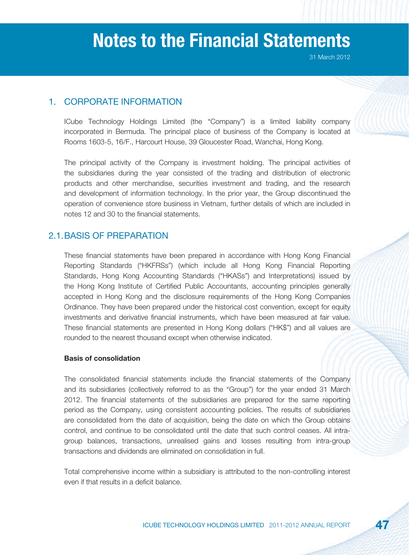## 1. CORPORATE INFORMATION

ICube Technology Holdings Limited (the "Company") is a limited liability company incorporated in Bermuda. The principal place of business of the Company is located at Rooms 1603-5, 16/F., Harcourt House, 39 Gloucester Road, Wanchai, Hong Kong.

The principal activity of the Company is investment holding. The principal activities of the subsidiaries during the year consisted of the trading and distribution of electronic products and other merchandise, securities investment and trading, and the research and development of information technology. In the prior year, the Group discontinued the operation of convenience store business in Vietnam, further details of which are included in notes 12 and 30 to the financial statements.

## 2.1. BASIS OF PREPARATION

These financial statements have been prepared in accordance with Hong Kong Financial Reporting Standards ("HKFRSs") (which include all Hong Kong Financial Reporting Standards, Hong Kong Accounting Standards ("HKASs") and Interpretations) issued by the Hong Kong Institute of Certified Public Accountants, accounting principles generally accepted in Hong Kong and the disclosure requirements of the Hong Kong Companies Ordinance. They have been prepared under the historical cost convention, except for equity investments and derivative financial instruments, which have been measured at fair value. These financial statements are presented in Hong Kong dollars ("HK\$") and all values are rounded to the nearest thousand except when otherwise indicated.

## **Basis of consolidation**

The consolidated financial statements include the financial statements of the Company and its subsidiaries (collectively referred to as the "Group") for the year ended 31 March 2012. The financial statements of the subsidiaries are prepared for the same reporting period as the Company, using consistent accounting policies. The results of subsidiaries are consolidated from the date of acquisition, being the date on which the Group obtains control, and continue to be consolidated until the date that such control ceases. All intragroup balances, transactions, unrealised gains and losses resulting from intra-group transactions and dividends are eliminated on consolidation in full.

Total comprehensive income within a subsidiary is attributed to the non-controlling interest even if that results in a deficit balance.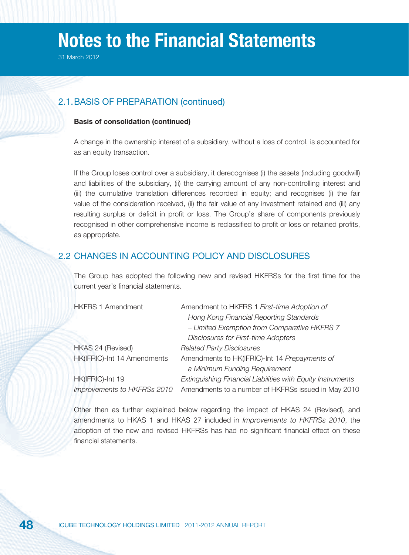31 March 2012

## 2.1. BASIS OF PREPARATION (continued)

#### **Basis of consolidation (continued)**

A change in the ownership interest of a subsidiary, without a loss of control, is accounted for as an equity transaction.

If the Group loses control over a subsidiary, it derecognises (i) the assets (including goodwill) and liabilities of the subsidiary, (ii) the carrying amount of any non-controlling interest and (iii) the cumulative translation differences recorded in equity; and recognises (i) the fair value of the consideration received, (ii) the fair value of any investment retained and (iii) any resulting surplus or deficit in profit or loss. The Group's share of components previously recognised in other comprehensive income is reclassified to profit or loss or retained profits, as appropriate.

## 2.2 CHANGES IN ACCOUNTING POLICY AND DISCLOSURES

The Group has adopted the following new and revised HKFRSs for the first time for the current year's financial statements.

| <b>HKFRS 1 Amendment</b>    | Amendment to HKFRS 1 First-time Adoption of                 |
|-----------------------------|-------------------------------------------------------------|
|                             | Hong Kong Financial Reporting Standards                     |
|                             | - Limited Exemption from Comparative HKFRS 7                |
|                             | <b>Disclosures for First-time Adopters</b>                  |
| HKAS 24 (Revised)           | <b>Related Party Disclosures</b>                            |
| HK(IFRIC)-Int 14 Amendments | Amendments to HK(IFRIC)-Int 14 Prepayments of               |
|                             | a Minimum Funding Requirement                               |
| HK(IFRIC)-Int 19            | Extinguishing Financial Liabilities with Equity Instruments |
| Improvements to HKFRSs 2010 | Amendments to a number of HKFRSs issued in May 2010         |

Other than as further explained below regarding the impact of HKAS 24 (Revised), and amendments to HKAS 1 and HKAS 27 included in Improvements to HKFRSs 2010, the adoption of the new and revised HKFRSs has had no significant financial effect on these financial statements.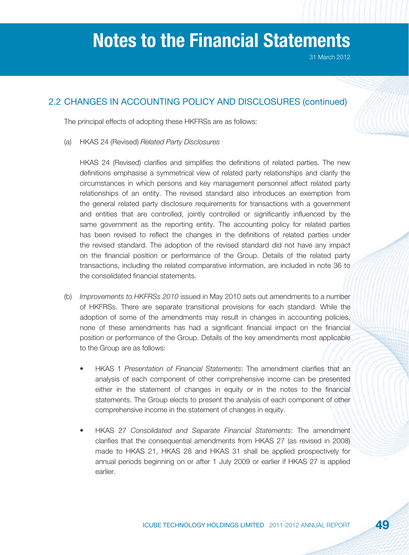## 2.2 CHANGES IN ACCOUNTING POLICY AND DISCLOSURES (continued)

The principal effects of adopting these HKFRSs are as follows:

(a) HKAS 24 (Revised) Related Party Disclosures

HKAS 24 (Revised) clarifies and simplifies the definitions of related parties. The new definitions emphasise a symmetrical view of related party relationships and clarify the circumstances in which persons and key management personnel affect related party relationships of an entity. The revised standard also introduces an exemption from the general related party disclosure requirements for transactions with a government and entities that are controlled, jointly controlled or significantly influenced by the same government as the reporting entity. The accounting policy for related parties has been revised to reflect the changes in the definitions of related parties under the revised standard. The adoption of the revised standard did not have any impact on the financial position or performance of the Group. Details of the related party transactions, including the related comparative information, are included in note 36 to the consolidated financial statements.

- (b) Improvements to HKFRSs 2010 issued in May 2010 sets out amendments to a number of HKFRSs. There are separate transitional provisions for each standard. While the adoption of some of the amendments may result in changes in accounting policies, none of these amendments has had a significant financial impact on the financial position or performance of the Group. Details of the key amendments most applicable to the Group are as follows:
	- HKAS 1 Presentation of Financial Statements: The amendment clarifies that an analysis of each component of other comprehensive income can be presented either in the statement of changes in equity or in the notes to the financial statements. The Group elects to present the analysis of each component of other comprehensive income in the statement of changes in equity.
	- HKAS 27 Consolidated and Separate Financial Statements: The amendment clarifies that the consequential amendments from HKAS 27 (as revised in 2008) made to HKAS 21, HKAS 28 and HKAS 31 shall be applied prospectively for annual periods beginning on or after 1 July 2009 or earlier if HKAS 27 is applied earlier.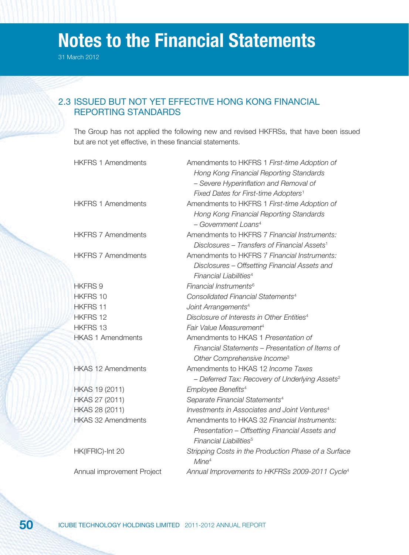31 March 2012

## 2.3 ISSUED BUT NOT YET EFFECTIVE HONG KONG FINANCIAL REPORTING STANDARDS

The Group has not applied the following new and revised HKFRSs, that have been issued but are not yet effective, in these financial statements.

| <b>HKFRS 1 Amendments</b>  | Amendments to HKFRS 1 First-time Adoption of                              |
|----------------------------|---------------------------------------------------------------------------|
|                            | Hong Kong Financial Reporting Standards                                   |
|                            | - Severe Hyperinflation and Removal of                                    |
|                            | Fixed Dates for First-time Adopters <sup>1</sup>                          |
| <b>HKFRS 1 Amendments</b>  | Amendments to HKFRS 1 First-time Adoption of                              |
|                            | Hong Kong Financial Reporting Standards                                   |
|                            | - Government Loans <sup>4</sup>                                           |
| <b>HKFRS 7 Amendments</b>  | Amendments to HKFRS 7 Financial Instruments:                              |
|                            | Disclosures - Transfers of Financial Assets <sup>1</sup>                  |
| <b>HKFRS 7 Amendments</b>  | Amendments to HKFRS 7 Financial Instruments:                              |
|                            | Disclosures - Offsetting Financial Assets and                             |
|                            | Financial Liabilities <sup>4</sup>                                        |
| <b>HKFRS 9</b>             | Financial Instruments <sup>6</sup>                                        |
| <b>HKFRS 10</b>            | Consolidated Financial Statements <sup>4</sup>                            |
| <b>HKFRS 11</b>            | Joint Arrangements <sup>4</sup>                                           |
| <b>HKFRS 12</b>            | Disclosure of Interests in Other Entities <sup>4</sup>                    |
| <b>HKFRS 13</b>            | Fair Value Measurement <sup>4</sup>                                       |
| <b>HKAS 1 Amendments</b>   | Amendments to HKAS 1 Presentation of                                      |
|                            | Financial Statements – Presentation of Items of                           |
|                            | Other Comprehensive Income <sup>3</sup>                                   |
| <b>HKAS 12 Amendments</b>  | Amendments to HKAS 12 <i>Income Taxes</i>                                 |
|                            | - Deferred Tax: Recovery of Underlying Assets <sup>2</sup>                |
| HKAS 19 (2011)             | Employee Benefits <sup>4</sup>                                            |
| HKAS 27 (2011)             | Separate Financial Statements <sup>4</sup>                                |
| HKAS 28 (2011)             | Investments in Associates and Joint Ventures <sup>4</sup>                 |
| <b>HKAS 32 Amendments</b>  | Amendments to HKAS 32 Financial Instruments:                              |
|                            | Presentation - Offsetting Financial Assets and                            |
|                            | Financial Liabilities <sup>5</sup>                                        |
| HK(IFRIC)-Int 20           | Stripping Costs in the Production Phase of a Surface<br>Mine <sup>4</sup> |
| Annual improvement Project | Annual Improvements to HKFRSs 2009-2011 Cycle <sup>4</sup>                |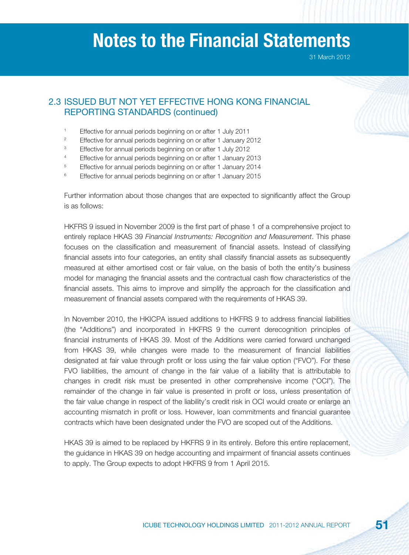31 March 2012

## 2.3 ISSUED BUT NOT YET EFFECTIVE HONG KONG FINANCIAL REPORTING STANDARDS (continued)

- 1 Effective for annual periods beginning on or after 1 July 2011
- 2 Effective for annual periods beginning on or after 1 January 2012
- 3 Effective for annual periods beginning on or after 1 July 2012
- 4 Effective for annual periods beginning on or after 1 January 2013
- 5 Effective for annual periods beginning on or after 1 January 2014
- 6 Effective for annual periods beginning on or after 1 January 2015

Further information about those changes that are expected to significantly affect the Group is as follows:

HKFRS 9 issued in November 2009 is the first part of phase 1 of a comprehensive project to entirely replace HKAS 39 Financial Instruments: Recognition and Measurement. This phase focuses on the classification and measurement of financial assets. Instead of classifying financial assets into four categories, an entity shall classify financial assets as subsequently measured at either amortised cost or fair value, on the basis of both the entity's business model for managing the financial assets and the contractual cash flow characteristics of the financial assets. This aims to improve and simplify the approach for the classification and measurement of financial assets compared with the requirements of HKAS 39.

In November 2010, the HKICPA issued additions to HKFRS 9 to address financial liabilities (the "Additions") and incorporated in HKFRS 9 the current derecognition principles of financial instruments of HKAS 39. Most of the Additions were carried forward unchanged from HKAS 39, while changes were made to the measurement of financial liabilities designated at fair value through profit or loss using the fair value option ("FVO"). For these FVO liabilities, the amount of change in the fair value of a liability that is attributable to changes in credit risk must be presented in other comprehensive income ("OCI"). The remainder of the change in fair value is presented in profit or loss, unless presentation of the fair value change in respect of the liability's credit risk in OCI would create or enlarge an accounting mismatch in profit or loss. However, loan commitments and financial quarantee contracts which have been designated under the FVO are scoped out of the Additions.

HKAS 39 is aimed to be replaced by HKFRS 9 in its entirely. Before this entire replacement, the guidance in HKAS 39 on hedge accounting and impairment of financial assets continues to apply. The Group expects to adopt HKFRS 9 from 1 April 2015.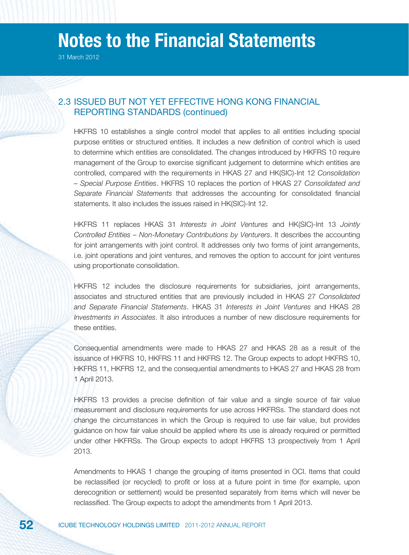31 March 2012

## 2.3 ISSUED BUT NOT YET EFFECTIVE HONG KONG FINANCIAL REPORTING STANDARDS (continued)

HKFRS 10 establishes a single control model that applies to all entities including special purpose entities or structured entities. It includes a new definition of control which is used to determine which entities are consolidated. The changes introduced by HKFRS 10 require management of the Group to exercise significant judgement to determine which entities are controlled, compared with the requirements in HKAS 27 and HK(SIC)-Int 12 Consolidation – Special Purpose Entities. HKFRS 10 replaces the portion of HKAS 27 Consolidated and Separate Financial Statements that addresses the accounting for consolidated financial statements. It also includes the issues raised in HK(SIC)-Int 12.

HKFRS 11 replaces HKAS 31 Interests in Joint Ventures and HK(SIC)-Int 13 Jointly Controlled Entities – Non-Monetary Contributions by Venturers. It describes the accounting for joint arrangements with joint control. It addresses only two forms of joint arrangements, i.e. joint operations and joint ventures, and removes the option to account for joint ventures using proportionate consolidation.

HKFRS 12 includes the disclosure requirements for subsidiaries, joint arrangements, associates and structured entities that are previously included in HKAS 27 Consolidated and Separate Financial Statements. HKAS 31 Interests in Joint Ventures and HKAS 28 Investments in Associates. It also introduces a number of new disclosure requirements for these entities.

Consequential amendments were made to HKAS 27 and HKAS 28 as a result of the issuance of HKFRS 10, HKFRS 11 and HKFRS 12. The Group expects to adopt HKFRS 10, HKFRS 11, HKFRS 12, and the consequential amendments to HKAS 27 and HKAS 28 from 1 April 2013.

HKFRS 13 provides a precise definition of fair value and a single source of fair value measurement and disclosure requirements for use across HKFRSs. The standard does not change the circumstances in which the Group is required to use fair value, but provides guidance on how fair value should be applied where its use is already required or permitted under other HKFRSs. The Group expects to adopt HKFRS 13 prospectively from 1 April 2013.

Amendments to HKAS 1 change the grouping of items presented in OCI. Items that could be reclassified (or recycled) to profit or loss at a future point in time (for example, upon derecognition or settlement) would be presented separately from items which will never be reclassified. The Group expects to adopt the amendments from 1 April 2013.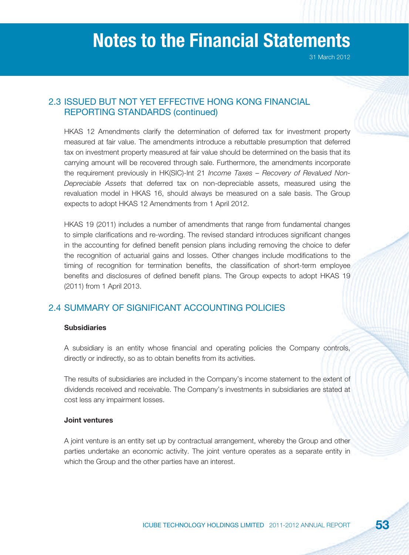## 2.3 ISSUED BUT NOT YET EFFECTIVE HONG KONG FINANCIAL REPORTING STANDARDS (continued)

HKAS 12 Amendments clarify the determination of deferred tax for investment property measured at fair value. The amendments introduce a rebuttable presumption that deferred tax on investment property measured at fair value should be determined on the basis that its carrying amount will be recovered through sale. Furthermore, the amendments incorporate the requirement previously in HK(SIC)-Int 21 Income Taxes – Recovery of Revalued Non-Depreciable Assets that deferred tax on non-depreciable assets, measured using the revaluation model in HKAS 16, should always be measured on a sale basis. The Group expects to adopt HKAS 12 Amendments from 1 April 2012.

HKAS 19 (2011) includes a number of amendments that range from fundamental changes to simple clarifications and re-wording. The revised standard introduces significant changes in the accounting for defined benefit pension plans including removing the choice to defer the recognition of actuarial gains and losses. Other changes include modifications to the timing of recognition for termination benefits, the classification of short-term employee benefits and disclosures of defined benefit plans. The Group expects to adopt HKAS 19 (2011) from 1 April 2013.

## 2.4 SUMMARY OF SIGNIFICANT ACCOUNTING POLICIES

#### **Subsidiaries**

A subsidiary is an entity whose financial and operating policies the Company controls, directly or indirectly, so as to obtain benefits from its activities.

The results of subsidiaries are included in the Company's income statement to the extent of dividends received and receivable. The Company's investments in subsidiaries are stated at cost less any impairment losses.

#### **Joint ventures**

A joint venture is an entity set up by contractual arrangement, whereby the Group and other parties undertake an economic activity. The joint venture operates as a separate entity in which the Group and the other parties have an interest.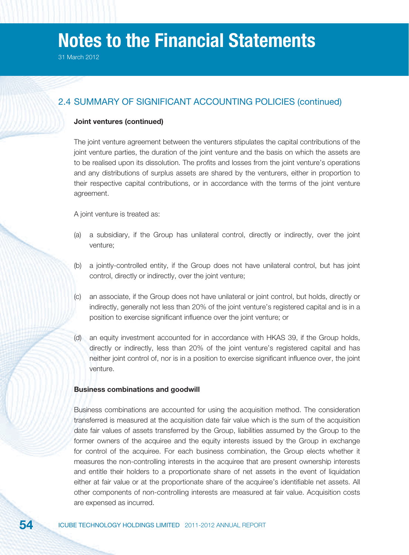## 2.4 SUMMARY OF SIGNIFICANT ACCOUNTING POLICIES (continued)

#### **Joint ventures (continued)**

The joint venture agreement between the venturers stipulates the capital contributions of the joint venture parties, the duration of the joint venture and the basis on which the assets are to be realised upon its dissolution. The profits and losses from the joint venture's operations and any distributions of surplus assets are shared by the venturers, either in proportion to their respective capital contributions, or in accordance with the terms of the joint venture agreement.

A joint venture is treated as:

- (a) a subsidiary, if the Group has unilateral control, directly or indirectly, over the joint venture;
- (b) a jointly-controlled entity, if the Group does not have unilateral control, but has joint control, directly or indirectly, over the joint venture;
- (c) an associate, if the Group does not have unilateral or joint control, but holds, directly or indirectly, generally not less than 20% of the joint venture's registered capital and is in a position to exercise significant influence over the joint venture; or
- (d) an equity investment accounted for in accordance with HKAS 39, if the Group holds, directly or indirectly, less than 20% of the joint venture's registered capital and has neither joint control of, nor is in a position to exercise significant influence over, the joint venture.

#### **Business combinations and goodwill**

Business combinations are accounted for using the acquisition method. The consideration transferred is measured at the acquisition date fair value which is the sum of the acquisition date fair values of assets transferred by the Group, liabilities assumed by the Group to the former owners of the acquiree and the equity interests issued by the Group in exchange for control of the acquiree. For each business combination, the Group elects whether it measures the non-controlling interests in the acquiree that are present ownership interests and entitle their holders to a proportionate share of net assets in the event of liquidation either at fair value or at the proportionate share of the acquiree's identifiable net assets. All other components of non-controlling interests are measured at fair value. Acquisition costs are expensed as incurred.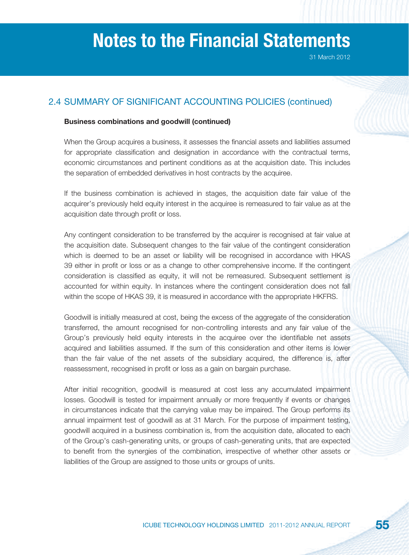## 2.4 SUMMARY OF SIGNIFICANT ACCOUNTING POLICIES (continued)

### **Business combinations and goodwill (continued)**

When the Group acquires a business, it assesses the financial assets and liabilities assumed for appropriate classification and designation in accordance with the contractual terms, economic circumstances and pertinent conditions as at the acquisition date. This includes the separation of embedded derivatives in host contracts by the acquiree.

If the business combination is achieved in stages, the acquisition date fair value of the acquirer's previously held equity interest in the acquiree is remeasured to fair value as at the acquisition date through profit or loss.

Any contingent consideration to be transferred by the acquirer is recognised at fair value at the acquisition date. Subsequent changes to the fair value of the contingent consideration which is deemed to be an asset or liability will be recognised in accordance with HKAS 39 either in profit or loss or as a change to other comprehensive income. If the contingent consideration is classified as equity, it will not be remeasured. Subsequent settlement is accounted for within equity. In instances where the contingent consideration does not fall within the scope of HKAS 39, it is measured in accordance with the appropriate HKFRS.

Goodwill is initially measured at cost, being the excess of the aggregate of the consideration transferred, the amount recognised for non-controlling interests and any fair value of the Group's previously held equity interests in the acquiree over the identifiable net assets acquired and liabilities assumed. If the sum of this consideration and other items is lower than the fair value of the net assets of the subsidiary acquired, the difference is, after reassessment, recognised in profit or loss as a gain on bargain purchase.

After initial recognition, goodwill is measured at cost less any accumulated impairment losses. Goodwill is tested for impairment annually or more frequently if events or changes in circumstances indicate that the carrying value may be impaired. The Group performs its annual impairment test of goodwill as at 31 March. For the purpose of impairment testing, goodwill acquired in a business combination is, from the acquisition date, allocated to each of the Group's cash-generating units, or groups of cash-generating units, that are expected to benefit from the synergies of the combination, irrespective of whether other assets or liabilities of the Group are assigned to those units or groups of units.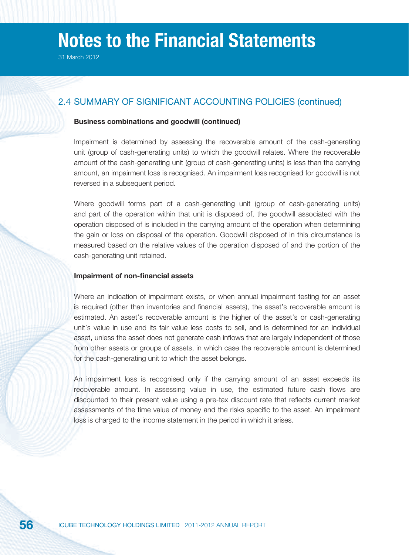## 2.4 SUMMARY OF SIGNIFICANT ACCOUNTING POLICIES (continued)

#### **Business combinations and goodwill (continued)**

Impairment is determined by assessing the recoverable amount of the cash-generating unit (group of cash-generating units) to which the goodwill relates. Where the recoverable amount of the cash-generating unit (group of cash-generating units) is less than the carrying amount, an impairment loss is recognised. An impairment loss recognised for goodwill is not reversed in a subsequent period.

Where goodwill forms part of a cash-generating unit (group of cash-generating units) and part of the operation within that unit is disposed of, the goodwill associated with the operation disposed of is included in the carrying amount of the operation when determining the gain or loss on disposal of the operation. Goodwill disposed of in this circumstance is measured based on the relative values of the operation disposed of and the portion of the cash-generating unit retained.

#### **Impairment of non-financial assets**

Where an indication of impairment exists, or when annual impairment testing for an asset is required (other than inventories and financial assets), the asset's recoverable amount is estimated. An asset's recoverable amount is the higher of the asset's or cash-generating unit's value in use and its fair value less costs to sell, and is determined for an individual asset, unless the asset does not generate cash inflows that are largely independent of those from other assets or groups of assets, in which case the recoverable amount is determined for the cash-generating unit to which the asset belongs.

An impairment loss is recognised only if the carrying amount of an asset exceeds its recoverable amount. In assessing value in use, the estimated future cash flows are discounted to their present value using a pre-tax discount rate that reflects current market assessments of the time value of money and the risks specific to the asset. An impairment loss is charged to the income statement in the period in which it arises.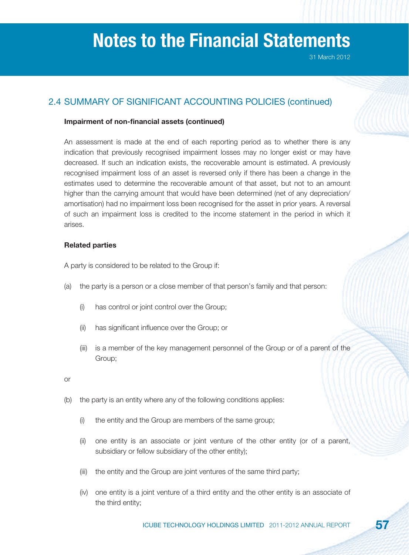## 2.4 SUMMARY OF SIGNIFICANT ACCOUNTING POLICIES (continued)

## **Impairment of non-financial assets (continued)**

An assessment is made at the end of each reporting period as to whether there is any indication that previously recognised impairment losses may no longer exist or may have decreased. If such an indication exists, the recoverable amount is estimated. A previously recognised impairment loss of an asset is reversed only if there has been a change in the estimates used to determine the recoverable amount of that asset, but not to an amount higher than the carrying amount that would have been determined (net of any depreciation/ amortisation) had no impairment loss been recognised for the asset in prior years. A reversal of such an impairment loss is credited to the income statement in the period in which it arises.

## **Related parties**

A party is considered to be related to the Group if:

- (a) the party is a person or a close member of that person's family and that person:
	- (i) has control or joint control over the Group;
	- (ii) has significant influence over the Group; or
	- (iii) is a member of the key management personnel of the Group or of a parent of the Group;

or

- (b) the party is an entity where any of the following conditions applies:
	- (i) the entity and the Group are members of the same group;
	- (ii) one entity is an associate or joint venture of the other entity (or of a parent, subsidiary or fellow subsidiary of the other entity);
	- (iii) the entity and the Group are joint ventures of the same third party;
	- (iv) one entity is a joint venture of a third entity and the other entity is an associate of the third entity;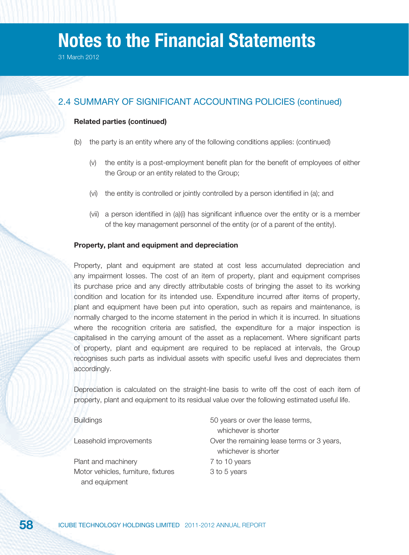## 2.4 SUMMARY OF SIGNIFICANT ACCOUNTING POLICIES (continued)

## **Related parties (continued)**

- (b) the party is an entity where any of the following conditions applies: (continued)
	- (v) the entity is a post-employment benefit plan for the benefit of employees of either the Group or an entity related to the Group;
	- (vi) the entity is controlled or jointly controlled by a person identified in (a); and
	- (vii) a person identified in  $(a)(i)$  has significant influence over the entity or is a member of the key management personnel of the entity (or of a parent of the entity).

#### **Property, plant and equipment and depreciation**

Property, plant and equipment are stated at cost less accumulated depreciation and any impairment losses. The cost of an item of property, plant and equipment comprises its purchase price and any directly attributable costs of bringing the asset to its working condition and location for its intended use. Expenditure incurred after items of property, plant and equipment have been put into operation, such as repairs and maintenance, is normally charged to the income statement in the period in which it is incurred. In situations where the recognition criteria are satisfied, the expenditure for a major inspection is capitalised in the carrying amount of the asset as a replacement. Where significant parts of property, plant and equipment are required to be replaced at intervals, the Group recognises such parts as individual assets with specific useful lives and depreciates them accordingly.

Depreciation is calculated on the straight-line basis to write off the cost of each item of property, plant and equipment to its residual value over the following estimated useful life.

| <b>Buildings</b>                    | 50 years or over the lease terms,          |
|-------------------------------------|--------------------------------------------|
|                                     | whichever is shorter                       |
| Leasehold improvements              | Over the remaining lease terms or 3 years, |
|                                     | whichever is shorter                       |
| Plant and machinery                 | 7 to 10 years                              |
| Motor vehicles, furniture, fixtures | 3 to 5 years                               |
| and equipment                       |                                            |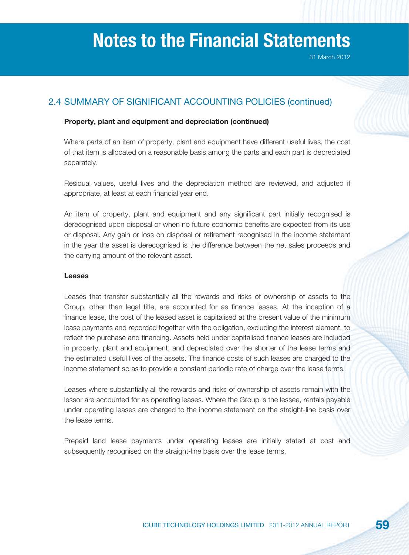## 2.4 SUMMARY OF SIGNIFICANT ACCOUNTING POLICIES (continued)

## **Property, plant and equipment and depreciation (continued)**

Where parts of an item of property, plant and equipment have different useful lives, the cost of that item is allocated on a reasonable basis among the parts and each part is depreciated separately.

Residual values, useful lives and the depreciation method are reviewed, and adjusted if appropriate, at least at each financial year end.

An item of property, plant and equipment and any significant part initially recognised is derecognised upon disposal or when no future economic benefits are expected from its use or disposal. Any gain or loss on disposal or retirement recognised in the income statement in the year the asset is derecognised is the difference between the net sales proceeds and the carrying amount of the relevant asset.

#### **Leases**

Leases that transfer substantially all the rewards and risks of ownership of assets to the Group, other than legal title, are accounted for as finance leases. At the inception of a finance lease, the cost of the leased asset is capitalised at the present value of the minimum lease payments and recorded together with the obligation, excluding the interest element, to reflect the purchase and financing. Assets held under capitalised finance leases are included in property, plant and equipment, and depreciated over the shorter of the lease terms and the estimated useful lives of the assets. The finance costs of such leases are charged to the income statement so as to provide a constant periodic rate of charge over the lease terms.

Leases where substantially all the rewards and risks of ownership of assets remain with the lessor are accounted for as operating leases. Where the Group is the lessee, rentals payable under operating leases are charged to the income statement on the straight-line basis over the lease terms.

Prepaid land lease payments under operating leases are initially stated at cost and subsequently recognised on the straight-line basis over the lease terms.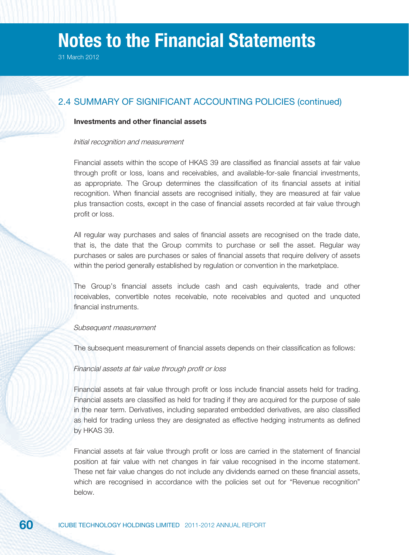## 2.4 SUMMARY OF SIGNIFICANT ACCOUNTING POLICIES (continued)

## **Investments and other financial assets**

#### Initial recognition and measurement

Financial assets within the scope of HKAS 39 are classified as financial assets at fair value through profit or loss, loans and receivables, and available-for-sale financial investments, as appropriate. The Group determines the classification of its financial assets at initial recognition. When financial assets are recognised initially, they are measured at fair value plus transaction costs, except in the case of financial assets recorded at fair value through profit or loss.

All regular way purchases and sales of financial assets are recognised on the trade date, that is, the date that the Group commits to purchase or sell the asset. Regular way purchases or sales are purchases or sales of financial assets that require delivery of assets within the period generally established by regulation or convention in the marketplace.

The Group's financial assets include cash and cash equivalents, trade and other receivables, convertible notes receivable, note receivables and quoted and unquoted financial instruments

#### Subsequent measurement

The subsequent measurement of financial assets depends on their classification as follows:

#### Financial assets at fair value through profit or loss

Financial assets at fair value through profit or loss include financial assets held for trading. Financial assets are classified as held for trading if they are acquired for the purpose of sale in the near term. Derivatives, including separated embedded derivatives, are also classified as held for trading unless they are designated as effective hedging instruments as defined by HKAS 39.

Financial assets at fair value through profit or loss are carried in the statement of financial position at fair value with net changes in fair value recognised in the income statement. These net fair value changes do not include any dividends earned on these financial assets, which are recognised in accordance with the policies set out for "Revenue recognition" below.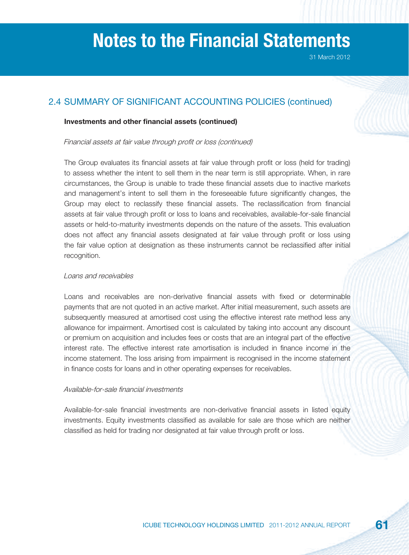## 2.4 SUMMARY OF SIGNIFICANT ACCOUNTING POLICIES (continued)

### **Investments and other financial assets (continued)**

Financial assets at fair value through profit or loss (continued)

The Group evaluates its financial assets at fair value through profit or loss (held for trading) to assess whether the intent to sell them in the near term is still appropriate. When, in rare circumstances, the Group is unable to trade these financial assets due to inactive markets and management's intent to sell them in the foreseeable future significantly changes, the Group may elect to reclassify these financial assets. The reclassification from financial assets at fair value through profit or loss to loans and receivables, available-for-sale financial assets or held-to-maturity investments depends on the nature of the assets. This evaluation does not affect any financial assets designated at fair value through profit or loss using the fair value option at designation as these instruments cannot be reclassified after initial recognition.

## Loans and receivables

Loans and receivables are non-derivative financial assets with fixed or determinable payments that are not quoted in an active market. After initial measurement, such assets are subsequently measured at amortised cost using the effective interest rate method less any allowance for impairment. Amortised cost is calculated by taking into account any discount or premium on acquisition and includes fees or costs that are an integral part of the effective interest rate. The effective interest rate amortisation is included in finance income in the income statement. The loss arising from impairment is recognised in the income statement in finance costs for loans and in other operating expenses for receivables.

#### Available-for-sale financial investments

Available-for-sale financial investments are non-derivative financial assets in listed equity investments. Equity investments classified as available for sale are those which are neither classified as held for trading nor designated at fair value through profit or loss.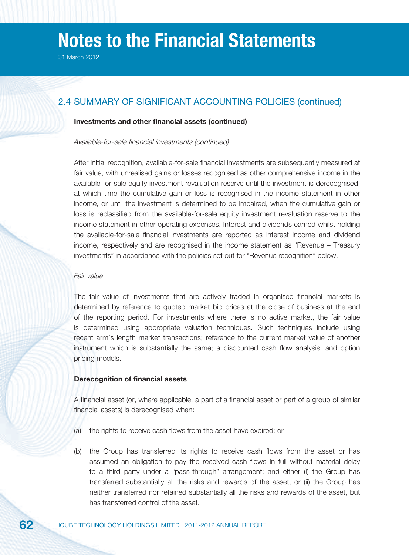## 2.4 SUMMARY OF SIGNIFICANT ACCOUNTING POLICIES (continued)

### **Investments and other financial assets (continued)**

#### Available-for-sale financial investments (continued)

After initial recognition, available-for-sale financial investments are subsequently measured at fair value, with unrealised gains or losses recognised as other comprehensive income in the available-for-sale equity investment revaluation reserve until the investment is derecognised, at which time the cumulative gain or loss is recognised in the income statement in other income, or until the investment is determined to be impaired, when the cumulative gain or loss is reclassified from the available-for-sale equity investment revaluation reserve to the income statement in other operating expenses. Interest and dividends earned whilst holding the available-for-sale financial investments are reported as interest income and dividend income, respectively and are recognised in the income statement as "Revenue – Treasury investments" in accordance with the policies set out for "Revenue recognition" below.

#### Fair value

The fair value of investments that are actively traded in organised financial markets is determined by reference to quoted market bid prices at the close of business at the end of the reporting period. For investments where there is no active market, the fair value is determined using appropriate valuation techniques. Such techniques include using recent arm's length market transactions; reference to the current market value of another instrument which is substantially the same; a discounted cash flow analysis; and option pricing models.

#### **Derecognition of financial assets**

A financial asset (or, where applicable, a part of a financial asset or part of a group of similar financial assets) is derecognised when:

- (a) the rights to receive cash flows from the asset have expired; or
- (b) the Group has transferred its rights to receive cash flows from the asset or has assumed an obligation to pay the received cash flows in full without material delay to a third party under a "pass-through" arrangement; and either (i) the Group has transferred substantially all the risks and rewards of the asset, or (ii) the Group has neither transferred nor retained substantially all the risks and rewards of the asset, but has transferred control of the asset.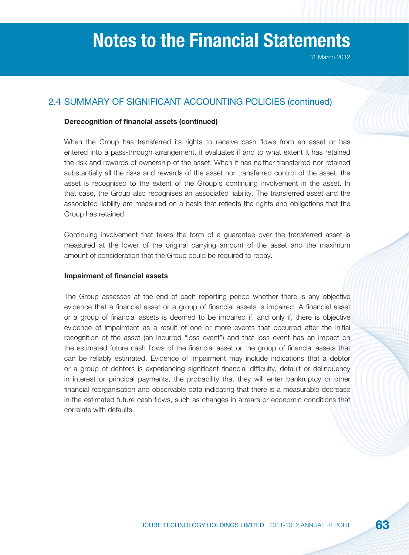## 2.4 SUMMARY OF SIGNIFICANT ACCOUNTING POLICIES (continued)

### **Derecognition of financial assets (continued)**

When the Group has transferred its rights to receive cash flows from an asset or has entered into a pass-through arrangement, it evaluates if and to what extent it has retained the risk and rewards of ownership of the asset. When it has neither transferred nor retained substantially all the risks and rewards of the asset nor transferred control of the asset, the asset is recognised to the extent of the Group's continuing involvement in the asset. In that case, the Group also recognises an associated liability. The transferred asset and the associated liability are measured on a basis that reflects the rights and obligations that the Group has retained.

Continuing involvement that takes the form of a guarantee over the transferred asset is measured at the lower of the original carrying amount of the asset and the maximum amount of consideration that the Group could be required to repay.

#### **Impairment of financial assets**

The Group assesses at the end of each reporting period whether there is any objective evidence that a financial asset or a group of financial assets is impaired. A financial asset or a group of financial assets is deemed to be impaired if, and only if, there is objective evidence of impairment as a result of one or more events that occurred after the initial recognition of the asset (an incurred "loss event") and that loss event has an impact on the estimated future cash flows of the financial asset or the group of financial assets that can be reliably estimated. Evidence of impairment may include indications that a debtor or a group of debtors is experiencing significant financial difficulty, default or delinquency in interest or principal payments, the probability that they will enter bankruptcy or other financial reorganisation and observable data indicating that there is a measurable decrease in the estimated future cash flows, such as changes in arrears or economic conditions that correlate with defaults.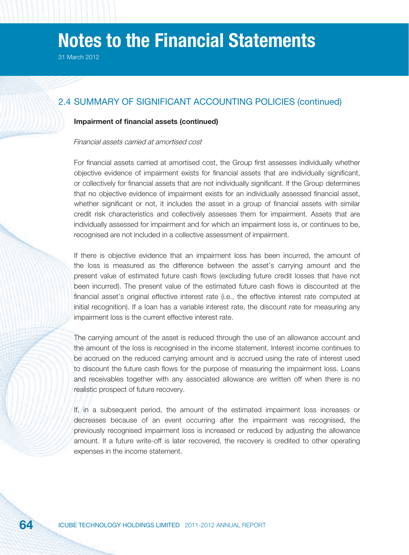## 2.4 SUMMARY OF SIGNIFICANT ACCOUNTING POLICIES (continued)

#### **Impairment of financial assets (continued)**

#### Financial assets carried at amortised cost

For financial assets carried at amortised cost, the Group first assesses individually whether objective evidence of impairment exists for financial assets that are individually significant, or collectively for financial assets that are not individually significant. If the Group determines that no objective evidence of impairment exists for an individually assessed financial asset, whether significant or not, it includes the asset in a group of financial assets with similar credit risk characteristics and collectively assesses them for impairment. Assets that are individually assessed for impairment and for which an impairment loss is, or continues to be, recognised are not included in a collective assessment of impairment.

If there is objective evidence that an impairment loss has been incurred, the amount of the loss is measured as the difference between the asset's carrying amount and the present value of estimated future cash flows (excluding future credit losses that have not been incurred). The present value of the estimated future cash flows is discounted at the financial asset's original effective interest rate (i.e., the effective interest rate computed at initial recognition). If a loan has a variable interest rate, the discount rate for measuring any impairment loss is the current effective interest rate.

The carrying amount of the asset is reduced through the use of an allowance account and the amount of the loss is recognised in the income statement. Interest income continues to be accrued on the reduced carrying amount and is accrued using the rate of interest used to discount the future cash flows for the purpose of measuring the impairment loss. Loans and receivables together with any associated allowance are written off when there is no realistic prospect of future recovery.

If, in a subsequent period, the amount of the estimated impairment loss increases or decreases because of an event occurring after the impairment was recognised, the previously recognised impairment loss is increased or reduced by adjusting the allowance amount. If a future write-off is later recovered, the recovery is credited to other operating expenses in the income statement.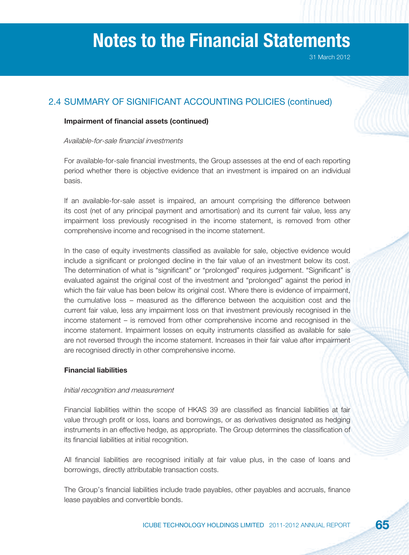31 March 2012

## 2.4 SUMMARY OF SIGNIFICANT ACCOUNTING POLICIES (continued)

### **Impairment of financial assets (continued)**

#### Available-for-sale financial investments

For available-for-sale financial investments, the Group assesses at the end of each reporting period whether there is objective evidence that an investment is impaired on an individual basis.

If an available-for-sale asset is impaired, an amount comprising the difference between its cost (net of any principal payment and amortisation) and its current fair value, less any impairment loss previously recognised in the income statement, is removed from other comprehensive income and recognised in the income statement.

In the case of equity investments classified as available for sale, objective evidence would include a significant or prolonged decline in the fair value of an investment below its cost. The determination of what is "significant" or "prolonged" requires judgement. "Significant" is evaluated against the original cost of the investment and "prolonged" against the period in which the fair value has been below its original cost. Where there is evidence of impairment, the cumulative loss – measured as the difference between the acquisition cost and the current fair value, less any impairment loss on that investment previously recognised in the income statement – is removed from other comprehensive income and recognised in the income statement. Impairment losses on equity instruments classified as available for sale are not reversed through the income statement. Increases in their fair value after impairment are recognised directly in other comprehensive income.

#### **Financial liabilities**

#### Initial recognition and measurement

Financial liabilities within the scope of HKAS 39 are classified as financial liabilities at fair value through profit or loss, loans and borrowings, or as derivatives designated as hedging instruments in an effective hedge, as appropriate. The Group determines the classification of its financial liabilities at initial recognition.

All financial liabilities are recognised initially at fair value plus, in the case of loans and borrowings, directly attributable transaction costs.

The Group's financial liabilities include trade payables, other payables and accruals, finance lease payables and convertible bonds.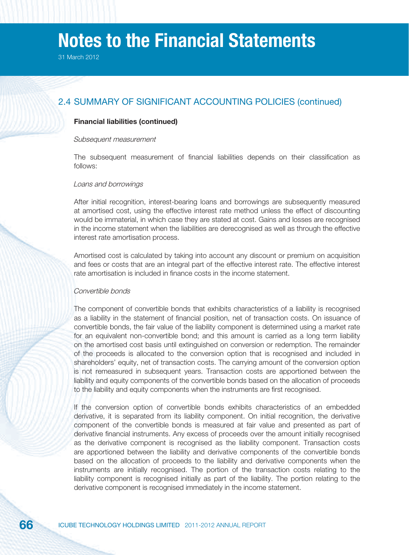31 March 2012

## 2.4 SUMMARY OF SIGNIFICANT ACCOUNTING POLICIES (continued)

#### **Financial liabilities (continued)**

#### Subsequent measurement

The subsequent measurement of financial liabilities depends on their classification as follows:

#### Loans and borrowings

After initial recognition, interest-bearing loans and borrowings are subsequently measured at amortised cost, using the effective interest rate method unless the effect of discounting would be immaterial, in which case they are stated at cost. Gains and losses are recognised in the income statement when the liabilities are derecognised as well as through the effective interest rate amortisation process.

Amortised cost is calculated by taking into account any discount or premium on acquisition and fees or costs that are an integral part of the effective interest rate. The effective interest rate amortisation is included in finance costs in the income statement.

#### Convertible bonds

The component of convertible bonds that exhibits characteristics of a liability is recognised as a liability in the statement of financial position, net of transaction costs. On issuance of convertible bonds, the fair value of the liability component is determined using a market rate for an equivalent non-convertible bond; and this amount is carried as a long term liability on the amortised cost basis until extinguished on conversion or redemption. The remainder of the proceeds is allocated to the conversion option that is recognised and included in shareholders' equity, net of transaction costs. The carrying amount of the conversion option is not remeasured in subsequent years. Transaction costs are apportioned between the liability and equity components of the convertible bonds based on the allocation of proceeds to the liability and equity components when the instruments are first recognised.

If the conversion option of convertible bonds exhibits characteristics of an embedded derivative, it is separated from its liability component. On initial recognition, the derivative component of the convertible bonds is measured at fair value and presented as part of derivative financial instruments. Any excess of proceeds over the amount initially recognised as the derivative component is recognised as the liability component. Transaction costs are apportioned between the liability and derivative components of the convertible bonds based on the allocation of proceeds to the liability and derivative components when the instruments are initially recognised. The portion of the transaction costs relating to the liability component is recognised initially as part of the liability. The portion relating to the derivative component is recognised immediately in the income statement.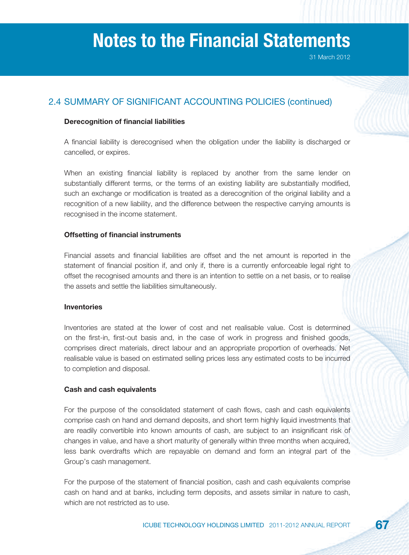## 2.4 SUMMARY OF SIGNIFICANT ACCOUNTING POLICIES (continued)

## **Derecognition of financial liabilities**

A financial liability is derecognised when the obligation under the liability is discharged or cancelled, or expires.

When an existing financial liability is replaced by another from the same lender on substantially different terms, or the terms of an existing liability are substantially modified, such an exchange or modification is treated as a derecognition of the original liability and a recognition of a new liability, and the difference between the respective carrying amounts is recognised in the income statement.

## **Offsetting of financial instruments**

Financial assets and financial liabilities are offset and the net amount is reported in the statement of financial position if, and only if, there is a currently enforceable legal right to offset the recognised amounts and there is an intention to settle on a net basis, or to realise the assets and settle the liabilities simultaneously.

## **Inventories**

Inventories are stated at the lower of cost and net realisable value. Cost is determined on the first-in, first-out basis and, in the case of work in progress and finished goods, comprises direct materials, direct labour and an appropriate proportion of overheads. Net realisable value is based on estimated selling prices less any estimated costs to be incurred to completion and disposal.

## **Cash and cash equivalents**

For the purpose of the consolidated statement of cash flows, cash and cash equivalents comprise cash on hand and demand deposits, and short term highly liquid investments that are readily convertible into known amounts of cash, are subject to an insignificant risk of changes in value, and have a short maturity of generally within three months when acquired, less bank overdrafts which are repayable on demand and form an integral part of the Group's cash management.

For the purpose of the statement of financial position, cash and cash equivalents comprise cash on hand and at banks, including term deposits, and assets similar in nature to cash, which are not restricted as to use.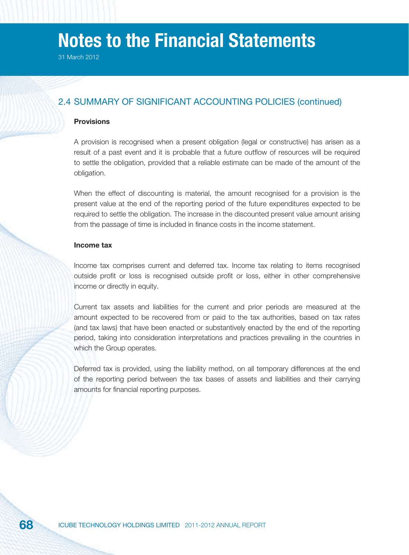31 March 2012

## 2.4 SUMMARY OF SIGNIFICANT ACCOUNTING POLICIES (continued)

## **Provisions**

A provision is recognised when a present obligation (legal or constructive) has arisen as a result of a past event and it is probable that a future outflow of resources will be required to settle the obligation, provided that a reliable estimate can be made of the amount of the obligation.

When the effect of discounting is material, the amount recognised for a provision is the present value at the end of the reporting period of the future expenditures expected to be required to settle the obligation. The increase in the discounted present value amount arising from the passage of time is included in finance costs in the income statement.

## **Income tax**

Income tax comprises current and deferred tax. Income tax relating to items recognised outside profit or loss is recognised outside profit or loss, either in other comprehensive income or directly in equity.

Current tax assets and liabilities for the current and prior periods are measured at the amount expected to be recovered from or paid to the tax authorities, based on tax rates (and tax laws) that have been enacted or substantively enacted by the end of the reporting period, taking into consideration interpretations and practices prevailing in the countries in which the Group operates.

Deferred tax is provided, using the liability method, on all temporary differences at the end of the reporting period between the tax bases of assets and liabilities and their carrying amounts for financial reporting purposes.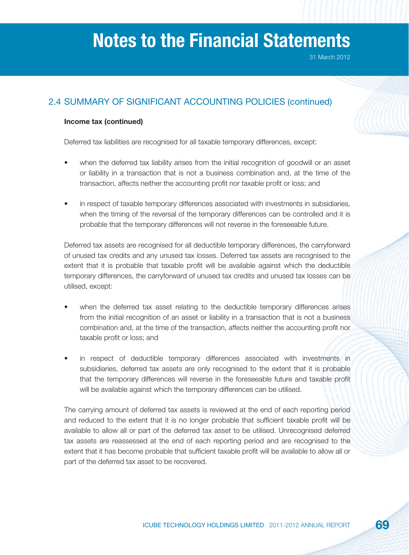31 March 2012

## 2.4 SUMMARY OF SIGNIFICANT ACCOUNTING POLICIES (continued)

## **Income tax (continued)**

Deferred tax liabilities are recognised for all taxable temporary differences, except:

- when the deferred tax liability arises from the initial recognition of goodwill or an asset or liability in a transaction that is not a business combination and, at the time of the transaction, affects neither the accounting profit nor taxable profit or loss; and
- in respect of taxable temporary differences associated with investments in subsidiaries, when the timing of the reversal of the temporary differences can be controlled and it is probable that the temporary differences will not reverse in the foreseeable future.

Deferred tax assets are recognised for all deductible temporary differences, the carryforward of unused tax credits and any unused tax losses. Deferred tax assets are recognised to the extent that it is probable that taxable profit will be available against which the deductible temporary differences, the carryforward of unused tax credits and unused tax losses can be utilised, except:

- when the deferred tax asset relating to the deductible temporary differences arises from the initial recognition of an asset or liability in a transaction that is not a business combination and, at the time of the transaction, affects neither the accounting profit nor taxable profit or loss; and
- in respect of deductible temporary differences associated with investments in subsidiaries, deferred tax assets are only recognised to the extent that it is probable that the temporary differences will reverse in the foreseeable future and taxable profit will be available against which the temporary differences can be utilised.

The carrying amount of deferred tax assets is reviewed at the end of each reporting period and reduced to the extent that it is no longer probable that sufficient taxable profit will be available to allow all or part of the deferred tax asset to be utilised. Unrecognised deferred tax assets are reassessed at the end of each reporting period and are recognised to the extent that it has become probable that sufficient taxable profit will be available to allow all or part of the deferred tax asset to be recovered.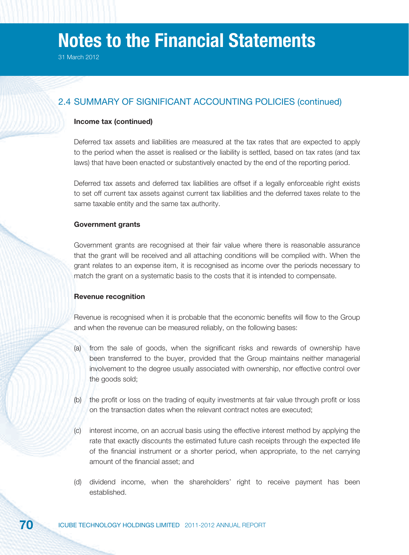## 2.4 SUMMARY OF SIGNIFICANT ACCOUNTING POLICIES (continued)

## **Income tax (continued)**

Deferred tax assets and liabilities are measured at the tax rates that are expected to apply to the period when the asset is realised or the liability is settled, based on tax rates (and tax laws) that have been enacted or substantively enacted by the end of the reporting period.

Deferred tax assets and deferred tax liabilities are offset if a legally enforceable right exists to set off current tax assets against current tax liabilities and the deferred taxes relate to the same taxable entity and the same tax authority.

#### **Government grants**

Government grants are recognised at their fair value where there is reasonable assurance that the grant will be received and all attaching conditions will be complied with. When the grant relates to an expense item, it is recognised as income over the periods necessary to match the grant on a systematic basis to the costs that it is intended to compensate.

#### **Revenue recognition**

Revenue is recognised when it is probable that the economic benefits will flow to the Group and when the revenue can be measured reliably, on the following bases:

- (a) from the sale of goods, when the significant risks and rewards of ownership have been transferred to the buyer, provided that the Group maintains neither managerial involvement to the degree usually associated with ownership, nor effective control over the goods sold;
- (b) the profit or loss on the trading of equity investments at fair value through profit or loss on the transaction dates when the relevant contract notes are executed;
- (c) interest income, on an accrual basis using the effective interest method by applying the rate that exactly discounts the estimated future cash receipts through the expected life of the financial instrument or a shorter period, when appropriate, to the net carrying amount of the financial asset; and
- (d) dividend income, when the shareholders' right to receive payment has been established.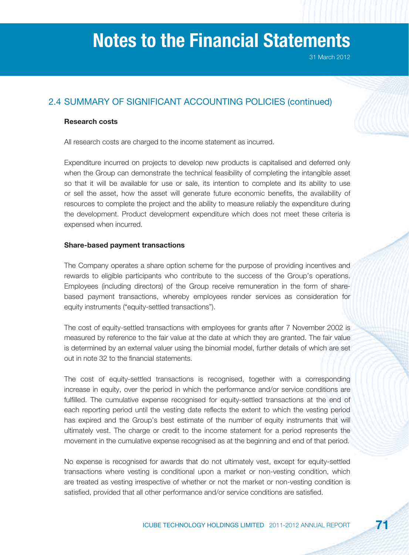## 2.4 SUMMARY OF SIGNIFICANT ACCOUNTING POLICIES (continued)

### **Research costs**

All research costs are charged to the income statement as incurred.

Expenditure incurred on projects to develop new products is capitalised and deferred only when the Group can demonstrate the technical feasibility of completing the intangible asset so that it will be available for use or sale, its intention to complete and its ability to use or sell the asset, how the asset will generate future economic benefits, the availability of resources to complete the project and the ability to measure reliably the expenditure during the development. Product development expenditure which does not meet these criteria is expensed when incurred.

## **Share-based payment transactions**

The Company operates a share option scheme for the purpose of providing incentives and rewards to eligible participants who contribute to the success of the Group's operations. Employees (including directors) of the Group receive remuneration in the form of sharebased payment transactions, whereby employees render services as consideration for equity instruments ("equity-settled transactions").

The cost of equity-settled transactions with employees for grants after 7 November 2002 is measured by reference to the fair value at the date at which they are granted. The fair value is determined by an external valuer using the binomial model, further details of which are set out in note 32 to the financial statements.

The cost of equity-settled transactions is recognised, together with a corresponding increase in equity, over the period in which the performance and/or service conditions are fulfilled. The cumulative expense recognised for equity-settled transactions at the end of each reporting period until the vesting date reflects the extent to which the vesting period has expired and the Group's best estimate of the number of equity instruments that will ultimately vest. The charge or credit to the income statement for a period represents the movement in the cumulative expense recognised as at the beginning and end of that period.

No expense is recognised for awards that do not ultimately vest, except for equity-settled transactions where vesting is conditional upon a market or non-vesting condition, which are treated as vesting irrespective of whether or not the market or non-vesting condition is satisfied, provided that all other performance and/or service conditions are satisfied.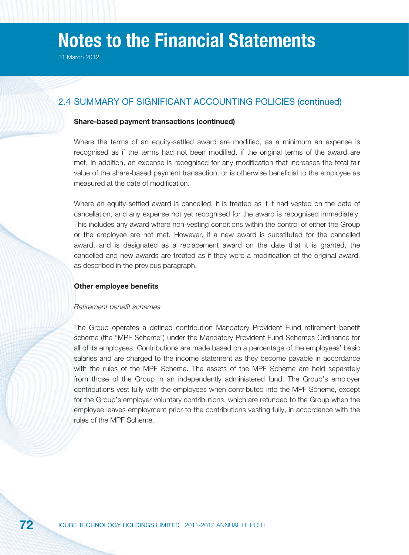### 2.4 SUMMARY OF SIGNIFICANT ACCOUNTING POLICIES (continued)

### **Share-based payment transactions (continued)**

Where the terms of an equity-settled award are modified, as a minimum an expense is recognised as if the terms had not been modified, if the original terms of the award are met. In addition, an expense is recognised for any modification that increases the total fair value of the share-based payment transaction, or is otherwise beneficial to the employee as measured at the date of modification.

Where an equity-settled award is cancelled, it is treated as if it had vested on the date of cancellation, and any expense not yet recognised for the award is recognised immediately. This includes any award where non-vesting conditions within the control of either the Group or the employee are not met. However, if a new award is substituted for the cancelled award, and is designated as a replacement award on the date that it is granted, the cancelled and new awards are treated as if they were a modification of the original award, as described in the previous paragraph.

#### **Other employee benefits**

#### Retirement benefit schemes

The Group operates a defined contribution Mandatory Provident Fund retirement benefit scheme (the "MPF Scheme") under the Mandatory Provident Fund Schemes Ordinance for all of its employees. Contributions are made based on a percentage of the employees' basic salaries and are charged to the income statement as they become payable in accordance with the rules of the MPF Scheme. The assets of the MPF Scheme are held separately from those of the Group in an independently administered fund. The Group's employer contributions vest fully with the employees when contributed into the MPF Scheme, except for the Group's employer voluntary contributions, which are refunded to the Group when the employee leaves employment prior to the contributions vesting fully, in accordance with the rules of the MPF Scheme.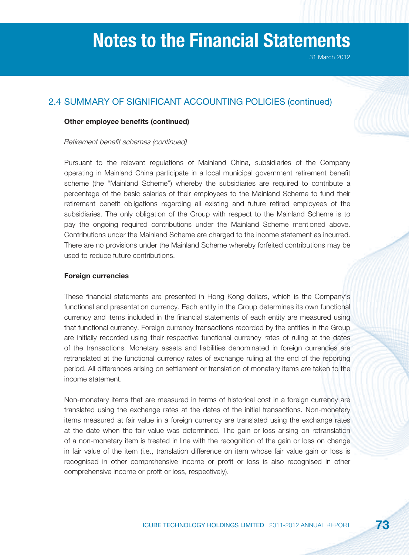## 2.4 SUMMARY OF SIGNIFICANT ACCOUNTING POLICIES (continued)

### **Other employee benefits (continued)**

#### Retirement benefit schemes (continued)

Pursuant to the relevant regulations of Mainland China, subsidiaries of the Company operating in Mainland China participate in a local municipal government retirement benefit scheme (the "Mainland Scheme") whereby the subsidiaries are required to contribute a percentage of the basic salaries of their employees to the Mainland Scheme to fund their retirement benefit obligations regarding all existing and future retired employees of the subsidiaries. The only obligation of the Group with respect to the Mainland Scheme is to pay the ongoing required contributions under the Mainland Scheme mentioned above. Contributions under the Mainland Scheme are charged to the income statement as incurred. There are no provisions under the Mainland Scheme whereby forfeited contributions may be used to reduce future contributions.

### **Foreign currencies**

These financial statements are presented in Hong Kong dollars, which is the Company's functional and presentation currency. Each entity in the Group determines its own functional currency and items included in the financial statements of each entity are measured using that functional currency. Foreign currency transactions recorded by the entities in the Group are initially recorded using their respective functional currency rates of ruling at the dates of the transactions. Monetary assets and liabilities denominated in foreign currencies are retranslated at the functional currency rates of exchange ruling at the end of the reporting period. All differences arising on settlement or translation of monetary items are taken to the income statement.

Non-monetary items that are measured in terms of historical cost in a foreign currency are translated using the exchange rates at the dates of the initial transactions. Non-monetary items measured at fair value in a foreign currency are translated using the exchange rates at the date when the fair value was determined. The gain or loss arising on retranslation of a non-monetary item is treated in line with the recognition of the gain or loss on change in fair value of the item (i.e., translation difference on item whose fair value gain or loss is recognised in other comprehensive income or profit or loss is also recognised in other comprehensive income or profit or loss, respectively).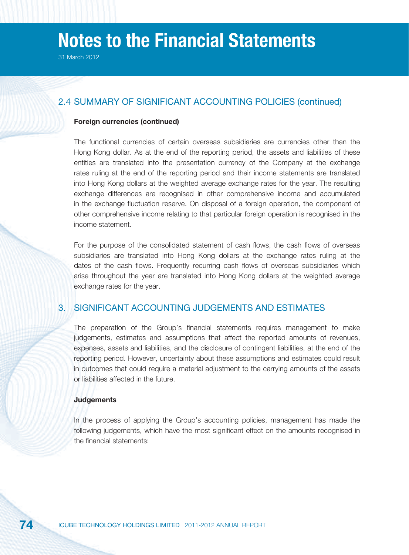### 2.4 SUMMARY OF SIGNIFICANT ACCOUNTING POLICIES (continued)

#### **Foreign currencies (continued)**

The functional currencies of certain overseas subsidiaries are currencies other than the Hong Kong dollar. As at the end of the reporting period, the assets and liabilities of these entities are translated into the presentation currency of the Company at the exchange rates ruling at the end of the reporting period and their income statements are translated into Hong Kong dollars at the weighted average exchange rates for the year. The resulting exchange differences are recognised in other comprehensive income and accumulated in the exchange fluctuation reserve. On disposal of a foreign operation, the component of other comprehensive income relating to that particular foreign operation is recognised in the income statement.

For the purpose of the consolidated statement of cash flows, the cash flows of overseas subsidiaries are translated into Hong Kong dollars at the exchange rates ruling at the dates of the cash flows. Frequently recurring cash flows of overseas subsidiaries which arise throughout the year are translated into Hong Kong dollars at the weighted average exchange rates for the year.

### 3. SIGNIFICANT ACCOUNTING JUDGEMENTS AND ESTIMATES

The preparation of the Group's financial statements requires management to make judgements, estimates and assumptions that affect the reported amounts of revenues, expenses, assets and liabilities, and the disclosure of contingent liabilities, at the end of the reporting period. However, uncertainty about these assumptions and estimates could result in outcomes that could require a material adjustment to the carrying amounts of the assets or liabilities affected in the future.

#### **Judgements**

In the process of applying the Group's accounting policies, management has made the following judgements, which have the most significant effect on the amounts recognised in the financial statements: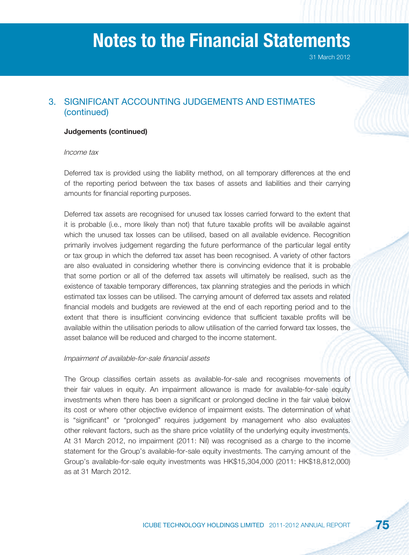31 March 2012

## 3. SIGNIFICANT ACCOUNTING JUDGEMENTS AND ESTIMATES (continued)

### **Judgements (continued)**

#### Income tax

Deferred tax is provided using the liability method, on all temporary differences at the end of the reporting period between the tax bases of assets and liabilities and their carrying amounts for financial reporting purposes.

Deferred tax assets are recognised for unused tax losses carried forward to the extent that it is probable (i.e., more likely than not) that future taxable profits will be available against which the unused tax losses can be utilised, based on all available evidence. Recognition primarily involves judgement regarding the future performance of the particular legal entity or tax group in which the deferred tax asset has been recognised. A variety of other factors are also evaluated in considering whether there is convincing evidence that it is probable that some portion or all of the deferred tax assets will ultimately be realised, such as the existence of taxable temporary differences, tax planning strategies and the periods in which estimated tax losses can be utilised. The carrying amount of deferred tax assets and related financial models and budgets are reviewed at the end of each reporting period and to the extent that there is insufficient convincing evidence that sufficient taxable profits will be available within the utilisation periods to allow utilisation of the carried forward tax losses, the asset balance will be reduced and charged to the income statement.

#### Impairment of available-for-sale financial assets

The Group classifies certain assets as available-for-sale and recognises movements of their fair values in equity. An impairment allowance is made for available-for-sale equity investments when there has been a significant or prolonged decline in the fair value below its cost or where other objective evidence of impairment exists. The determination of what is "significant" or "prolonged" requires judgement by management who also evaluates other relevant factors, such as the share price volatility of the underlying equity investments. At 31 March 2012, no impairment (2011: Nil) was recognised as a charge to the income statement for the Group's available-for-sale equity investments. The carrying amount of the Group's available-for-sale equity investments was HK\$15,304,000 (2011: HK\$18,812,000) as at 31 March 2012.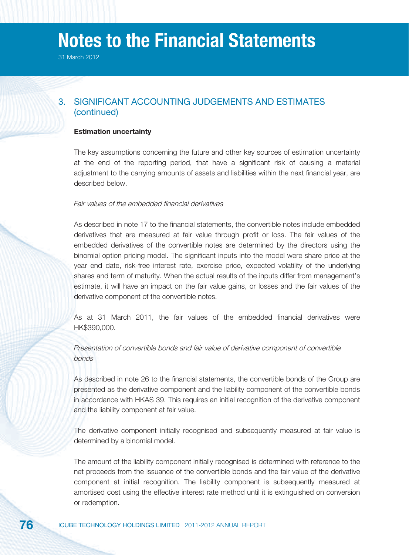31 March 2012

## 3. SIGNIFICANT ACCOUNTING JUDGEMENTS AND ESTIMATES (continued)

#### **Estimation uncertainty**

The key assumptions concerning the future and other key sources of estimation uncertainty at the end of the reporting period, that have a significant risk of causing a material adjustment to the carrying amounts of assets and liabilities within the next financial year, are described below.

#### Fair values of the embedded financial derivatives

As described in note 17 to the financial statements, the convertible notes include embedded derivatives that are measured at fair value through profit or loss. The fair values of the embedded derivatives of the convertible notes are determined by the directors using the binomial option pricing model. The significant inputs into the model were share price at the year end date, risk-free interest rate, exercise price, expected volatility of the underlying shares and term of maturity. When the actual results of the inputs differ from management's estimate, it will have an impact on the fair value gains, or losses and the fair values of the derivative component of the convertible notes.

As at 31 March 2011, the fair values of the embedded financial derivatives were HK\$390,000.

### Presentation of convertible bonds and fair value of derivative component of convertible bonds

As described in note 26 to the financial statements, the convertible bonds of the Group are presented as the derivative component and the liability component of the convertible bonds in accordance with HKAS 39. This requires an initial recognition of the derivative component and the liability component at fair value.

The derivative component initially recognised and subsequently measured at fair value is determined by a binomial model.

The amount of the liability component initially recognised is determined with reference to the net proceeds from the issuance of the convertible bonds and the fair value of the derivative component at initial recognition. The liability component is subsequently measured at amortised cost using the effective interest rate method until it is extinguished on conversion or redemption.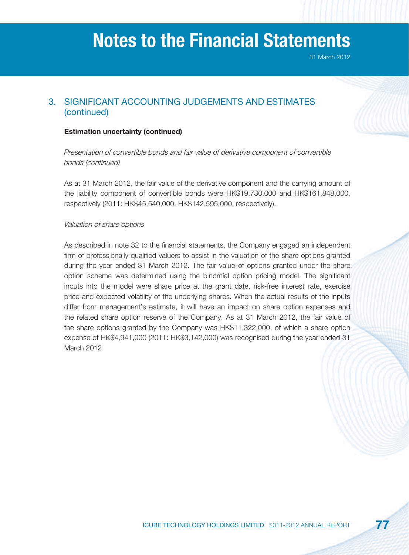31 March 2012

## 3. SIGNIFICANT ACCOUNTING JUDGEMENTS AND ESTIMATES (continued)

### **Estimation uncertainty (continued)**

Presentation of convertible bonds and fair value of derivative component of convertible bonds (continued)

As at 31 March 2012, the fair value of the derivative component and the carrying amount of the liability component of convertible bonds were HK\$19,730,000 and HK\$161,848,000, respectively (2011: HK\$45,540,000, HK\$142,595,000, respectively).

#### Valuation of share options

As described in note 32 to the financial statements, the Company engaged an independent firm of professionally qualified valuers to assist in the valuation of the share options granted during the year ended 31 March 2012. The fair value of options granted under the share option scheme was determined using the binomial option pricing model. The significant inputs into the model were share price at the grant date, risk-free interest rate, exercise price and expected volatility of the underlying shares. When the actual results of the inputs differ from management's estimate, it will have an impact on share option expenses and the related share option reserve of the Company. As at 31 March 2012, the fair value of the share options granted by the Company was HK\$11,322,000, of which a share option expense of HK\$4,941,000 (2011: HK\$3,142,000) was recognised during the year ended 31 March 2012.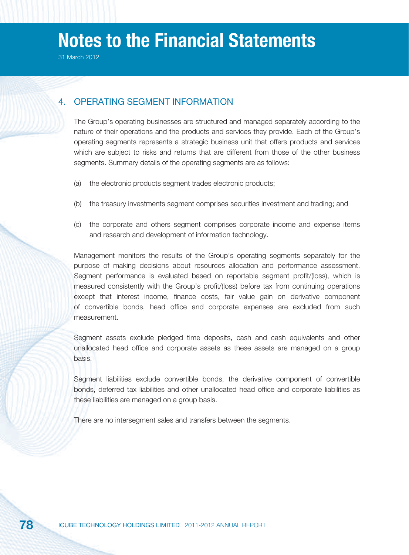31 March 2012

### 4. OPERATING SEGMENT INFORMATION

The Group's operating businesses are structured and managed separately according to the nature of their operations and the products and services they provide. Each of the Group's operating segments represents a strategic business unit that offers products and services which are subject to risks and returns that are different from those of the other business segments. Summary details of the operating segments are as follows:

- (a) the electronic products segment trades electronic products;
- (b) the treasury investments segment comprises securities investment and trading; and
- (c) the corporate and others segment comprises corporate income and expense items and research and development of information technology.

Management monitors the results of the Group's operating segments separately for the purpose of making decisions about resources allocation and performance assessment. Segment performance is evaluated based on reportable segment profit/(loss), which is measured consistently with the Group's profit/(loss) before tax from continuing operations except that interest income, finance costs, fair value gain on derivative component of convertible bonds, head office and corporate expenses are excluded from such measurement.

Segment assets exclude pledged time deposits, cash and cash equivalents and other unallocated head office and corporate assets as these assets are managed on a group basis.

Segment liabilities exclude convertible bonds, the derivative component of convertible bonds, deferred tax liabilities and other unallocated head office and corporate liabilities as these liabilities are managed on a group basis.

There are no intersegment sales and transfers between the segments.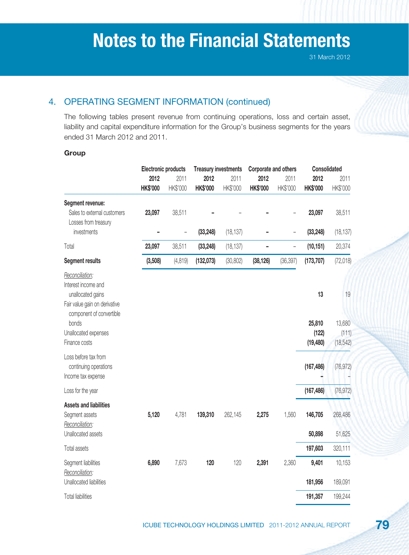## 4. OPERATING SEGMENT INFORMATION (continued)

The following tables present revenue from continuing operations, loss and certain asset, liability and capital expenditure information for the Group's business segments for the years ended 31 March 2012 and 2011.

### **Group**

|                                                     | <b>Electronic products</b> |                | <b>Treasury investments</b> |           | Corporate and others |                          | Consolidated    |           |
|-----------------------------------------------------|----------------------------|----------------|-----------------------------|-----------|----------------------|--------------------------|-----------------|-----------|
|                                                     | 2012                       | 2011           | 2012                        | 2011      | 2012                 | 2011                     | 2012            | 2011      |
|                                                     | <b>HK\$'000</b>            | HK\$'000       | <b>HK\$'000</b>             | HK\$'000  | <b>HK\$'000</b>      | HK\$'000                 | <b>HK\$'000</b> | HK\$'000  |
| Segment revenue:                                    |                            |                |                             |           |                      |                          |                 |           |
| Sales to external customers<br>Losses from treasury | 23,097                     | 38,511         |                             |           |                      |                          | 23,097          | 38,511    |
| investments                                         |                            | $\overline{a}$ | (33, 248)                   | (18, 137) |                      | $\overline{\phantom{a}}$ | (33, 248)       | (18, 137) |
| Total                                               | 23,097                     | 38,511         | (33, 248)                   | (18, 137) |                      | $\overline{\phantom{a}}$ | (10, 151)       | 20,374    |
| Segment results                                     | (3,508)                    | (4, 819)       | (132,073)                   | (30, 802) | (38, 126)            | (36, 397)                | (173, 707)      | (72, 018) |
| Reconciliation:                                     |                            |                |                             |           |                      |                          |                 |           |
| Interest income and                                 |                            |                |                             |           |                      |                          |                 |           |
| unallocated gains<br>Fair value gain on derivative  |                            |                |                             |           |                      |                          | 13              | 19        |
| component of convertible                            |                            |                |                             |           |                      |                          |                 |           |
| bonds                                               |                            |                |                             |           |                      |                          | 25,810          | 13,680    |
| Unallocated expenses                                |                            |                |                             |           |                      |                          | (122)           | (111)     |
| Finance costs                                       |                            |                |                             |           |                      |                          | (19, 480)       | (18, 542) |
| Loss before tax from                                |                            |                |                             |           |                      |                          |                 |           |
| continuing operations                               |                            |                |                             |           |                      |                          | (167, 486)      | (76, 972) |
| Income tax expense                                  |                            |                |                             |           |                      |                          |                 |           |
| Loss for the year                                   |                            |                |                             |           |                      |                          | (167, 486)      | (76, 972) |
| <b>Assets and liabilities</b>                       |                            |                |                             |           |                      |                          |                 |           |
| Segment assets                                      | 5,120                      | 4,781          | 139,310                     | 262,145   | 2,275                | 1,560                    | 146,705         | 268,486   |
| Reconciliation:<br>Unallocated assets               |                            |                |                             |           |                      |                          | 50,898          | 51,625    |
|                                                     |                            |                |                             |           |                      |                          |                 |           |
| Total assets                                        |                            |                |                             |           |                      |                          | 197,603         | 320,111   |
| Segment liabilities<br>Reconciliation:              | 6,890                      | 7,673          | 120                         | 120       | 2,391                | 2,360                    | 9,401           | 10,153    |
| Unallocated liabilities                             |                            |                |                             |           |                      |                          | 181,956         | 189,091   |
| <b>Total liabilities</b>                            |                            |                |                             |           |                      |                          | 191,357         | 199,244   |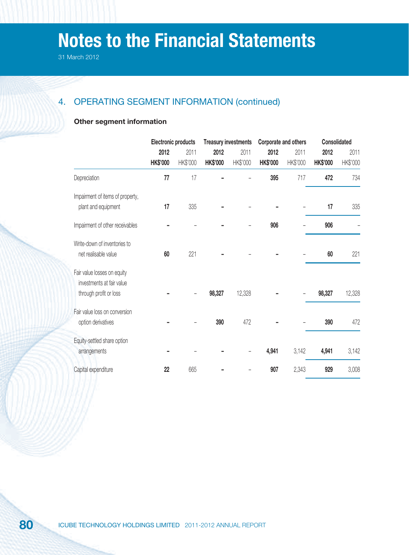## 4. OPERATING SEGMENT INFORMATION (continued)

### **Other segment information**

|                                                                                    |                         | <b>Electronic products</b> |                         | <b>Treasury investments</b> | Corporate and others    |                  | Consolidated            |                  |
|------------------------------------------------------------------------------------|-------------------------|----------------------------|-------------------------|-----------------------------|-------------------------|------------------|-------------------------|------------------|
|                                                                                    | 2012<br><b>HK\$'000</b> | 2011<br>HK\$'000           | 2012<br><b>HK\$'000</b> | 2011<br>HK\$'000            | 2012<br><b>HK\$'000</b> | 2011<br>HK\$'000 | 2012<br><b>HK\$'000</b> | 2011<br>HK\$'000 |
| Depreciation                                                                       | 77                      | 17                         |                         |                             | 395                     | 717              | 472                     | 734              |
| Impairment of items of property,<br>plant and equipment                            | 17                      | 335                        |                         |                             |                         |                  | 17                      | 335              |
| Impairment of other receivables                                                    |                         |                            |                         |                             | 906                     |                  | 906                     |                  |
| Write-down of inventories to<br>net realisable value                               | 60                      | 221                        |                         |                             |                         |                  | 60                      | 221              |
| Fair value losses on equity<br>investments at fair value<br>through profit or loss |                         |                            | 98,327                  | 12,328                      |                         |                  | 98,327                  | 12,328           |
| Fair value loss on conversion<br>option derivatives                                |                         |                            | 390                     | 472                         |                         |                  | 390                     | 472              |
| Equity-settled share option<br>arrangements                                        |                         |                            |                         |                             | 4,941                   | 3,142            | 4,941                   | 3,142            |
| Capital expenditure                                                                | 22                      | 665                        |                         |                             | 907                     | 2,343            | 929                     | 3,008            |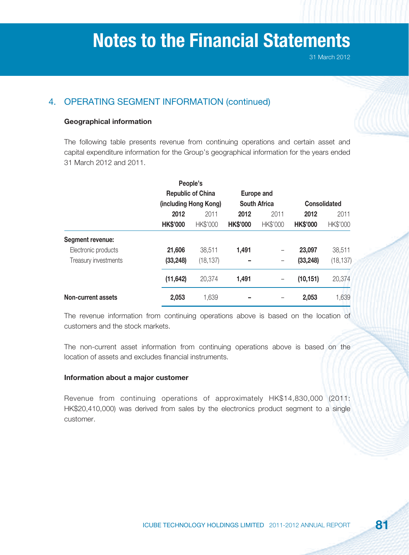## 4. OPERATING SEGMENT INFORMATION (continued)

### **Geographical information**

The following table presents revenue from continuing operations and certain asset and capital expenditure information for the Group's geographical information for the years ended 31 March 2012 and 2011.

|                         |                 | People's                 |                 |                     |                 |                     |
|-------------------------|-----------------|--------------------------|-----------------|---------------------|-----------------|---------------------|
|                         |                 | <b>Republic of China</b> |                 | <b>Europe and</b>   |                 |                     |
|                         |                 | (including Hong Kong)    |                 | <b>South Africa</b> |                 | <b>Consolidated</b> |
|                         | 2012            | 2011                     | 2012            | 2011                | 2012            | 2011                |
|                         | <b>HK\$'000</b> | HK\$'000                 | <b>HK\$'000</b> | HK\$'000            | <b>HK\$'000</b> | HK\$'000            |
| <b>Segment revenue:</b> |                 |                          |                 |                     |                 |                     |
| Electronic products     | 21,606          | 38,511                   | 1,491           | -                   | 23,097          | 38,511              |
| Treasury investments    | (33, 248)       | (18, 137)                |                 |                     | (33, 248)       | (18, 137)           |
|                         | (11, 642)       | 20,374                   | 1,491           |                     | (10, 151)       | 20,374              |
| Non-current assets      | 2,053           | 1,639                    | -               |                     | 2,053           | 1,639               |

The revenue information from continuing operations above is based on the location of customers and the stock markets.

The non-current asset information from continuing operations above is based on the location of assets and excludes financial instruments.

### **Information about a major customer**

Revenue from continuing operations of approximately HK\$14,830,000 (2011: HK\$20,410,000) was derived from sales by the electronics product segment to a single customer.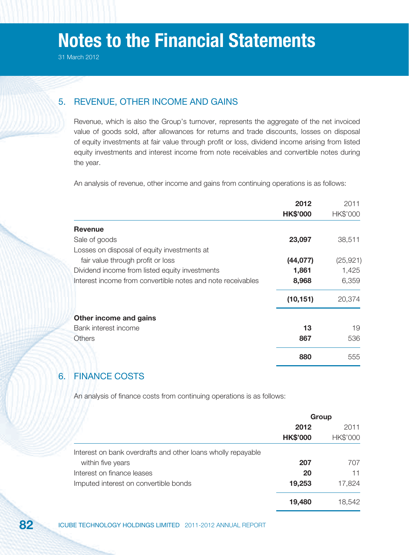## 5. REVENUE, OTHER INCOME AND GAINS

Revenue, which is also the Group's turnover, represents the aggregate of the net invoiced value of goods sold, after allowances for returns and trade discounts, losses on disposal of equity investments at fair value through profit or loss, dividend income arising from listed equity investments and interest income from note receivables and convertible notes during the year.

An analysis of revenue, other income and gains from continuing operations is as follows:

|                                                             | 2012            | 2011      |
|-------------------------------------------------------------|-----------------|-----------|
|                                                             | <b>HK\$'000</b> | HK\$'000  |
| <b>Revenue</b>                                              |                 |           |
| Sale of goods                                               | 23,097          | 38,511    |
| Losses on disposal of equity investments at                 |                 |           |
| fair value through profit or loss                           | (44, 077)       | (25, 921) |
| Dividend income from listed equity investments              | 1,861           | 1,425     |
| Interest income from convertible notes and note receivables | 8,968           | 6,359     |
|                                                             | (10, 151)       | 20,374    |
| Other income and gains                                      |                 |           |
| Bank interest income                                        | 13              | 19        |
| <b>Others</b>                                               | 867             | 536       |
|                                                             | 880             | 555       |

### 6. FINANCE COSTS

An analysis of finance costs from continuing operations is as follows:

|                                                                                   |                         | Group            |
|-----------------------------------------------------------------------------------|-------------------------|------------------|
|                                                                                   | 2012<br><b>HK\$'000</b> | 2011<br>HK\$'000 |
| Interest on bank overdrafts and other loans wholly repayable<br>within five years | 207                     | 707              |
| Interest on finance leases                                                        | 20                      | 11               |
| Imputed interest on convertible bonds                                             | 19,253                  | 17,824           |
|                                                                                   | 19,480                  | 18.542           |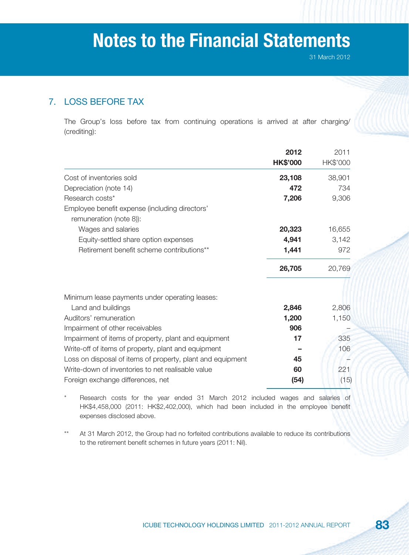## 7. LOSS BEFORE TAX

The Group's loss before tax from continuing operations is arrived at after charging/ (crediting):

|                                                                           | 2012            | 2011     |
|---------------------------------------------------------------------------|-----------------|----------|
|                                                                           | <b>HK\$'000</b> | HK\$'000 |
| Cost of inventories sold                                                  | 23,108          | 38,901   |
| Depreciation (note 14)                                                    | 472             | 734      |
| Research costs*                                                           | 7,206           | 9,306    |
| Employee benefit expense (including directors'<br>remuneration (note 8)): |                 |          |
| Wages and salaries                                                        | 20,323          | 16,655   |
| Equity-settled share option expenses                                      | 4,941           | 3,142    |
| Retirement benefit scheme contributions**                                 | 1,441           | 972      |
|                                                                           | 26,705          | 20,769   |
| Minimum lease payments under operating leases:                            |                 |          |
| Land and buildings                                                        | 2,846           | 2,806    |
| Auditors' remuneration                                                    | 1,200           | 1,150    |
| Impairment of other receivables                                           | 906             |          |
| Impairment of items of property, plant and equipment                      | 17              | 335      |
| Write-off of items of property, plant and equipment                       |                 | 106      |
| Loss on disposal of items of property, plant and equipment                | 45              |          |
| Write-down of inventories to net realisable value                         | 60              | 221      |
| Foreign exchange differences, net                                         | (54)            | (15)     |

Research costs for the year ended 31 March 2012 included wages and salaries of HK\$4,458,000 (2011: HK\$2,402,000), which had been included in the employee benefit expenses disclosed above.

At 31 March 2012, the Group had no forfeited contributions available to reduce its contributions to the retirement benefit schemes in future years (2011: Nil).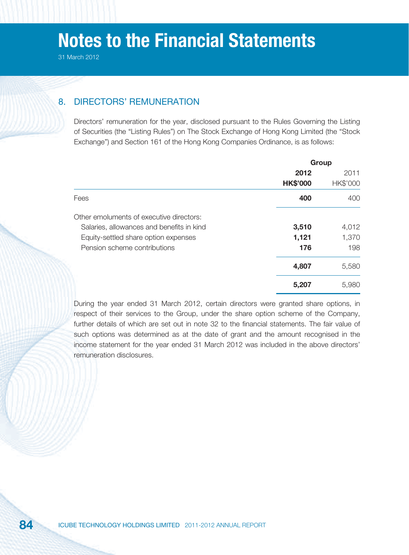## 8. DIRECTORS' REMUNERATION

Directors' remuneration for the year, disclosed pursuant to the Rules Governing the Listing of Securities (the "Listing Rules") on The Stock Exchange of Hong Kong Limited (the "Stock Exchange") and Section 161 of the Hong Kong Companies Ordinance, is as follows:

|                                           | Group           |          |
|-------------------------------------------|-----------------|----------|
|                                           | 2012            | 2011     |
|                                           | <b>HK\$'000</b> | HK\$'000 |
| Fees                                      | 400             | 400      |
| Other emoluments of executive directors:  |                 |          |
| Salaries, allowances and benefits in kind | 3,510           | 4,012    |
| Equity-settled share option expenses      | 1,121           | 1,370    |
| Pension scheme contributions              | 176             | 198      |
|                                           | 4,807           | 5,580    |
|                                           | 5,207           | 5,980    |
|                                           |                 |          |

During the year ended 31 March 2012, certain directors were granted share options, in respect of their services to the Group, under the share option scheme of the Company, further details of which are set out in note 32 to the financial statements. The fair value of such options was determined as at the date of grant and the amount recognised in the income statement for the year ended 31 March 2012 was included in the above directors' remuneration disclosures.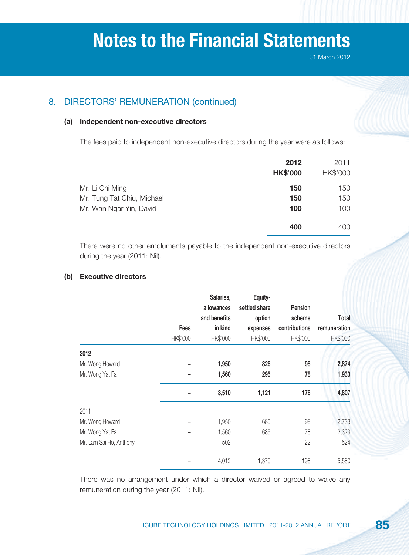## 8. DIRECTORS' REMUNERATION (continued)

### **(a) Independent non-executive directors**

The fees paid to independent non-executive directors during the year were as follows:

|                            | 2012<br><b>HK\$'000</b> | 2011<br>HK\$'000 |
|----------------------------|-------------------------|------------------|
| Mr. Li Chi Ming            | 150                     | 150              |
| Mr. Tung Tat Chiu, Michael | 150                     | 150              |
| Mr. Wan Ngar Yin, David    | 100                     | 100              |
|                            | 400                     | 400              |

There were no other emoluments payable to the independent non-executive directors during the year (2011: Nil).

### **(b) Executive directors**

|                         | Fees<br>HK\$'000 | Salaries,<br>allowances<br>and benefits<br>in kind<br>HK\$'000 | Equity-<br>settled share<br>option<br>expenses<br>HK\$'000 | <b>Pension</b><br>scheme<br>contributions<br>HK\$'000 | <b>Total</b><br>remuneration<br>HK\$'000 |
|-------------------------|------------------|----------------------------------------------------------------|------------------------------------------------------------|-------------------------------------------------------|------------------------------------------|
| 2012                    |                  |                                                                |                                                            |                                                       |                                          |
| Mr. Wong Howard         |                  | 1,950                                                          | 826                                                        | 98                                                    | 2,874                                    |
| Mr. Wong Yat Fai        |                  | 1,560                                                          | 295                                                        | 78                                                    | 1,933                                    |
|                         |                  | 3,510                                                          | 1,121                                                      | 176                                                   | 4,807                                    |
| 2011                    |                  |                                                                |                                                            |                                                       |                                          |
| Mr. Wong Howard         |                  | 1,950                                                          | 685                                                        | 98                                                    | 2,733                                    |
| Mr. Wong Yat Fai        |                  | 1,560                                                          | 685                                                        | 78                                                    | 2,323                                    |
| Mr. Lam Sai Ho, Anthony |                  | 502                                                            |                                                            | 22                                                    | 524                                      |
|                         |                  | 4,012                                                          | 1,370                                                      | 198                                                   | 5,580                                    |

There was no arrangement under which a director waived or agreed to waive any remuneration during the year (2011: Nil).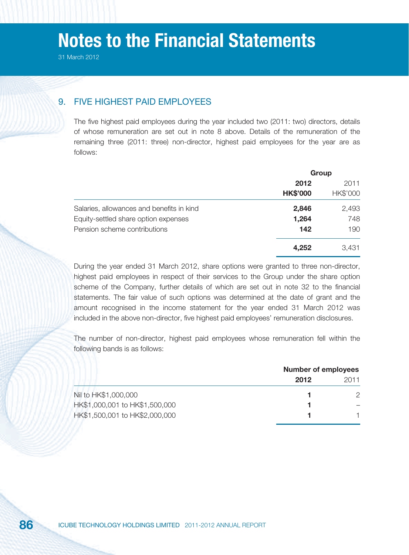### 9. FIVE HIGHEST PAID EMPLOYEES

The five highest paid employees during the year included two (2011: two) directors, details of whose remuneration are set out in note 8 above. Details of the remuneration of the remaining three (2011: three) non-director, highest paid employees for the year are as follows:

|                                           | Group           |          |
|-------------------------------------------|-----------------|----------|
|                                           | 2012            | 2011     |
|                                           | <b>HK\$'000</b> | HK\$'000 |
| Salaries, allowances and benefits in kind | 2,846           | 2,493    |
| Equity-settled share option expenses      | 1,264           | 748      |
| Pension scheme contributions              | 142             | 190      |
|                                           | 4,252           | 3,431    |

During the year ended 31 March 2012, share options were granted to three non-director, highest paid employees in respect of their services to the Group under the share option scheme of the Company, further details of which are set out in note 32 to the financial statements. The fair value of such options was determined at the date of grant and the amount recognised in the income statement for the year ended 31 March 2012 was included in the above non-director, five highest paid employees' remuneration disclosures.

The number of non-director, highest paid employees whose remuneration fell within the following bands is as follows:

|                                | <b>Number of employees</b> |      |
|--------------------------------|----------------------------|------|
|                                | 2012                       | 2011 |
| Nil to HK\$1,000,000           |                            |      |
| HK\$1,000,001 to HK\$1,500,000 |                            |      |
| HK\$1,500,001 to HK\$2,000,000 |                            |      |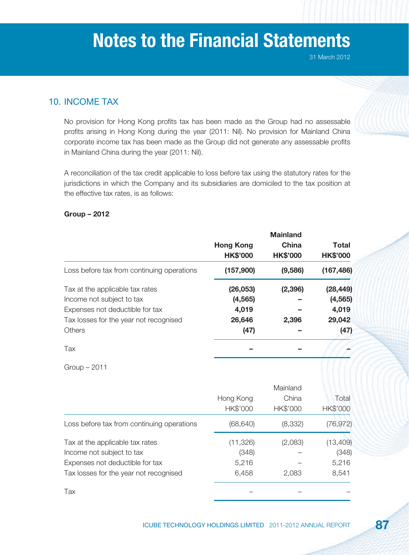## 10. INCOME TAX

No provision for Hong Kong profits tax has been made as the Group had no assessable profits arising in Hong Kong during the year (2011: Nil). No provision for Mainland China corporate income tax has been made as the Group did not generate any assessable profits in Mainland China during the year (2011: Nil).

A reconciliation of the tax credit applicable to loss before tax using the statutory rates for the jurisdictions in which the Company and its subsidiaries are domiciled to the tax position at the effective tax rates, is as follows:

### **Group – 2012**

|                                            |                                     | <b>Mainland</b>          |                          |  |
|--------------------------------------------|-------------------------------------|--------------------------|--------------------------|--|
|                                            | <b>Hong Kong</b><br><b>HK\$'000</b> | China<br><b>HK\$'000</b> | Total<br><b>HK\$'000</b> |  |
| Loss before tax from continuing operations | (157,900)                           | (9,586)                  | (167, 486)               |  |
| Tax at the applicable tax rates            | (26, 053)                           | (2, 396)                 | (28, 449)                |  |
| Income not subject to tax                  | (4, 565)                            |                          | (4, 565)                 |  |
| Expenses not deductible for tax            | 4,019                               |                          | 4,019                    |  |
| Tax losses for the year not recognised     | 26,646                              | 2,396                    | 29,042                   |  |
| Others                                     | (47)                                |                          | (47)                     |  |
| Tax                                        |                                     |                          |                          |  |

Group – 2011

|                                            | Hong Kong | China    | Total           |
|--------------------------------------------|-----------|----------|-----------------|
|                                            | HK\$'000  | HK\$'000 | <b>HK\$'000</b> |
| Loss before tax from continuing operations | (68, 640) | (8, 332) | (76, 972)       |
| Tax at the applicable tax rates            | (11, 326) | (2,083)  | (13, 409)       |
| Income not subject to tax                  | (348)     |          | (348)           |
| Expenses not deductible for tax            | 5,216     |          | 5,216           |
| Tax losses for the year not recognised     | 6,458     | 2,083    | 8,541           |
| Tax                                        |           |          |                 |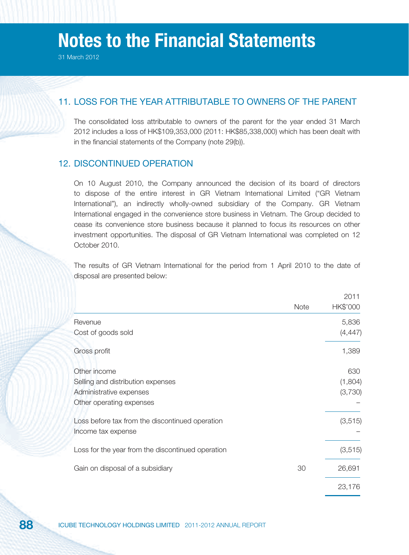### 11. LOSS FOR THE YEAR ATTRIBUTABLE TO OWNERS OF THE PARENT

The consolidated loss attributable to owners of the parent for the year ended 31 March 2012 includes a loss of HK\$109,353,000 (2011: HK\$85,338,000) which has been dealt with in the financial statements of the Company (note 29(b)).

### 12. DISCONTINUED OPERATION

On 10 August 2010, the Company announced the decision of its board of directors to dispose of the entire interest in GR Vietnam International Limited ("GR Vietnam International"), an indirectly wholly-owned subsidiary of the Company. GR Vietnam International engaged in the convenience store business in Vietnam. The Group decided to cease its convenience store business because it planned to focus its resources on other investment opportunities. The disposal of GR Vietnam International was completed on 12 October 2010.

The results of GR Vietnam International for the period from 1 April 2010 to the date of disposal are presented below:

|                                                   |      | 2011     |
|---------------------------------------------------|------|----------|
|                                                   | Note | HK\$'000 |
| Revenue                                           |      | 5,836    |
| Cost of goods sold                                |      | (4, 447) |
| Gross profit                                      |      | 1,389    |
| Other income                                      |      | 630      |
| Selling and distribution expenses                 |      | (1,804)  |
| Administrative expenses                           |      | (3,730)  |
| Other operating expenses                          |      |          |
| Loss before tax from the discontinued operation   |      | (3, 515) |
| Income tax expense                                |      |          |
| Loss for the year from the discontinued operation |      | (3, 515) |
| Gain on disposal of a subsidiary                  | 30   | 26,691   |
|                                                   |      | 23,176   |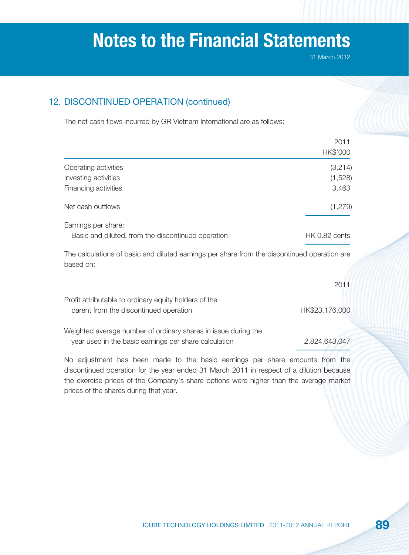31 March 2012

## 12. DISCONTINUED OPERATION (continued)

The net cash flows incurred by GR Vietnam International are as follows:

|                                                                           | 2011<br>HK\$'000 |
|---------------------------------------------------------------------------|------------------|
| Operating activities                                                      | (3, 214)         |
| Investing activities                                                      | (1,528)          |
| Financing activities                                                      | 3,463            |
| Net cash outflows                                                         | (1, 279)         |
| Earnings per share:<br>Basic and diluted, from the discontinued operation | HK 0.82 cents    |

The calculations of basic and diluted earnings per share from the discontinued operation are based on:

|                                                                                                 | 2011           |
|-------------------------------------------------------------------------------------------------|----------------|
| Profit attributable to ordinary equity holders of the<br>parent from the discontinued operation | HK\$23,176,000 |
| Weighted average number of ordinary shares in issue during the                                  |                |
| year used in the basic earnings per share calculation                                           | 2,824,643,047  |

No adjustment has been made to the basic earnings per share amounts from the discontinued operation for the year ended 31 March 2011 in respect of a dilution because the exercise prices of the Company's share options were higher than the average market prices of the shares during that year.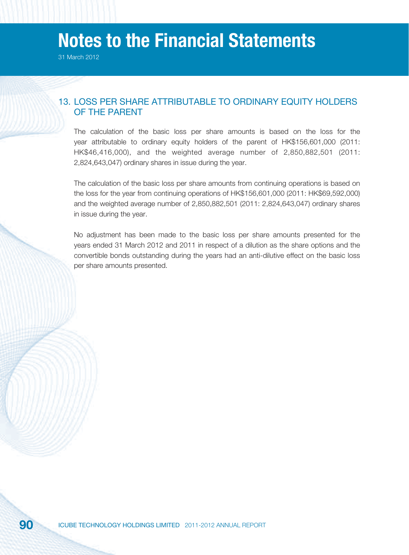31 March 2012

### 13. LOSS PER SHARE ATTRIBUTABLE TO ORDINARY EQUITY HOLDERS OF THE PARENT

The calculation of the basic loss per share amounts is based on the loss for the year attributable to ordinary equity holders of the parent of HK\$156,601,000 (2011: HK\$46,416,000), and the weighted average number of 2,850,882,501 (2011: 2,824,643,047) ordinary shares in issue during the year.

The calculation of the basic loss per share amounts from continuing operations is based on the loss for the year from continuing operations of HK\$156,601,000 (2011: HK\$69,592,000) and the weighted average number of 2,850,882,501 (2011: 2,824,643,047) ordinary shares in issue during the year.

No adjustment has been made to the basic loss per share amounts presented for the years ended 31 March 2012 and 2011 in respect of a dilution as the share options and the convertible bonds outstanding during the years had an anti-dilutive effect on the basic loss per share amounts presented.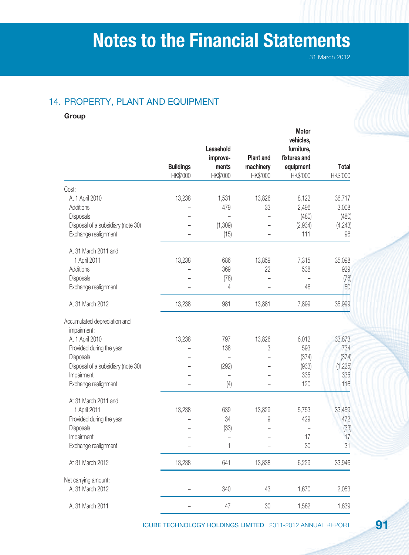## 14. PROPERTY, PLANT AND EQUIPMENT

**Group**

|                                    | <b>Buildings</b><br>HK\$'000 | Leasehold<br>improve-<br>ments<br>HK\$'000 | <b>Plant and</b><br>machinery<br>HK\$'000 | Motor<br>vehicles,<br>furniture,<br>fixtures and<br>equipment<br>HK\$'000 | <b>Total</b><br>HK\$'000 |
|------------------------------------|------------------------------|--------------------------------------------|-------------------------------------------|---------------------------------------------------------------------------|--------------------------|
| Cost:                              |                              |                                            |                                           |                                                                           |                          |
| At 1 April 2010                    | 13,238                       | 1,531                                      | 13,826                                    | 8,122                                                                     | 36,717                   |
| Additions                          |                              | 479                                        | 33                                        | 2,496                                                                     | 3,008                    |
| Disposals                          |                              |                                            |                                           | (480)                                                                     | (480)                    |
| Disposal of a subsidiary (note 30) |                              | (1,309)                                    |                                           | (2,934)                                                                   | (4, 243)                 |
| Exchange realignment               |                              | (15)                                       |                                           | 111                                                                       | 96                       |
| At 31 March 2011 and               |                              |                                            |                                           |                                                                           |                          |
| 1 April 2011                       | 13,238                       | 686                                        | 13,859                                    | 7,315                                                                     | 35,098                   |
| Additions                          |                              | 369                                        | 22                                        | 538                                                                       | 929                      |
| Disposals                          |                              | (78)                                       |                                           |                                                                           | (78)                     |
| Exchange realignment               |                              | 4                                          |                                           | 46                                                                        | 50                       |
| At 31 March 2012                   | 13,238                       | 981                                        | 13,881                                    | 7,899                                                                     | 35,999                   |
| Accumulated depreciation and       |                              |                                            |                                           |                                                                           |                          |
| impairment:                        |                              |                                            |                                           |                                                                           |                          |
| At 1 April 2010                    | 13,238                       | 797                                        | 13,826                                    | 6,012                                                                     | 33,873                   |
| Provided during the year           |                              | 138                                        | 3                                         | 593                                                                       | 734                      |
| Disposals                          |                              |                                            |                                           | (374)                                                                     | (374)                    |
| Disposal of a subsidiary (note 30) |                              | (292)                                      |                                           | (933)                                                                     | (1, 225)                 |
| Impairment                         |                              |                                            |                                           | 335                                                                       | 335                      |
| Exchange realignment               |                              | (4)                                        |                                           | 120                                                                       | 116                      |
| At 31 March 2011 and               |                              |                                            |                                           |                                                                           |                          |
| 1 April 2011                       | 13,238                       | 639                                        | 13,829                                    | 5,753                                                                     | 33,459                   |
| Provided during the year           |                              | 34                                         | 9                                         | 429                                                                       | 472                      |
| Disposals                          |                              | (33)                                       |                                           |                                                                           | (33)                     |
| Impairment                         |                              | $\qquad \qquad -$                          |                                           | 17                                                                        | 17                       |
| Exchange realignment               |                              | $\mathbf{1}$                               |                                           | 30                                                                        | 31                       |
| At 31 March 2012                   | 13,238                       | 641                                        | 13,838                                    | 6,229                                                                     | 33,946                   |
| Net carrying amount:               |                              |                                            |                                           |                                                                           |                          |
| At 31 March 2012                   |                              | 340                                        | 43                                        | 1,670                                                                     | 2,053                    |
| At 31 March 2011                   |                              | 47                                         | $30\,$                                    | 1,562                                                                     | 1,639                    |

ICUBE TECHNOLOGY HOLDINGS LIMITED 2011-2012 ANNUAL REPORT **91**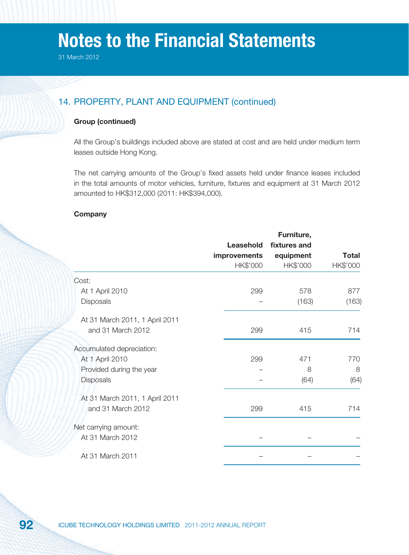31 March 2012

## 14. PROPERTY, PLANT AND EQUIPMENT (continued)

### **Group (continued)**

All the Group's buildings included above are stated at cost and are held under medium term leases outside Hong Kong.

The net carrying amounts of the Group's fixed assets held under finance leases included in the total amounts of motor vehicles, furniture, fixtures and equipment at 31 March 2012 amounted to HK\$312,000 (2011: HK\$394,000).

### **Company**

|                                |                     | Furniture,   |              |
|--------------------------------|---------------------|--------------|--------------|
|                                | Leasehold           | fixtures and |              |
|                                | <b>improvements</b> | equipment    | <b>Total</b> |
|                                | HK\$'000            | HK\$'000     | HK\$'000     |
| Cost:                          |                     |              |              |
| At 1 April 2010                | 299                 | 578          | 877          |
| <b>Disposals</b>               |                     | (163)        | (163)        |
| At 31 March 2011, 1 April 2011 |                     |              |              |
| and 31 March 2012              | 299                 | 415          | 714          |
| Accumulated depreciation:      |                     |              |              |
| At 1 April 2010                | 299                 | 471          | 770          |
| Provided during the year       |                     | 8            | 8            |
| <b>Disposals</b>               |                     | (64)         | (64)         |
| At 31 March 2011, 1 April 2011 |                     |              |              |
| and 31 March 2012              | 299                 | 415          | 714          |
| Net carrying amount:           |                     |              |              |
| At 31 March 2012               |                     |              |              |
| At 31 March 2011               |                     |              |              |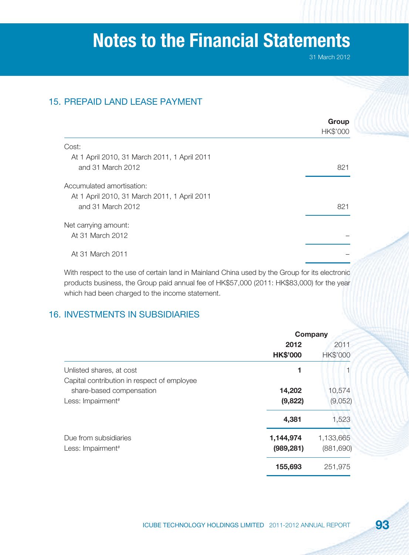31 March 2012

## 15. PREPAID LAND LEASE PAYMENT

|                                              | Group<br>HK\$'000 |
|----------------------------------------------|-------------------|
|                                              |                   |
| Cost:                                        |                   |
| At 1 April 2010, 31 March 2011, 1 April 2011 |                   |
| and 31 March 2012                            | 821               |
| Accumulated amortisation:                    |                   |
| At 1 April 2010, 31 March 2011, 1 April 2011 |                   |
| and 31 March 2012                            | 821               |
| Net carrying amount:                         |                   |
| At 31 March 2012                             |                   |
| At 31 March 2011                             |                   |
|                                              |                   |

With respect to the use of certain land in Mainland China used by the Group for its electronic products business, the Group paid annual fee of HK\$57,000 (2011: HK\$83,000) for the year which had been charged to the income statement.

## 16. INVESTMENTS IN SUBSIDIARIES

|                                             | Company         |                 |  |
|---------------------------------------------|-----------------|-----------------|--|
|                                             | 2012            | 2011            |  |
|                                             | <b>HK\$'000</b> | <b>HK\$'000</b> |  |
| Unlisted shares, at cost                    | 1               |                 |  |
| Capital contribution in respect of employee |                 |                 |  |
| share-based compensation                    | 14,202          | 10,574          |  |
| Less: Impairment <sup>#</sup>               | (9,822)         | (9,052)         |  |
|                                             | 4,381           | 1,523           |  |
| Due from subsidiaries                       | 1,144,974       | 1,133,665       |  |
| Less: Impairment <sup>#</sup>               | (989, 281)      | (881, 690)      |  |
|                                             | 155,693         | 251,975         |  |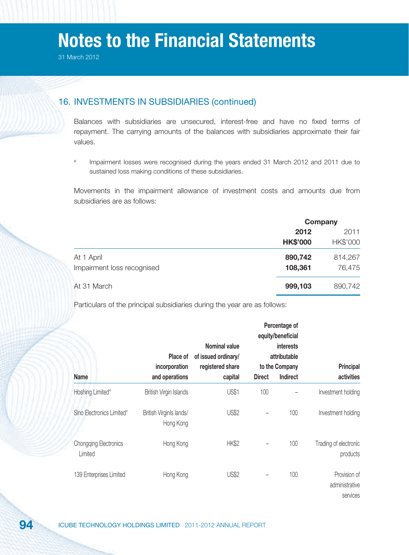### 16. INVESTMENTS IN SUBSIDIARIES (continued)

Balances with subsidiaries are unsecured, interest-free and have no fixed terms of repayment. The carrying amounts of the balances with subsidiaries approximate their fair values.

# Impairment losses were recognised during the years ended 31 March 2012 and 2011 due to sustained loss making conditions of these subsidiaries.

Movements in the impairment allowance of investment costs and amounts due from subsidiaries are as follows:

|                            | Company         |          |
|----------------------------|-----------------|----------|
|                            | 2012            | 2011     |
|                            | <b>HK\$'000</b> | HK\$'000 |
| At 1 April                 | 890,742         | 814,267  |
| Impairment loss recognised | 108,361         | 76,475   |
| At 31 March                | 999,103         | 890,742  |

Particulars of the principal subsidiaries during the year are as follows:

|                                         | Place of<br>incorporation            | Nominal value<br>of issued ordinary/<br>registered share |               | Percentage of<br>equity/beneficial<br>interests<br>attributable<br>to the Company | <b>Principal</b>                           |
|-----------------------------------------|--------------------------------------|----------------------------------------------------------|---------------|-----------------------------------------------------------------------------------|--------------------------------------------|
| <b>Name</b>                             | and operations                       | capital                                                  | <b>Direct</b> | Indirect                                                                          | activities                                 |
| Hoshing Limited*                        | British Virgin Islands               | <b>US\$1</b>                                             | 100           |                                                                                   | Investment holding                         |
| Sino Electronics Limited*               | British Virginls lands/<br>Hong Kong | <b>US\$2</b>                                             |               | 100                                                                               | Investment holding                         |
| <b>Chongqing Electronics</b><br>Limited | Hong Kong                            | <b>HK\$2</b>                                             |               | 100                                                                               | Trading of electronic<br>products          |
| 139 Enterprises Limited                 | Hong Kong                            | <b>US\$2</b>                                             |               | 100                                                                               | Provision of<br>administrative<br>services |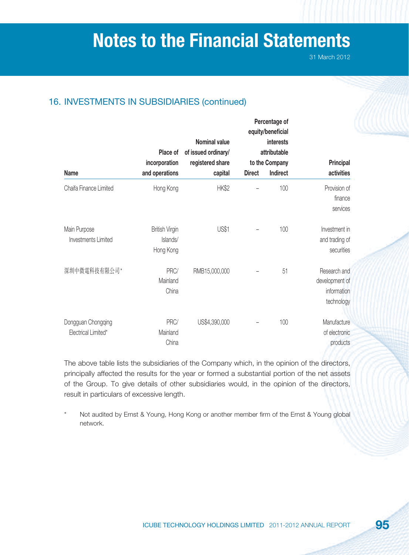31 March 2012

## 16. INVESTMENTS IN SUBSIDIARIES (continued)

|                                            | Place of<br>incorporation                      | <b>Nominal value</b><br>of issued ordinary/<br>registered share |               | Percentage of<br>equity/beneficial<br><b>interests</b><br>attributable<br>to the Company | Principal                                                   |
|--------------------------------------------|------------------------------------------------|-----------------------------------------------------------------|---------------|------------------------------------------------------------------------------------------|-------------------------------------------------------------|
| <b>Name</b>                                | and operations                                 | capital                                                         | <b>Direct</b> | Indirect                                                                                 | activities                                                  |
| Chaifa Finance Limited                     | Hong Kong                                      | <b>HK\$2</b>                                                    |               | 100                                                                                      | Provision of<br>finance<br>services                         |
| Main Purpose<br><b>Investments Limited</b> | <b>British Virgin</b><br>Islands/<br>Hong Kong | <b>US\$1</b>                                                    |               | 100                                                                                      | Investment in<br>and trading of<br>securities               |
| 深圳中微電科技有限公司*                               | PRC/<br>Mainland<br>China                      | RMB15,000,000                                                   |               | 51                                                                                       | Research and<br>development of<br>information<br>technology |
| Dongguan Chongqing<br>Electrical Limited*  | PRC/<br>Mainland<br>China                      | US\$4,390,000                                                   |               | 100                                                                                      | Manufacture<br>of electronic<br>products                    |

The above table lists the subsidiaries of the Company which, in the opinion of the directors, principally affected the results for the year or formed a substantial portion of the net assets of the Group. To give details of other subsidiaries would, in the opinion of the directors, result in particulars of excessive length.

Not audited by Ernst & Young, Hong Kong or another member firm of the Ernst & Young global network.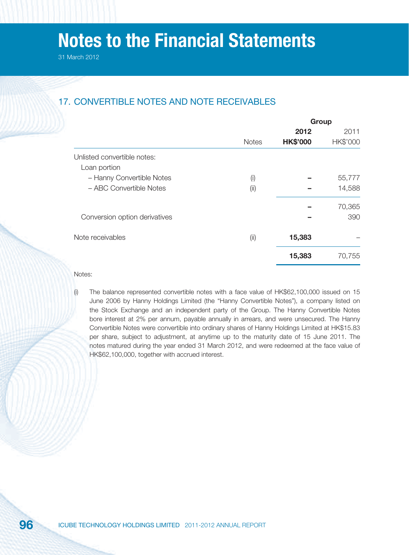## 17. CONVERTIBLE NOTES AND NOTE RECEIVABLES

|                               |              |                 | Group    |
|-------------------------------|--------------|-----------------|----------|
|                               |              | 2012            | 2011     |
|                               | <b>Notes</b> | <b>HK\$'000</b> | HK\$'000 |
| Unlisted convertible notes:   |              |                 |          |
| Loan portion                  |              |                 |          |
| - Hanny Convertible Notes     | (i)          |                 | 55,777   |
| - ABC Convertible Notes       | (iii)        |                 | 14,588   |
|                               |              |                 | 70,365   |
| Conversion option derivatives |              |                 | 390      |
| Note receivables              | (i)          | 15,383          |          |
|                               |              | 15,383          | 70,755   |
|                               |              |                 |          |

Notes:

(i) The balance represented convertible notes with a face value of HK\$62,100,000 issued on 15 June 2006 by Hanny Holdings Limited (the "Hanny Convertible Notes"), a company listed on the Stock Exchange and an independent party of the Group. The Hanny Convertible Notes bore interest at 2% per annum, payable annually in arrears, and were unsecured. The Hanny Convertible Notes were convertible into ordinary shares of Hanny Holdings Limited at HK\$15.83 per share, subject to adjustment, at anytime up to the maturity date of 15 June 2011. The notes matured during the year ended 31 March 2012, and were redeemed at the face value of HK\$62,100,000, together with accrued interest.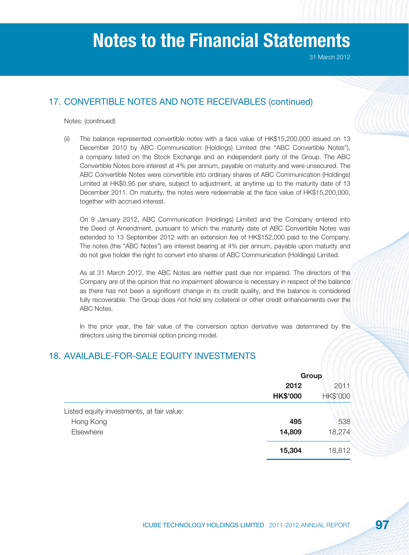31 March 2012

## 17. CONVERTIBLE NOTES AND NOTE RECEIVABLES (continued)

#### Notes: (continued)

(ii) The balance represented convertible notes with a face value of HK\$15,200,000 issued on 13 December 2010 by ABC Communication (Holdings) Limited (the "ABC Convertible Notes"), a company listed on the Stock Exchange and an independent party of the Group. The ABC Convertible Notes bore interest at 4% per annum, payable on maturity and were unsecured. The ABC Convertible Notes were convertible into ordinary shares of ABC Communication (Holdings) Limited at HK\$0.95 per share, subject to adjustment, at anytime up to the maturity date of 13 December 2011. On maturity, the notes were redeemable at the face value of HK\$15,200,000, together with accrued interest.

 On 9 January 2012, ABC Communication (Holdings) Limited and the Company entered into the Deed of Amendment, pursuant to which the maturity date of ABC Convertible Notes was extended to 13 September 2012 with an extension fee of HK\$152,000 paid to the Company. The notes (the "ABC Notes") are interest bearing at 4% per annum, payable upon maturity and do not give holder the right to convert into shares of ABC Communication (Holdings) Limited.

 As at 31 March 2012, the ABC Notes are neither past due nor impaired. The directors of the Company are of the opinion that no impairment allowance is necessary in respect of the balance as there has not been a significant change in its credit quality, and the balance is considered fully recoverable. The Group does not hold any collateral or other credit enhancements over the ABC Notes.

 In the prior year, the fair value of the conversion option derivative was determined by the directors using the binomial option pricing model.

### 18. AVAILABLE-FOR-SALE EQUITY INVESTMENTS

|                                           | Group           |                 |
|-------------------------------------------|-----------------|-----------------|
|                                           | 2012            | 2011            |
|                                           | <b>HK\$'000</b> | <b>HK\$'000</b> |
| Listed equity investments, at fair value: |                 |                 |
| Hong Kong                                 | 495             | 538             |
| Elsewhere                                 | 14,809          | 18,274          |
|                                           | 15,304          | 18,812          |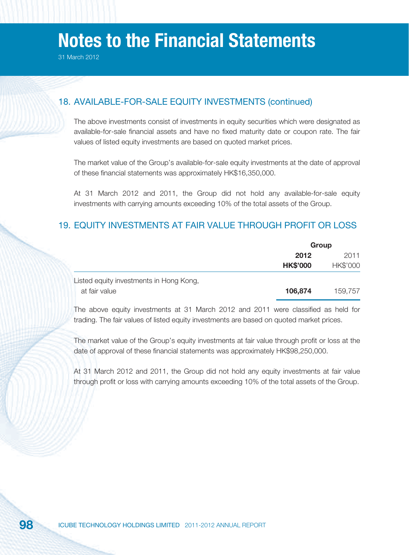## 18. AVAILABLE-FOR-SALE EQUITY INVESTMENTS (continued)

The above investments consist of investments in equity securities which were designated as available-for-sale financial assets and have no fixed maturity date or coupon rate. The fair values of listed equity investments are based on quoted market prices.

The market value of the Group's available-for-sale equity investments at the date of approval of these financial statements was approximately HK\$16,350,000.

At 31 March 2012 and 2011, the Group did not hold any available-for-sale equity investments with carrying amounts exceeding 10% of the total assets of the Group.

## 19. EQUITY INVESTMENTS AT FAIR VALUE THROUGH PROFIT OR LOSS

|                                         | Group           |          |
|-----------------------------------------|-----------------|----------|
|                                         | 2012            | 2011     |
|                                         | <b>HK\$'000</b> | HK\$'000 |
| Listed equity investments in Hong Kong, |                 |          |
| at fair value                           | 106,874         | 159,757  |

The above equity investments at 31 March 2012 and 2011 were classified as held for trading. The fair values of listed equity investments are based on quoted market prices.

The market value of the Group's equity investments at fair value through profit or loss at the date of approval of these financial statements was approximately HK\$98,250,000.

At 31 March 2012 and 2011, the Group did not hold any equity investments at fair value through profit or loss with carrying amounts exceeding 10% of the total assets of the Group.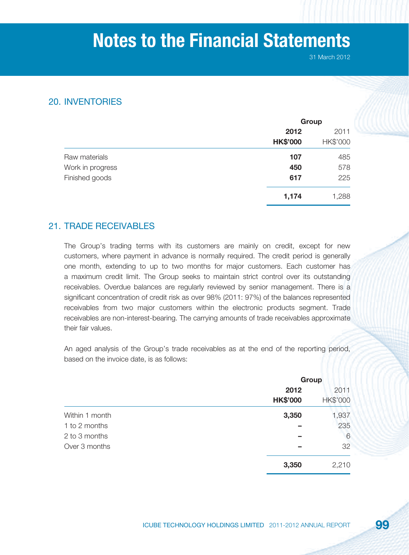31 March 2012

### 20. INVENTORIES

|                  |                 | Group    |  |
|------------------|-----------------|----------|--|
|                  | 2012            | 2011     |  |
|                  | <b>HK\$'000</b> | HK\$'000 |  |
| Raw materials    | 107             | 485      |  |
| Work in progress | 450             | 578      |  |
| Finished goods   | 617             | 225      |  |
|                  | 1,174           | 1,288    |  |

## 21. TRADE RECEIVABLES

The Group's trading terms with its customers are mainly on credit, except for new customers, where payment in advance is normally required. The credit period is generally one month, extending to up to two months for major customers. Each customer has a maximum credit limit. The Group seeks to maintain strict control over its outstanding receivables. Overdue balances are regularly reviewed by senior management. There is a significant concentration of credit risk as over 98% (2011: 97%) of the balances represented receivables from two major customers within the electronic products segment. Trade receivables are non-interest-bearing. The carrying amounts of trade receivables approximate their fair values.

An aged analysis of the Group's trade receivables as at the end of the reporting period, based on the invoice date, is as follows:

|                |                 | Group           |  |
|----------------|-----------------|-----------------|--|
|                | 2012            | 2011            |  |
|                | <b>HK\$'000</b> | <b>HK\$'000</b> |  |
| Within 1 month | 3,350           | 1,937           |  |
| 1 to 2 months  |                 | 235             |  |
| 2 to 3 months  |                 | 6               |  |
| Over 3 months  |                 | 32              |  |
|                | 3,350           | 2,210           |  |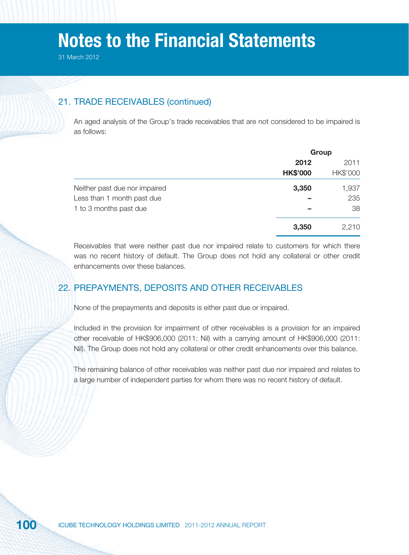### 21. TRADE RECEIVABLES (continued)

An aged analysis of the Group's trade receivables that are not considered to be impaired is as follows:

|                               | Group           |          |
|-------------------------------|-----------------|----------|
|                               | 2012            | 2011     |
|                               | <b>HK\$'000</b> | HK\$'000 |
| Neither past due nor impaired | 3,350           | 1,937    |
| Less than 1 month past due    |                 | 235      |
| 1 to 3 months past due        |                 | 38       |
|                               | 3,350           | 2,210    |

Receivables that were neither past due nor impaired relate to customers for which there was no recent history of default. The Group does not hold any collateral or other credit enhancements over these balances.

## 22. PREPAYMENTS, DEPOSITS AND OTHER RECEIVABLES

None of the prepayments and deposits is either past due or impaired.

Included in the provision for impairment of other receivables is a provision for an impaired other receivable of HK\$906,000 (2011: Nil) with a carrying amount of HK\$906,000 (2011: Nil). The Group does not hold any collateral or other credit enhancements over this balance.

The remaining balance of other receivables was neither past due nor impaired and relates to a large number of independent parties for whom there was no recent history of default.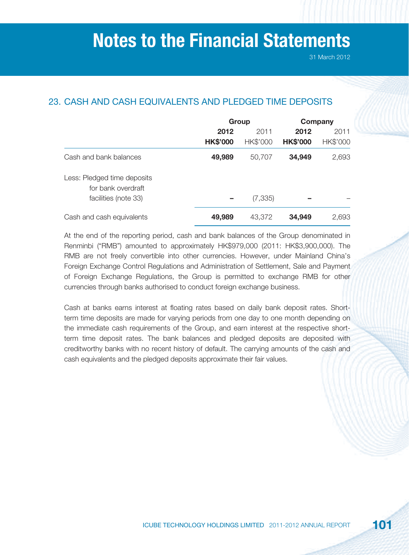## 23. CASH AND CASH EQUIVALENTS AND PLEDGED TIME DEPOSITS

|                                                   | Group           |          | Company         |          |
|---------------------------------------------------|-----------------|----------|-----------------|----------|
|                                                   | 2012            | 2011     | 2012            | 2011     |
|                                                   | <b>HK\$'000</b> | HK\$'000 | <b>HK\$'000</b> | HK\$'000 |
| Cash and bank balances                            | 49,989          | 50,707   | 34,949          | 2,693    |
| Less: Pledged time deposits<br>for bank overdraft |                 |          |                 |          |
| facilities (note 33)                              |                 | (7, 335) |                 |          |
| Cash and cash equivalents                         | 49,989          | 43,372   | 34,949          | 2,693    |

At the end of the reporting period, cash and bank balances of the Group denominated in Renminbi ("RMB") amounted to approximately HK\$979,000 (2011: HK\$3,900,000). The RMB are not freely convertible into other currencies. However, under Mainland China's Foreign Exchange Control Regulations and Administration of Settlement, Sale and Payment of Foreign Exchange Regulations, the Group is permitted to exchange RMB for other currencies through banks authorised to conduct foreign exchange business.

Cash at banks earns interest at floating rates based on daily bank deposit rates. Shortterm time deposits are made for varying periods from one day to one month depending on the immediate cash requirements of the Group, and earn interest at the respective shortterm time deposit rates. The bank balances and pledged deposits are deposited with creditworthy banks with no recent history of default. The carrying amounts of the cash and cash equivalents and the pledged deposits approximate their fair values.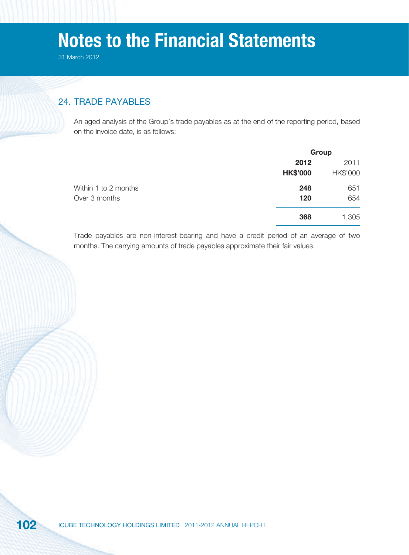## 24. TRADE PAYABLES

An aged analysis of the Group's trade payables as at the end of the reporting period, based on the invoice date, is as follows:

|                      |                 | Group    |  |
|----------------------|-----------------|----------|--|
|                      | 2012            | 2011     |  |
|                      | <b>HK\$'000</b> | HK\$'000 |  |
| Within 1 to 2 months | 248             | 651      |  |
| Over 3 months        | 120             | 654      |  |
|                      | 368             | 1,305    |  |

Trade payables are non-interest-bearing and have a credit period of an average of two months. The carrying amounts of trade payables approximate their fair values.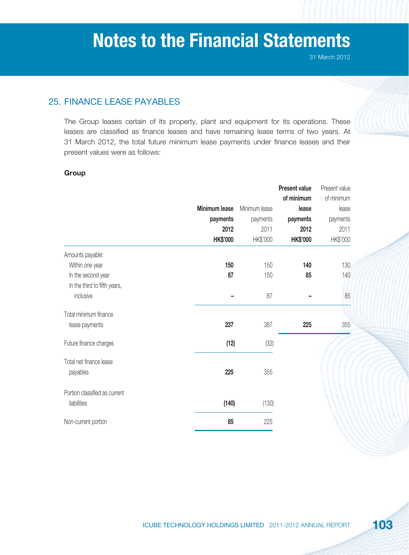## 25. FINANCE LEASE PAYABLES

The Group leases certain of its property, plant and equipment for its operations. These leases are classified as finance leases and have remaining lease terms of two years. At 31 March 2012, the total future minimum lease payments under finance leases and their present values were as follows:

### **Group**

|                               |                      |               | <b>Present value</b> | Present value |
|-------------------------------|----------------------|---------------|----------------------|---------------|
|                               |                      |               | of minimum           | of minimum    |
|                               | <b>Minimum lease</b> | Minimum lease | lease                | lease         |
|                               | payments             | payments      | payments             | payments      |
|                               | 2012                 | 2011          | 2012                 | 2011          |
|                               | <b>HK\$'000</b>      | HK\$'000      | <b>HK\$'000</b>      | HK\$'000      |
| Amounts payable:              |                      |               |                      |               |
| Within one year               | 150                  | 150           | 140                  | 130           |
| In the second year            | 87                   | 150           | 85                   | 140           |
| In the third to fifth years,  |                      |               |                      |               |
| inclusive                     |                      | 87            |                      | 85            |
| Total minimum finance         |                      |               |                      |               |
| lease payments                | 237                  | 387           | 225                  | 355           |
| Future finance charges        | (12)                 | (32)          |                      |               |
| Total net finance lease       |                      |               |                      |               |
| payables                      | 225                  | 355           |                      |               |
| Portion classified as current |                      |               |                      |               |
| liabilities                   | (140)                | (130)         |                      |               |
| Non-current portion           | 85                   | 225           |                      |               |
|                               |                      |               |                      |               |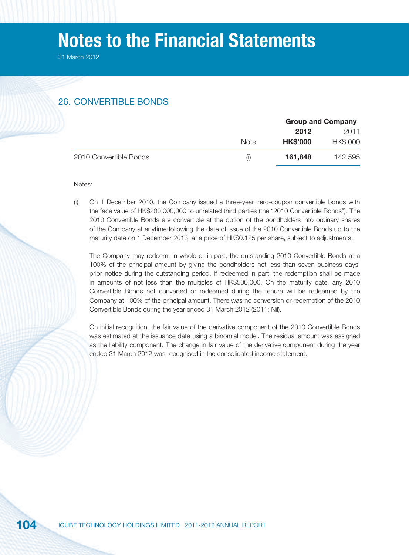31 March 2012

## 26. CONVERTIBLE BONDS

|                        |                                 | <b>Group and Company</b> |          |
|------------------------|---------------------------------|--------------------------|----------|
|                        |                                 | 2012                     | 2011     |
|                        | <b>Note</b>                     | <b>HK\$'000</b>          | HK\$'000 |
| 2010 Convertible Bonds | $\left( \left  \right  \right)$ | 161,848                  | 142,595  |

#### Notes:

(i) On 1 December 2010, the Company issued a three-year zero-coupon convertible bonds with the face value of HK\$200,000,000 to unrelated third parties (the "2010 Convertible Bonds"). The 2010 Convertible Bonds are convertible at the option of the bondholders into ordinary shares of the Company at anytime following the date of issue of the 2010 Convertible Bonds up to the maturity date on 1 December 2013, at a price of HK\$0.125 per share, subject to adjustments.

The Company may redeem, in whole or in part, the outstanding 2010 Convertible Bonds at a 100% of the principal amount by giving the bondholders not less than seven business days' prior notice during the outstanding period. If redeemed in part, the redemption shall be made in amounts of not less than the multiples of HK\$500,000. On the maturity date, any 2010 Convertible Bonds not converted or redeemed during the tenure will be redeemed by the Company at 100% of the principal amount. There was no conversion or redemption of the 2010 Convertible Bonds during the year ended 31 March 2012 (2011: Nil).

On initial recognition, the fair value of the derivative component of the 2010 Convertible Bonds was estimated at the issuance date using a binomial model. The residual amount was assigned as the liability component. The change in fair value of the derivative component during the year ended 31 March 2012 was recognised in the consolidated income statement.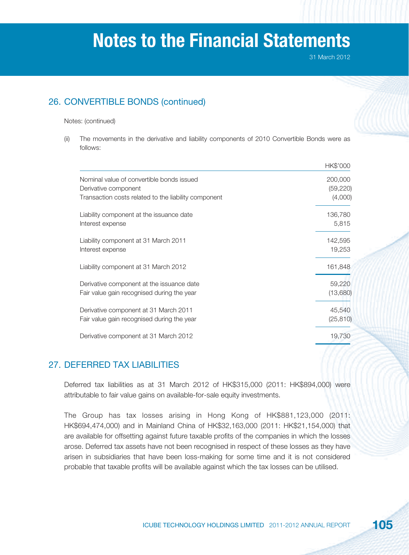31 March 2012

## 26. CONVERTIBLE BONDS (continued)

#### Notes: (continued)

(ii) The movements in the derivative and liability components of 2010 Convertible Bonds were as follows:

|                                                      | HK\$'000  |
|------------------------------------------------------|-----------|
| Nominal value of convertible bonds issued            | 200,000   |
| Derivative component                                 | (59, 220) |
| Transaction costs related to the liability component | (4,000)   |
| Liability component at the issuance date             | 136,780   |
| Interest expense                                     | 5,815     |
| Liability component at 31 March 2011                 | 142,595   |
| Interest expense                                     | 19,253    |
| Liability component at 31 March 2012                 | 161,848   |
| Derivative component at the issuance date            | 59,220    |
| Fair value gain recognised during the year           | (13,680)  |
| Derivative component at 31 March 2011                | 45,540    |
| Fair value gain recognised during the year           | (25, 810) |
| Derivative component at 31 March 2012                | 19,730    |

### 27. DEFERRED TAX LIABILITIES

Deferred tax liabilities as at 31 March 2012 of HK\$315,000 (2011: HK\$894,000) were attributable to fair value gains on available-for-sale equity investments.

The Group has tax losses arising in Hong Kong of HK\$881,123,000 (2011: HK\$694,474,000) and in Mainland China of HK\$32,163,000 (2011: HK\$21,154,000) that are available for offsetting against future taxable profits of the companies in which the losses arose. Deferred tax assets have not been recognised in respect of these losses as they have arisen in subsidiaries that have been loss-making for some time and it is not considered probable that taxable profits will be available against which the tax losses can be utilised.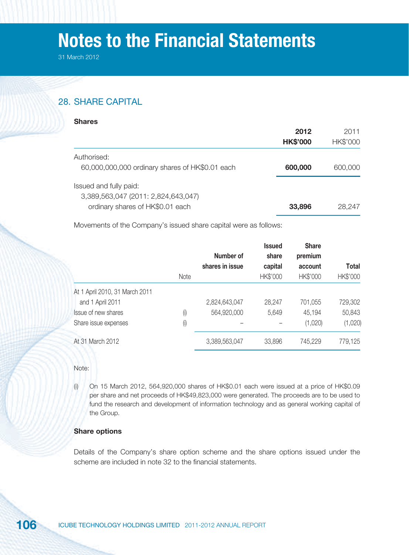31 March 2012

## 28. SHARE CAPITAL

|                                                 | 2012<br><b>HK\$'000</b> | 2011<br>HK\$'000 |
|-------------------------------------------------|-------------------------|------------------|
| Authorised:                                     |                         |                  |
| 60,000,000,000 ordinary shares of HK\$0.01 each | 600,000                 | 600,000          |
| Issued and fully paid:                          |                         |                  |
| 3,389,563,047 (2011: 2,824,643,047)             |                         |                  |
| ordinary shares of HK\$0.01 each                | 33,896                  | 28,247           |

Movements of the Company's issued share capital were as follows:

|                                | <b>Note</b> | Number of<br>shares in issue | <b>Issued</b><br>share<br>capital<br>HK\$'000 | <b>Share</b><br>premium<br>account<br>HK\$'000 | Total<br>HK\$'000 |
|--------------------------------|-------------|------------------------------|-----------------------------------------------|------------------------------------------------|-------------------|
|                                |             |                              |                                               |                                                |                   |
|                                |             |                              |                                               |                                                |                   |
| At 1 April 2010, 31 March 2011 |             |                              |                                               |                                                |                   |
| and 1 April 2011               |             | 2,824,643,047                | 28,247                                        | 701,055                                        | 729,302           |
| Issue of new shares            | (i)         | 564,920,000                  | 5,649                                         | 45,194                                         | 50,843            |
| Share issue expenses           | (i)         |                              |                                               | (1,020)                                        | (1,020)           |
| At 31 March 2012               |             | 3,389,563,047                | 33,896                                        | 745,229                                        | 779,125           |

Note:

(i) On 15 March 2012, 564,920,000 shares of HK\$0.01 each were issued at a price of HK\$0.09 per share and net proceeds of HK\$49,823,000 were generated. The proceeds are to be used to fund the research and development of information technology and as general working capital of the Group.

### **Share options**

Details of the Company's share option scheme and the share options issued under the scheme are included in note 32 to the financial statements.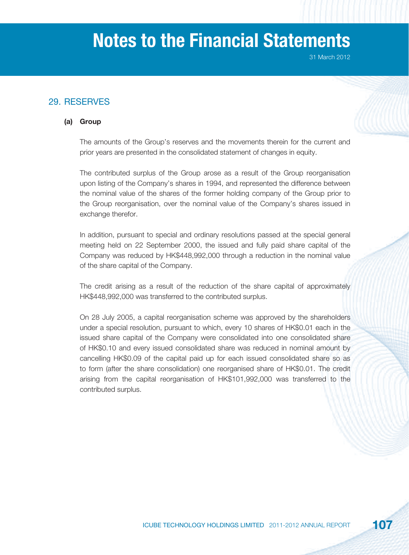## 29. RESERVES

### **(a) Group**



The amounts of the Group's reserves and the movements therein for the current and prior years are presented in the consolidated statement of changes in equity.

The contributed surplus of the Group arose as a result of the Group reorganisation upon listing of the Company's shares in 1994, and represented the difference between the nominal value of the shares of the former holding company of the Group prior to the Group reorganisation, over the nominal value of the Company's shares issued in exchange therefor.

In addition, pursuant to special and ordinary resolutions passed at the special general meeting held on 22 September 2000, the issued and fully paid share capital of the Company was reduced by HK\$448,992,000 through a reduction in the nominal value of the share capital of the Company.

The credit arising as a result of the reduction of the share capital of approximately HK\$448,992,000 was transferred to the contributed surplus.

On 28 July 2005, a capital reorganisation scheme was approved by the shareholders under a special resolution, pursuant to which, every 10 shares of HK\$0.01 each in the issued share capital of the Company were consolidated into one consolidated share of HK\$0.10 and every issued consolidated share was reduced in nominal amount by cancelling HK\$0.09 of the capital paid up for each issued consolidated share so as to form (after the share consolidation) one reorganised share of HK\$0.01. The credit arising from the capital reorganisation of HK\$101,992,000 was transferred to the contributed surplus.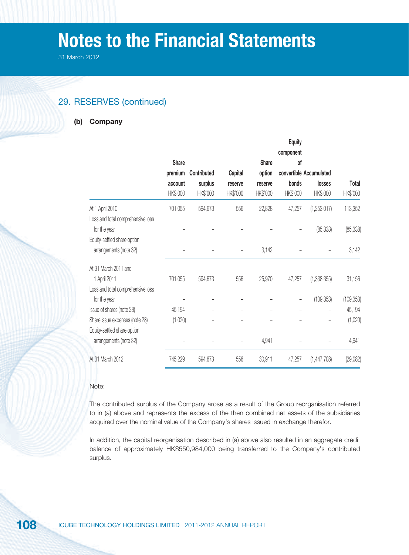31 March 2012

### 29. RESERVES (continued)

#### **(b) Company**

|                                                       |          |             |          |              | <b>Equity</b>   |                         |            |
|-------------------------------------------------------|----------|-------------|----------|--------------|-----------------|-------------------------|------------|
|                                                       | Share    |             |          | <b>Share</b> | component<br>of |                         |            |
|                                                       | premium  | Contributed | Capital  | option       |                 | convertible Accumulated |            |
|                                                       | account  | surplus     | reserve  | reserve      | bonds           | losses                  | Total      |
|                                                       | HK\$'000 | HK\$'000    | HK\$'000 | HK\$'000     | HK\$'000        | HK\$'000                | HK\$'000   |
| At 1 April 2010                                       | 701,055  | 594,673     | 556      | 22,828       | 47,257          | (1,253,017)             | 113,352    |
| Loss and total comprehensive loss<br>for the year     |          |             |          |              |                 | (85, 338)               | (85, 338)  |
| Equity-settled share option<br>arrangements (note 32) |          |             |          | 3,142        |                 |                         | 3,142      |
| At 31 March 2011 and                                  |          |             |          |              |                 |                         |            |
| 1 April 2011                                          | 701,055  | 594,673     | 556      | 25,970       | 47,257          | (1, 338, 355)           | 31,156     |
| Loss and total comprehensive loss                     |          |             |          |              |                 |                         |            |
| for the year                                          |          |             |          |              |                 | (109, 353)              | (109, 353) |
| Issue of shares (note 28)                             | 45,194   |             |          |              |                 |                         | 45,194     |
| Share issue expenses (note 28)                        | (1,020)  |             |          |              |                 |                         | (1,020)    |
| Equity-settled share option<br>arrangements (note 32) |          |             |          | 4,941        |                 |                         | 4,941      |
| At 31 March 2012                                      | 745,229  | 594,673     | 556      | 30,911       | 47,257          | (1,447,708)             | (29,082)   |

#### Note:

The contributed surplus of the Company arose as a result of the Group reorganisation referred to in (a) above and represents the excess of the then combined net assets of the subsidiaries acquired over the nominal value of the Company's shares issued in exchange therefor.

In addition, the capital reorganisation described in (a) above also resulted in an aggregate credit balance of approximately HK\$550,984,000 being transferred to the Company's contributed surplus.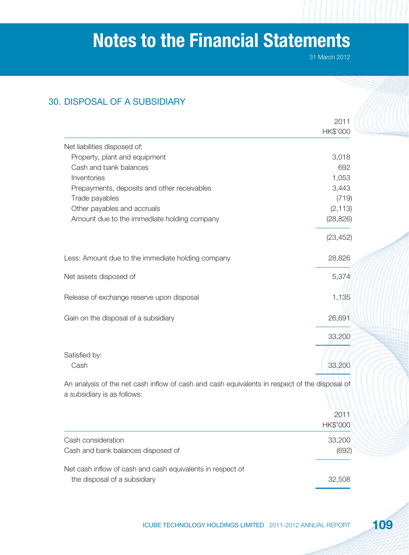31 March 2012

# 30. DISPOSAL OF A SUBSIDIARY

|                                                                                                                              | 2011      |
|------------------------------------------------------------------------------------------------------------------------------|-----------|
|                                                                                                                              | HK\$'000  |
| Net liabilities disposed of:                                                                                                 |           |
| Property, plant and equipment                                                                                                | 3,018     |
| Cash and bank balances                                                                                                       | 692       |
| Inventories                                                                                                                  | 1,053     |
| Prepayments, deposits and other receivables                                                                                  | 3,443     |
| Trade payables                                                                                                               | (719)     |
| Other payables and accruals                                                                                                  | (2, 113)  |
| Amount due to the immediate holding company                                                                                  | (28, 826) |
|                                                                                                                              | (23, 452) |
| Less: Amount due to the immediate holding company                                                                            | 28,826    |
| Net assets disposed of                                                                                                       | 5,374     |
| Release of exchange reserve upon disposal                                                                                    | 1,135     |
| Gain on the disposal of a subsidiary                                                                                         | 26,691    |
|                                                                                                                              | 33,200    |
| Satisfied by:                                                                                                                |           |
| Cash                                                                                                                         | 33,200    |
| An analysis of the net cash inflow of cash and cash equivalents in respect of the disposal of<br>a subsidiary is as follows: |           |

|                                                                                            | 2011<br>HK\$'000 |
|--------------------------------------------------------------------------------------------|------------------|
| Cash consideration<br>Cash and bank balances disposed of                                   | 33,200<br>(692)  |
| Net cash inflow of cash and cash equivalents in respect of<br>the disposal of a subsidiary | 32,508           |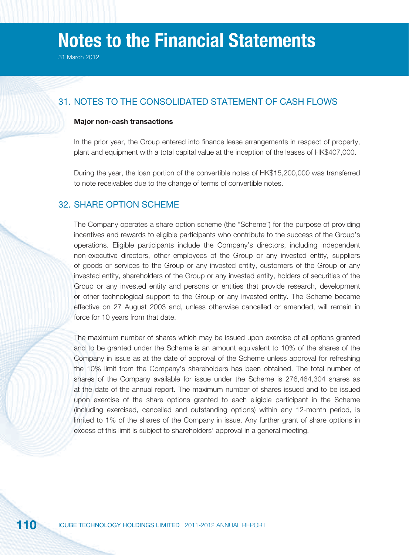# 31. NOTES TO THE CONSOLIDATED STATEMENT OF CASH FLOWS

#### **Major non-cash transactions**

In the prior year, the Group entered into finance lease arrangements in respect of property, plant and equipment with a total capital value at the inception of the leases of HK\$407,000.

During the year, the loan portion of the convertible notes of HK\$15,200,000 was transferred to note receivables due to the change of terms of convertible notes.

### 32. SHARE OPTION SCHEME

The Company operates a share option scheme (the "Scheme") for the purpose of providing incentives and rewards to eligible participants who contribute to the success of the Group's operations. Eligible participants include the Company's directors, including independent non-executive directors, other employees of the Group or any invested entity, suppliers of goods or services to the Group or any invested entity, customers of the Group or any invested entity, shareholders of the Group or any invested entity, holders of securities of the Group or any invested entity and persons or entities that provide research, development or other technological support to the Group or any invested entity. The Scheme became effective on 27 August 2003 and, unless otherwise cancelled or amended, will remain in force for 10 years from that date.

The maximum number of shares which may be issued upon exercise of all options granted and to be granted under the Scheme is an amount equivalent to 10% of the shares of the Company in issue as at the date of approval of the Scheme unless approval for refreshing the 10% limit from the Company's shareholders has been obtained. The total number of shares of the Company available for issue under the Scheme is 276,464,304 shares as at the date of the annual report. The maximum number of shares issued and to be issued upon exercise of the share options granted to each eligible participant in the Scheme (including exercised, cancelled and outstanding options) within any 12-month period, is limited to 1% of the shares of the Company in issue. Any further grant of share options in excess of this limit is subject to shareholders' approval in a general meeting.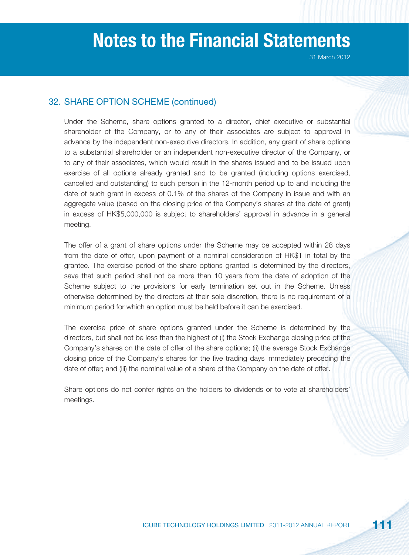### 32. SHARE OPTION SCHEME (continued)

Under the Scheme, share options granted to a director, chief executive or substantial shareholder of the Company, or to any of their associates are subject to approval in advance by the independent non-executive directors. In addition, any grant of share options to a substantial shareholder or an independent non-executive director of the Company, or to any of their associates, which would result in the shares issued and to be issued upon exercise of all options already granted and to be granted (including options exercised, cancelled and outstanding) to such person in the 12-month period up to and including the date of such grant in excess of 0.1% of the shares of the Company in issue and with an aggregate value (based on the closing price of the Company's shares at the date of grant) in excess of HK\$5,000,000 is subject to shareholders' approval in advance in a general meeting.

The offer of a grant of share options under the Scheme may be accepted within 28 days from the date of offer, upon payment of a nominal consideration of HK\$1 in total by the grantee. The exercise period of the share options granted is determined by the directors, save that such period shall not be more than 10 years from the date of adoption of the Scheme subject to the provisions for early termination set out in the Scheme. Unless otherwise determined by the directors at their sole discretion, there is no requirement of a minimum period for which an option must be held before it can be exercised.

The exercise price of share options granted under the Scheme is determined by the directors, but shall not be less than the highest of (i) the Stock Exchange closing price of the Company's shares on the date of offer of the share options; (ii) the average Stock Exchange closing price of the Company's shares for the five trading days immediately preceding the date of offer; and (iii) the nominal value of a share of the Company on the date of offer.

Share options do not confer rights on the holders to dividends or to vote at shareholders' meetings.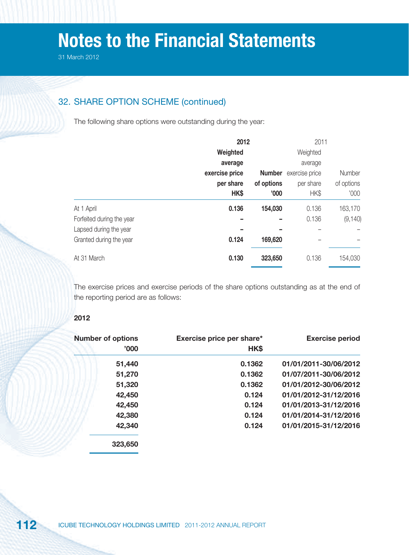# 32. SHARE OPTION SCHEME (continued)

The following share options were outstanding during the year:

|                           | 2012           |               | 2011           |            |
|---------------------------|----------------|---------------|----------------|------------|
|                           | Weighted       |               | Weighted       |            |
|                           | average        |               | average        |            |
|                           | exercise price | <b>Number</b> | exercise price | Number     |
|                           | per share      | of options    | per share      | of options |
|                           | HK\$           | '000'         | HK\$           | '000       |
| At 1 April                | 0.136          | 154,030       | 0.136          | 163,170    |
| Forfeited during the year |                |               | 0.136          | (9, 140)   |
| Lapsed during the year    |                |               |                |            |
| Granted during the year   | 0.124          | 169,620       |                |            |
| At 31 March               | 0.130          | 323,650       | 0.136          | 154,030    |

The exercise prices and exercise periods of the share options outstanding as at the end of the reporting period are as follows:

#### **2012**

| <b>Number of options</b> |  | Exercise price per share* | <b>Exercise period</b> |  |
|--------------------------|--|---------------------------|------------------------|--|
| '000'                    |  | HK\$                      |                        |  |
| 51,440                   |  | 0.1362                    | 01/01/2011-30/06/2012  |  |
| 51,270                   |  | 0.1362                    | 01/07/2011-30/06/2012  |  |
| 51,320                   |  | 0.1362                    | 01/01/2012-30/06/2012  |  |
| 42,450                   |  | 0.124                     | 01/01/2012-31/12/2016  |  |
| 42,450                   |  | 0.124                     | 01/01/2013-31/12/2016  |  |
| 42,380                   |  | 0.124                     | 01/01/2014-31/12/2016  |  |
| 42,340                   |  | 0.124                     | 01/01/2015-31/12/2016  |  |
| 323,650                  |  |                           |                        |  |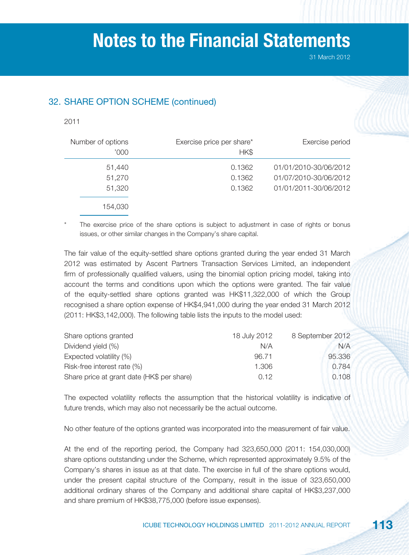# 32. SHARE OPTION SCHEME (continued)

#### 2011

| Number of options<br>'000' | Exercise price per share*<br>HK\$ | Exercise period                                                         |
|----------------------------|-----------------------------------|-------------------------------------------------------------------------|
| 51,440<br>51,270<br>51,320 | 0.1362<br>0.1362<br>0.1362        | 01/01/2010-30/06/2012<br>01/07/2010-30/06/2012<br>01/01/2011-30/06/2012 |
| 154,030                    |                                   |                                                                         |

The exercise price of the share options is subject to adjustment in case of rights or bonus issues, or other similar changes in the Company's share capital.

The fair value of the equity-settled share options granted during the year ended 31 March 2012 was estimated by Ascent Partners Transaction Services Limited, an independent firm of professionally qualified valuers, using the binomial option pricing model, taking into account the terms and conditions upon which the options were granted. The fair value of the equity-settled share options granted was HK\$11,322,000 of which the Group recognised a share option expense of HK\$4,941,000 during the year ended 31 March 2012 (2011: HK\$3,142,000). The following table lists the inputs to the model used:

| Share options granted                      | 18 July 2012 | 8 September 2012 |
|--------------------------------------------|--------------|------------------|
| Dividend yield (%)                         | N/A          | N/A              |
| Expected volatility (%)                    | 96.71        | 95.336           |
| Risk-free interest rate (%)                | 1.306        | 0.784            |
| Share price at grant date (HK\$ per share) | 0.12         | 0.108            |

The expected volatility reflects the assumption that the historical volatility is indicative of future trends, which may also not necessarily be the actual outcome.

No other feature of the options granted was incorporated into the measurement of fair value.

At the end of the reporting period, the Company had 323,650,000 (2011: 154,030,000) share options outstanding under the Scheme, which represented approximately 9.5% of the Company's shares in issue as at that date. The exercise in full of the share options would, under the present capital structure of the Company, result in the issue of 323,650,000 additional ordinary shares of the Company and additional share capital of HK\$3,237,000 and share premium of HK\$38,775,000 (before issue expenses).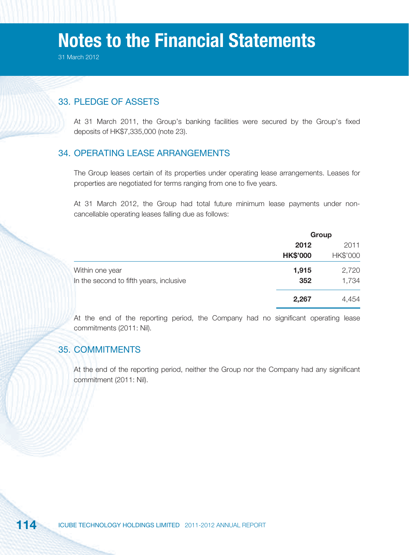31 March 2012

### 33. PLEDGE OF ASSETS

At 31 March 2011, the Group's banking facilities were secured by the Group's fixed deposits of HK\$7,335,000 (note 23).

### 34. OPERATING LEASE ARRANGEMENTS

The Group leases certain of its properties under operating lease arrangements. Leases for properties are negotiated for terms ranging from one to five years.

At 31 March 2012, the Group had total future minimum lease payments under noncancellable operating leases falling due as follows:

|                                         | Group           |          |  |
|-----------------------------------------|-----------------|----------|--|
|                                         | 2012            | 2011     |  |
|                                         | <b>HK\$'000</b> | HK\$'000 |  |
| Within one year                         | 1,915           | 2,720    |  |
| In the second to fifth years, inclusive | 352             | 1,734    |  |
|                                         | 2,267           | 4,454    |  |

At the end of the reporting period, the Company had no significant operating lease commitments (2011: Nil).

### 35. COMMITMENTS

At the end of the reporting period, neither the Group nor the Company had any significant commitment (2011: Nil).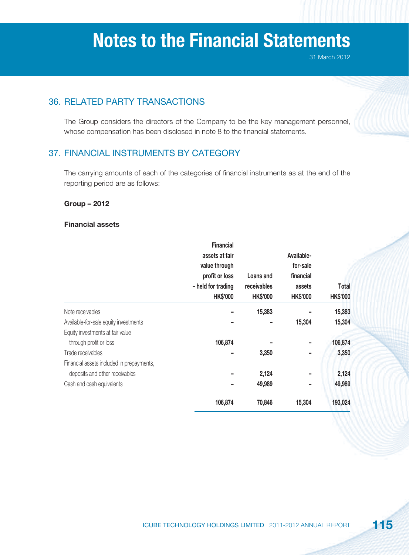31 March 2012

# 36. RELATED PARTY TRANSACTIONS

The Group considers the directors of the Company to be the key management personnel, whose compensation has been disclosed in note 8 to the financial statements.

# 37. FINANCIAL INSTRUMENTS BY CATEGORY

The carrying amounts of each of the categories of financial instruments as at the end of the reporting period are as follows:

#### **Group – 2012**

#### **Financial assets**

|                                           | <b>Financial</b>   |                 |                 |                 |
|-------------------------------------------|--------------------|-----------------|-----------------|-----------------|
|                                           | assets at fair     |                 | Available-      |                 |
|                                           | value through      |                 | for-sale        |                 |
|                                           | profit or loss     | Loans and       | financial       |                 |
|                                           | - held for trading | receivables     | assets          | Total           |
|                                           | <b>HK\$'000</b>    | <b>HK\$'000</b> | <b>HK\$'000</b> | <b>HK\$'000</b> |
| Note receivables                          |                    | 15,383          |                 | 15,383          |
| Available-for-sale equity investments     |                    |                 | 15,304          | 15,304          |
| Equity investments at fair value          |                    |                 |                 |                 |
| through profit or loss                    | 106,874            |                 |                 | 106,874         |
| Trade receivables                         |                    | 3,350           | -               | 3,350           |
| Financial assets included in prepayments, |                    |                 |                 |                 |
| deposits and other receivables            |                    | 2,124           |                 | 2,124           |
| Cash and cash equivalents                 |                    | 49,989          |                 | 49,989          |
|                                           | 106,874            | 70,846          | 15,304          | 193,024         |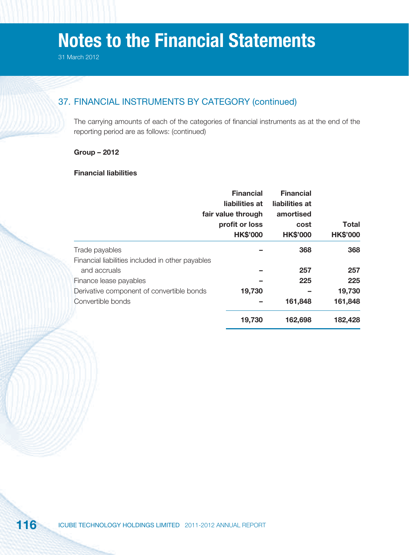# 37. FINANCIAL INSTRUMENTS BY CATEGORY (continued)

The carrying amounts of each of the categories of financial instruments as at the end of the reporting period are as follows: (continued)

#### **Group – 2012**

#### **Financial liabilities**

|                                                  | <b>Financial</b>   | <b>Financial</b> |                 |
|--------------------------------------------------|--------------------|------------------|-----------------|
|                                                  | liabilities at     | liabilities at   |                 |
|                                                  | fair value through | amortised        |                 |
|                                                  | profit or loss     | cost             | <b>Total</b>    |
|                                                  | <b>HK\$'000</b>    | <b>HK\$'000</b>  | <b>HK\$'000</b> |
| Trade payables                                   |                    | 368              | 368             |
| Financial liabilities included in other payables |                    |                  |                 |
| and accruals                                     |                    | 257              | 257             |
| Finance lease payables                           |                    | 225              | 225             |
| Derivative component of convertible bonds        | 19,730             |                  | 19,730          |
| Convertible bonds                                |                    | 161,848          | 161,848         |
|                                                  | 19,730             | 162,698          | 182,428         |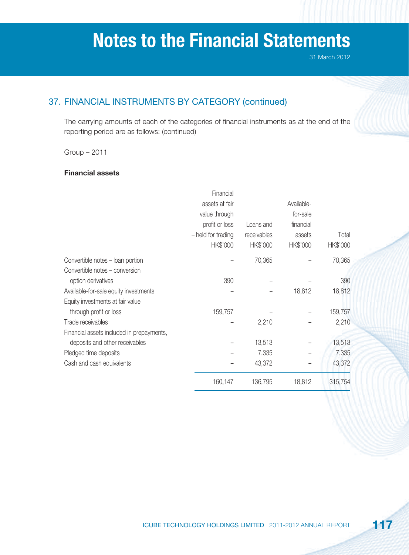# 37. FINANCIAL INSTRUMENTS BY CATEGORY (continued)

The carrying amounts of each of the categories of financial instruments as at the end of the reporting period are as follows: (continued)

Group – 2011

#### **Financial assets**

|                                           | Financial          |             |            |          |
|-------------------------------------------|--------------------|-------------|------------|----------|
|                                           | assets at fair     |             | Available- |          |
|                                           | value through      |             | for-sale   |          |
|                                           | profit or loss     | Loans and   | financial  |          |
|                                           | - held for trading | receivables | assets     | Total    |
|                                           | HK\$'000           | HK\$'000    | HK\$'000   | HK\$'000 |
| Convertible notes - loan portion          |                    | 70,365      |            | 70,365   |
| Convertible notes - conversion            |                    |             |            |          |
| option derivatives                        | 390                |             |            | 390      |
| Available-for-sale equity investments     |                    |             | 18,812     | 18,812   |
| Equity investments at fair value          |                    |             |            |          |
| through profit or loss                    | 159,757            |             |            | 159,757  |
| Trade receivables                         |                    | 2,210       |            | 2,210    |
| Financial assets included in prepayments, |                    |             |            |          |
| deposits and other receivables            |                    | 13,513      |            | 13,513   |
| Pledged time deposits                     |                    | 7,335       |            | 7,335    |
| Cash and cash equivalents                 |                    | 43,372      |            | 43,372   |
|                                           | 160,147            | 136,795     | 18,812     | 315,754  |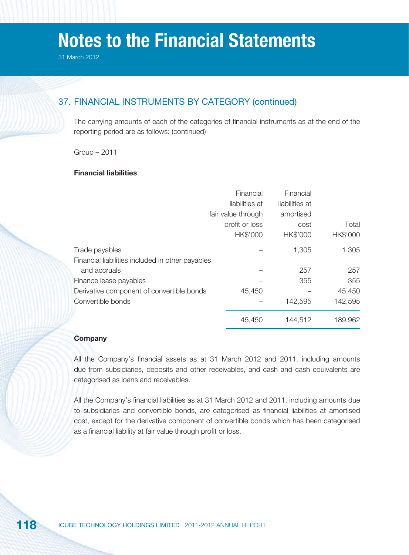# 37. FINANCIAL INSTRUMENTS BY CATEGORY (continued)

The carrying amounts of each of the categories of financial instruments as at the end of the reporting period are as follows: (continued)

Group – 2011

#### **Financial liabilities**

|                                                  | Financial<br>liabilities at<br>fair value through<br>profit or loss<br>HK\$'000 | Financial<br>liabilities at<br>amortised<br>cost<br>HK\$'000 | Total<br>HK\$'000 |
|--------------------------------------------------|---------------------------------------------------------------------------------|--------------------------------------------------------------|-------------------|
| Trade payables                                   |                                                                                 | 1,305                                                        | 1,305             |
| Financial liabilities included in other payables |                                                                                 |                                                              |                   |
| and accruals                                     |                                                                                 | 257                                                          | 257               |
| Finance lease payables                           |                                                                                 | 355                                                          | 355               |
| Derivative component of convertible bonds        | 45,450                                                                          |                                                              | 45,450            |
| Convertible bonds                                |                                                                                 | 142,595                                                      | 142,595           |
|                                                  | 45,450                                                                          | 144,512                                                      | 189,962           |

#### **Company**

All the Company's financial assets as at 31 March 2012 and 2011, including amounts due from subsidiaries, deposits and other receivables, and cash and cash equivalents are categorised as loans and receivables.

All the Company's financial liabilities as at 31 March 2012 and 2011, including amounts due to subsidiaries and convertible bonds, are categorised as financial liabilities at amortised cost, except for the derivative component of convertible bonds which has been categorised as a financial liability at fair value through profit or loss.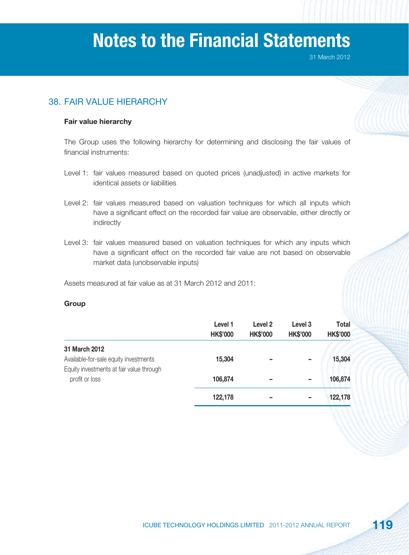31 March 2012

# 38. FAIR VALUE HIERARCHY

#### **Fair value hierarchy**

The Group uses the following hierarchy for determining and disclosing the fair values of financial instruments:

- Level 1: fair values measured based on quoted prices (unadjusted) in active markets for identical assets or liabilities
- Level 2: fair values measured based on valuation techniques for which all inputs which have a significant effect on the recorded fair value are observable, either directly or indirectly
- Level 3: fair values measured based on valuation techniques for which any inputs which have a significant effect on the recorded fair value are not based on observable market data (unobservable inputs)

Assets measured at fair value as at 31 March 2012 and 2011:

#### **Group**

|                                                            | Level 1<br><b>HK\$'000</b> | Level <sub>2</sub><br><b>HK\$'000</b> | Level <sub>3</sub><br><b>HK\$'000</b> | <b>Total</b><br><b>HK\$'000</b> |
|------------------------------------------------------------|----------------------------|---------------------------------------|---------------------------------------|---------------------------------|
| 31 March 2012<br>Available-for-sale equity investments     | 15,304                     | $\overline{\phantom{a}}$              | $\overline{\phantom{a}}$              | 15,304                          |
| Equity investments at fair value through<br>profit or loss | 106,874                    | -                                     | $\overline{\phantom{a}}$              | 106,874                         |
|                                                            | 122,178                    | -                                     | -                                     | 122,178                         |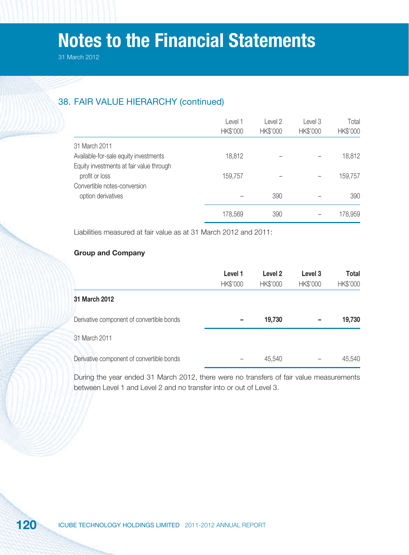# 38. FAIR VALUE HIERARCHY (continued)

|                                          | Level 1<br>HK\$'000 | Level 2<br>HK\$'000 | Level 3<br>HK\$'000 | Total<br>HK\$'000 |
|------------------------------------------|---------------------|---------------------|---------------------|-------------------|
| 31 March 2011                            |                     |                     |                     |                   |
| Available-for-sale equity investments    | 18,812              |                     |                     | 18,812            |
| Equity investments at fair value through |                     |                     |                     |                   |
| profit or loss                           | 159,757             |                     |                     | 159,757           |
| Convertible notes-conversion             |                     |                     |                     |                   |
| option derivatives                       |                     | 390                 |                     | 390               |
|                                          | 178,569             | 390                 |                     | 178,959           |

Liabilities measured at fair value as at 31 March 2012 and 2011:

#### **Group and Company**

|                                           | Level 1<br>HK\$'000 | Level 2<br>HK\$'000 | Level 3<br><b>HK\$'000</b> | Total<br>HK\$'000 |
|-------------------------------------------|---------------------|---------------------|----------------------------|-------------------|
| 31 March 2012                             |                     |                     |                            |                   |
| Derivative component of convertible bonds |                     | 19,730              |                            | 19,730            |
| 31 March 2011                             |                     |                     |                            |                   |
| Derivative component of convertible bonds |                     | 45,540              |                            | 45,540            |

During the year ended 31 March 2012, there were no transfers of fair value measurements between Level 1 and Level 2 and no transfer into or out of Level 3.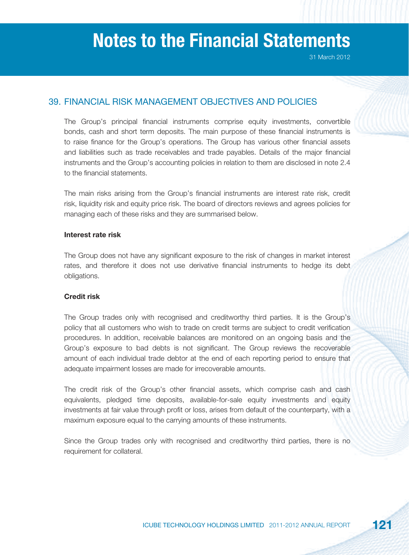# 39. FINANCIAL RISK MANAGEMENT OBJECTIVES AND POLICIES

The Group's principal financial instruments comprise equity investments, convertible bonds, cash and short term deposits. The main purpose of these financial instruments is to raise finance for the Group's operations. The Group has various other financial assets and liabilities such as trade receivables and trade payables. Details of the major financial instruments and the Group's accounting policies in relation to them are disclosed in note 2.4 to the financial statements.

The main risks arising from the Group's financial instruments are interest rate risk, credit risk, liquidity risk and equity price risk. The board of directors reviews and agrees policies for managing each of these risks and they are summarised below.

#### **Interest rate risk**

The Group does not have any significant exposure to the risk of changes in market interest rates, and therefore it does not use derivative financial instruments to hedge its debt obligations.

#### **Credit risk**

The Group trades only with recognised and creditworthy third parties. It is the Group's policy that all customers who wish to trade on credit terms are subject to credit verification procedures. In addition, receivable balances are monitored on an ongoing basis and the Group's exposure to bad debts is not significant. The Group reviews the recoverable amount of each individual trade debtor at the end of each reporting period to ensure that adequate impairment losses are made for irrecoverable amounts.

The credit risk of the Group's other financial assets, which comprise cash and cash equivalents, pledged time deposits, available-for-sale equity investments and equity investments at fair value through profit or loss, arises from default of the counterparty, with a maximum exposure equal to the carrying amounts of these instruments.

Since the Group trades only with recognised and creditworthy third parties, there is no requirement for collateral.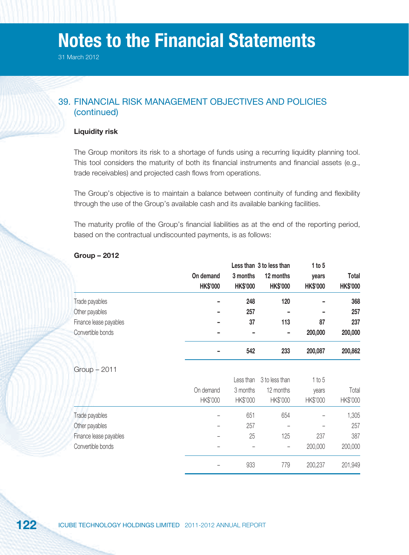31 March 2012

# 39. FINANCIAL RISK MANAGEMENT OBJECTIVES AND POLICIES (continued)

#### **Liquidity risk**

The Group monitors its risk to a shortage of funds using a recurring liquidity planning tool. This tool considers the maturity of both its financial instruments and financial assets (e.g., trade receivables) and projected cash flows from operations.

The Group's objective is to maintain a balance between continuity of funding and flexibility through the use of the Group's available cash and its available banking facilities.

The maturity profile of the Group's financial liabilities as at the end of the reporting period, based on the contractual undiscounted payments, is as follows:

|                        |                 |                 | Less than 3 to less than | 1 to $5$        |                 |
|------------------------|-----------------|-----------------|--------------------------|-----------------|-----------------|
|                        | On demand       | 3 months        | 12 months                | years           | Total           |
|                        | <b>HK\$'000</b> | <b>HK\$'000</b> | <b>HK\$'000</b>          | <b>HK\$'000</b> | <b>HK\$'000</b> |
| Trade payables         |                 | 248             | 120                      |                 | 368             |
| Other payables         |                 | 257             |                          |                 | 257             |
| Finance lease payables |                 | 37              | 113                      | 87              | 237             |
| Convertible bonds      |                 |                 |                          | 200,000         | 200,000         |
|                        |                 | 542             | 233                      | 200,087         | 200,862         |
| $Group - 2011$         |                 |                 |                          |                 |                 |
|                        |                 | Less than       | 3 to less than           | 1 to 5          |                 |
|                        | On demand       | 3 months        | 12 months                | years           | Total           |
|                        | HK\$'000        | HK\$'000        | HK\$'000                 | HK\$'000        | HK\$'000        |
|                        |                 |                 |                          |                 |                 |

Trade payables – 651 – 654 – 1,305 Other payables **257** – 257 – 257 Finance lease payables – 25 125 237 387 Convertible bonds – – – 200,000 200,000

– 933 779 200,237 201,949

**Group – 2012**

| 122<br><b>ICUBE TECHNOLOGY HOLDINGS LIMITED 2011-2012 ANNUAL REPORT</b> |  |
|-------------------------------------------------------------------------|--|
|-------------------------------------------------------------------------|--|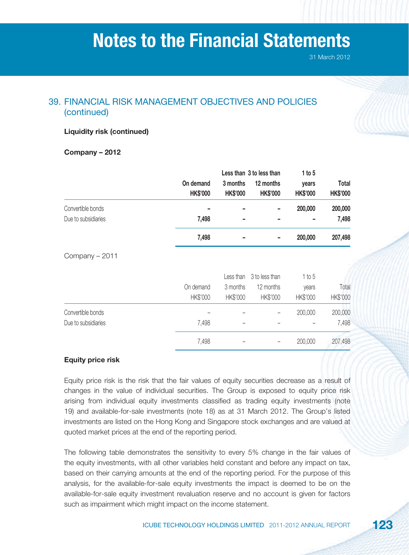# 39. FINANCIAL RISK MANAGEMENT OBJECTIVES AND POLICIES (continued)

#### **Liquidity risk (continued)**

**Company – 2012**

|                     |                 |                 | Less than 3 to less than |                 |                 |
|---------------------|-----------------|-----------------|--------------------------|-----------------|-----------------|
|                     | On demand       | 3 months        | 12 months                | years           | Total           |
|                     | <b>HK\$'000</b> | <b>HK\$'000</b> | <b>HK\$'000</b>          | <b>HK\$'000</b> | <b>HK\$'000</b> |
| Convertible bonds   |                 |                 |                          | 200,000         | 200,000         |
| Due to subsidiaries | 7,498           |                 |                          |                 | 7,498           |
|                     | 7,498           |                 |                          | 200,000         | 207,498         |
| Company - 2011      |                 |                 |                          |                 |                 |
|                     |                 | Less than       | 3 to less than           | 1 to 5          |                 |
|                     | On demand       | 3 months        | 12 months                | years           | Total           |
|                     | HK\$'000        | HK\$'000        | HK\$'000                 | HK\$'000        | HK\$'000        |
| Convertible bonds   |                 |                 |                          | 200,000         | 200,000         |
| Due to subsidiaries | 7,498           |                 |                          |                 | 7,498           |
|                     | 7,498           |                 |                          | 200,000         | 207,498         |

#### **Equity price risk**

Equity price risk is the risk that the fair values of equity securities decrease as a result of changes in the value of individual securities. The Group is exposed to equity price risk arising from individual equity investments classified as trading equity investments (note 19) and available-for-sale investments (note 18) as at 31 March 2012. The Group's listed investments are listed on the Hong Kong and Singapore stock exchanges and are valued at quoted market prices at the end of the reporting period.

The following table demonstrates the sensitivity to every 5% change in the fair values of the equity investments, with all other variables held constant and before any impact on tax, based on their carrying amounts at the end of the reporting period. For the purpose of this analysis, for the available-for-sale equity investments the impact is deemed to be on the available-for-sale equity investment revaluation reserve and no account is given for factors such as impairment which might impact on the income statement.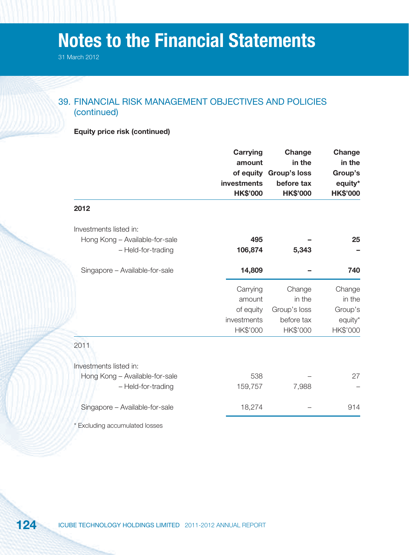31 March 2012

# 39. FINANCIAL RISK MANAGEMENT OBJECTIVES AND POLICIES (continued)

| <b>Equity price risk (continued)</b> |  |  |
|--------------------------------------|--|--|

|                                | <b>Carrying</b><br>amount<br>of equity<br>investments | Change<br>in the<br><b>Group's loss</b><br>before tax | <b>Change</b><br>in the<br>Group's<br>equity* |
|--------------------------------|-------------------------------------------------------|-------------------------------------------------------|-----------------------------------------------|
|                                | <b>HK\$'000</b>                                       | <b>HK\$'000</b>                                       | <b>HK\$'000</b>                               |
| 2012                           |                                                       |                                                       |                                               |
| Investments listed in:         |                                                       |                                                       |                                               |
| Hong Kong - Available-for-sale | 495                                                   |                                                       | 25                                            |
| - Held-for-trading             | 106,874                                               | 5,343                                                 |                                               |
| Singapore - Available-for-sale | 14,809                                                |                                                       | 740                                           |
|                                | Carrying                                              | Change                                                | Change                                        |
|                                | amount                                                | in the                                                | in the                                        |
|                                | of equity                                             | Group's loss                                          | Group's                                       |
|                                | investments                                           | before tax                                            | equity*                                       |
|                                | HK\$'000                                              | HK\$'000                                              | HK\$'000                                      |
| 2011                           |                                                       |                                                       |                                               |
|                                |                                                       |                                                       |                                               |
| Investments listed in:         |                                                       |                                                       |                                               |
| Hong Kong - Available-for-sale | 538                                                   |                                                       | 27                                            |
| - Held-for-trading             | 159,757                                               | 7,988                                                 |                                               |
| Singapore - Available-for-sale | 18,274                                                |                                                       | 914                                           |
| * Excluding accumulated losses |                                                       |                                                       |                                               |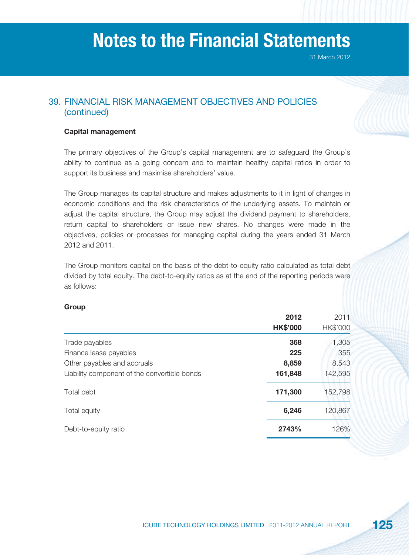# 39. FINANCIAL RISK MANAGEMENT OBJECTIVES AND POLICIES (continued)

#### **Capital management**

The primary objectives of the Group's capital management are to safeguard the Group's ability to continue as a going concern and to maintain healthy capital ratios in order to support its business and maximise shareholders' value.

The Group manages its capital structure and makes adjustments to it in light of changes in economic conditions and the risk characteristics of the underlying assets. To maintain or adjust the capital structure, the Group may adjust the dividend payment to shareholders, return capital to shareholders or issue new shares. No changes were made in the objectives, policies or processes for managing capital during the years ended 31 March 2012 and 2011.

The Group monitors capital on the basis of the debt-to-equity ratio calculated as total debt divided by total equity. The debt-to-equity ratios as at the end of the reporting periods were as follows:

#### **Group**

|                                              | 2012            | 2011     |
|----------------------------------------------|-----------------|----------|
|                                              | <b>HK\$'000</b> | HK\$'000 |
| Trade payables                               | 368             | 1,305    |
| Finance lease payables                       | 225             | 355      |
| Other payables and accruals                  | 8,859           | 8,543    |
| Liability component of the convertible bonds | 161,848         | 142,595  |
| Total debt                                   | 171,300         | 152,798  |
| Total equity                                 | 6,246           | 120,867  |
| Debt-to-equity ratio                         | 2743%           | 126%     |